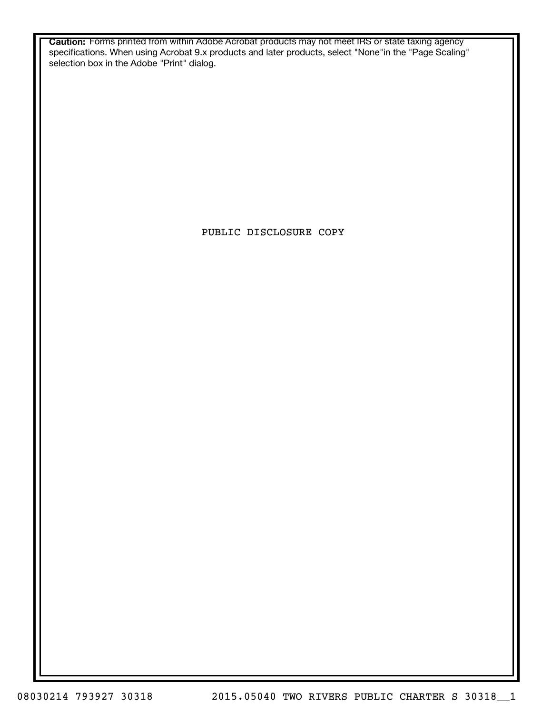**Caution:** Forms printed from within Adobe Acrobat products may not meet IRS or state taxing agency specifications. When using Acrobat 9.x products and later products, select "None"in the "Page Scaling" selection box in the Adobe "Print" dialog.

PUBLIC DISCLOSURE COPY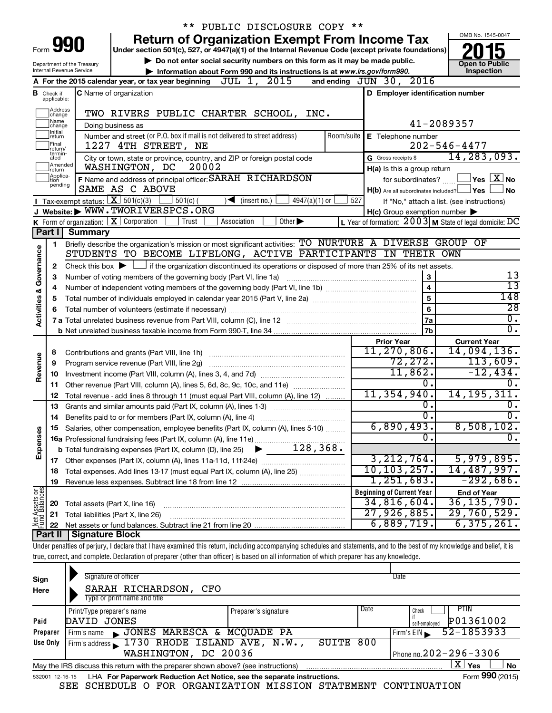| PUBLIC DISCLOSURE COPY **                                                                                                                          |                                  |                                                                                                                                                                            |                     |                                                     |                                                           |  |  |  |  |  |  |
|----------------------------------------------------------------------------------------------------------------------------------------------------|----------------------------------|----------------------------------------------------------------------------------------------------------------------------------------------------------------------------|---------------------|-----------------------------------------------------|-----------------------------------------------------------|--|--|--|--|--|--|
| OMB No. 1545-0047<br><b>Return of Organization Exempt From Income Tax</b>                                                                          |                                  |                                                                                                                                                                            |                     |                                                     |                                                           |  |  |  |  |  |  |
| Form                                                                                                                                               |                                  | Under section 501(c), 527, or 4947(a)(1) of the Internal Revenue Code (except private foundations)                                                                         |                     |                                                     |                                                           |  |  |  |  |  |  |
|                                                                                                                                                    | <b>Open to Public</b>            |                                                                                                                                                                            |                     |                                                     |                                                           |  |  |  |  |  |  |
| Department of the Treasury<br>Inspection<br>Internal Revenue Service<br>Information about Form 990 and its instructions is at www.irs.gov/form990. |                                  |                                                                                                                                                                            |                     |                                                     |                                                           |  |  |  |  |  |  |
|                                                                                                                                                    |                                  | A For the 2015 calendar year, or tax year beginning $JUL$ 1, $2015$                                                                                                        |                     | and ending $JUN$ 30, $2016$                         |                                                           |  |  |  |  |  |  |
|                                                                                                                                                    | <b>B</b> Check if<br>applicable: | C Name of organization                                                                                                                                                     |                     | D Employer identification number                    |                                                           |  |  |  |  |  |  |
|                                                                                                                                                    | Address                          | TWO RIVERS PUBLIC CHARTER SCHOOL, INC.                                                                                                                                     |                     |                                                     |                                                           |  |  |  |  |  |  |
|                                                                                                                                                    | change<br> Name<br>change        | Doing business as                                                                                                                                                          |                     |                                                     | 41-2089357                                                |  |  |  |  |  |  |
|                                                                                                                                                    | Initial<br>return                | Number and street (or P.O. box if mail is not delivered to street address)                                                                                                 | Room/suite          | E Telephone number                                  |                                                           |  |  |  |  |  |  |
|                                                                                                                                                    | Final<br>return/                 | 1227 4TH STREET, NE                                                                                                                                                        |                     |                                                     | $202 - 546 - 4477$                                        |  |  |  |  |  |  |
|                                                                                                                                                    | termin-<br>ated                  | City or town, state or province, country, and ZIP or foreign postal code                                                                                                   |                     | G Gross receipts \$                                 | 14, 283, 093.                                             |  |  |  |  |  |  |
|                                                                                                                                                    | Amended<br>Ireturn               | WASHINGTON, DC<br>20002                                                                                                                                                    |                     | H(a) Is this a group return                         |                                                           |  |  |  |  |  |  |
|                                                                                                                                                    | Applica-<br>tion<br>pending      | F Name and address of principal officer: SARAH RICHARDSON                                                                                                                  |                     | for subordinates?                                   | $\sqrt{}$ Yes $\sqrt{}$ $\overline{\rm X}$ No             |  |  |  |  |  |  |
|                                                                                                                                                    |                                  | SAME AS C ABOVE                                                                                                                                                            |                     | $H(b)$ Are all subordinates included? $\Box$ Yes    | <b>No</b>                                                 |  |  |  |  |  |  |
|                                                                                                                                                    |                                  | <b>I</b> Tax-exempt status: $X \overline{X}$ 501(c)(3)<br>$\frac{1}{2}$ 501(c) (<br>$\sqrt{\frac{1}{1}}$ (insert no.)<br>$4947(a)(1)$ or                                   | 527                 |                                                     | If "No," attach a list. (see instructions)                |  |  |  |  |  |  |
|                                                                                                                                                    |                                  | J Website: WWW.TWORIVERSPCS.ORG<br>K Form of organization: $X$ Corporation<br>Trust<br>Association<br>Other $\blacktriangleright$                                          |                     | $H(c)$ Group exemption number $\blacktriangleright$ | L Year of formation: $2003$ M State of legal domicile: DC |  |  |  |  |  |  |
|                                                                                                                                                    | Part I                           | Summary                                                                                                                                                                    |                     |                                                     |                                                           |  |  |  |  |  |  |
|                                                                                                                                                    |                                  | Briefly describe the organization's mission or most significant activities: TO NURTURE A DIVERSE GROUP OF                                                                  |                     |                                                     |                                                           |  |  |  |  |  |  |
|                                                                                                                                                    | 1.                               | STUDENTS TO BECOME LIFELONG, ACTIVE PARTICIPANTS IN THEIR OWN                                                                                                              |                     |                                                     |                                                           |  |  |  |  |  |  |
| Governance                                                                                                                                         | 2                                | Check this box $\blacktriangleright$ $\Box$ if the organization discontinued its operations or disposed of more than 25% of its net assets.                                |                     |                                                     |                                                           |  |  |  |  |  |  |
|                                                                                                                                                    | з                                | Number of voting members of the governing body (Part VI, line 1a)                                                                                                          | 13                  |                                                     |                                                           |  |  |  |  |  |  |
|                                                                                                                                                    | 4                                |                                                                                                                                                                            | 3<br>$\overline{4}$ | $\overline{13}$                                     |                                                           |  |  |  |  |  |  |
|                                                                                                                                                    | 5                                |                                                                                                                                                                            |                     | 5                                                   | 148                                                       |  |  |  |  |  |  |
| <b>Activities &amp;</b>                                                                                                                            | 6                                |                                                                                                                                                                            |                     |                                                     |                                                           |  |  |  |  |  |  |
|                                                                                                                                                    |                                  | 7 a Total unrelated business revenue from Part VIII, column (C), line 12 [11] [2] [11] [12] [11] [12] [11] [12                                                             |                     | 7a                                                  | $\overline{0}$ .                                          |  |  |  |  |  |  |
|                                                                                                                                                    |                                  |                                                                                                                                                                            |                     | 7 <sub>b</sub>                                      | $\overline{\mathfrak{o}}$ .                               |  |  |  |  |  |  |
|                                                                                                                                                    |                                  |                                                                                                                                                                            |                     | <b>Prior Year</b>                                   | <b>Current Year</b>                                       |  |  |  |  |  |  |
|                                                                                                                                                    | 8                                |                                                                                                                                                                            |                     | 11, 270, 806.                                       | 14,094,136.                                               |  |  |  |  |  |  |
|                                                                                                                                                    | 9                                | Program service revenue (Part VIII, line 2g)                                                                                                                               |                     | 72,272.                                             | 113,609.                                                  |  |  |  |  |  |  |
| Revenue                                                                                                                                            | 10                               |                                                                                                                                                                            |                     | 11,862.                                             | $-12,434.$                                                |  |  |  |  |  |  |
|                                                                                                                                                    | 11                               | Other revenue (Part VIII, column (A), lines 5, 6d, 8c, 9c, 10c, and 11e)                                                                                                   |                     | 0.                                                  |                                                           |  |  |  |  |  |  |
|                                                                                                                                                    | 12                               | Total revenue - add lines 8 through 11 (must equal Part VIII, column (A), line 12)                                                                                         |                     | 11, 354, 940.                                       | 14, 195, 311.                                             |  |  |  |  |  |  |
|                                                                                                                                                    | 13                               | Grants and similar amounts paid (Part IX, column (A), lines 1-3)                                                                                                           |                     | 0.<br>$\overline{0}$ .                              | $\overline{0}$ .<br>Ο.                                    |  |  |  |  |  |  |
|                                                                                                                                                    | 14                               | Benefits paid to or for members (Part IX, column (A), line 4)                                                                                                              |                     | 6,890,493.                                          | 8,508,102.                                                |  |  |  |  |  |  |
| Expenses                                                                                                                                           |                                  | 15 Salaries, other compensation, employee benefits (Part IX, column (A), lines 5-10)                                                                                       |                     | $\overline{0}$                                      | $\overline{0}$ .                                          |  |  |  |  |  |  |
|                                                                                                                                                    |                                  |                                                                                                                                                                            |                     |                                                     |                                                           |  |  |  |  |  |  |
|                                                                                                                                                    |                                  |                                                                                                                                                                            |                     | 3, 212, 764.                                        | 5,979,895.                                                |  |  |  |  |  |  |
|                                                                                                                                                    | 18                               | Total expenses. Add lines 13-17 (must equal Part IX, column (A), line 25)                                                                                                  |                     | 10, 103, 257.                                       | 14,487,997.                                               |  |  |  |  |  |  |
|                                                                                                                                                    | 19                               |                                                                                                                                                                            |                     | 1,251,683.                                          | $-292,686$ .                                              |  |  |  |  |  |  |
|                                                                                                                                                    |                                  |                                                                                                                                                                            |                     | <b>Beginning of Current Year</b>                    | <b>End of Year</b>                                        |  |  |  |  |  |  |
| Net Assets or                                                                                                                                      | 20                               | Total assets (Part X, line 16)                                                                                                                                             |                     | 34,816,604.                                         | 36, 135, 790.                                             |  |  |  |  |  |  |
|                                                                                                                                                    | 21                               | Total liabilities (Part X, line 26)                                                                                                                                        |                     | $27,926,885$ .                                      | $\overline{29}$ , 760, 529.                               |  |  |  |  |  |  |
|                                                                                                                                                    | 22                               |                                                                                                                                                                            |                     | 6,889,719.                                          | 6,375,261.                                                |  |  |  |  |  |  |
|                                                                                                                                                    | Part II                          | <b>Signature Block</b>                                                                                                                                                     |                     |                                                     |                                                           |  |  |  |  |  |  |
|                                                                                                                                                    |                                  | Under penalties of perjury, I declare that I have examined this return, including accompanying schedules and statements, and to the best of my knowledge and belief, it is |                     |                                                     |                                                           |  |  |  |  |  |  |

| Sign<br>Here                                                                                                 | Signature of officer<br>SARAH RICHARDSON,<br>CFO<br>Type or print name and title |                      |      | Date                       |  |  |  |  |  |
|--------------------------------------------------------------------------------------------------------------|----------------------------------------------------------------------------------|----------------------|------|----------------------------|--|--|--|--|--|
|                                                                                                              | Print/Type preparer's name                                                       | Preparer's signature | Date | PTIN<br>Check              |  |  |  |  |  |
| Paid                                                                                                         | DAVID JONES                                                                      |                      |      | P01361002<br>self-emploved |  |  |  |  |  |
| Preparer                                                                                                     | JONES MARESCA & MCQUADE PA<br>Firm's name                                        |                      |      | 52-1853933<br>Firm's $EIN$ |  |  |  |  |  |
| Use Only                                                                                                     | Firm's address 1730 RHODE ISLAND AVE, N.W.,                                      | SUITE                | 800  |                            |  |  |  |  |  |
|                                                                                                              | Phone no. $202 - 296 - 3306$<br>WASHINGTON, DC 20036                             |                      |      |                            |  |  |  |  |  |
| x.<br>Yes<br><b>No</b><br>May the IRS discuss this return with the preparer shown above? (see instructions)  |                                                                                  |                      |      |                            |  |  |  |  |  |
| Form 990 (2015)<br>LHA For Paperwork Reduction Act Notice, see the separate instructions.<br>532001 12-16-15 |                                                                                  |                      |      |                            |  |  |  |  |  |

SEE SCHEDULE O FOR ORGANIZATION MISSION STATEMENT CONTINUATION

true, correct, and complete. Declaration of preparer (other than officer) is based on all information of which preparer has any knowledge.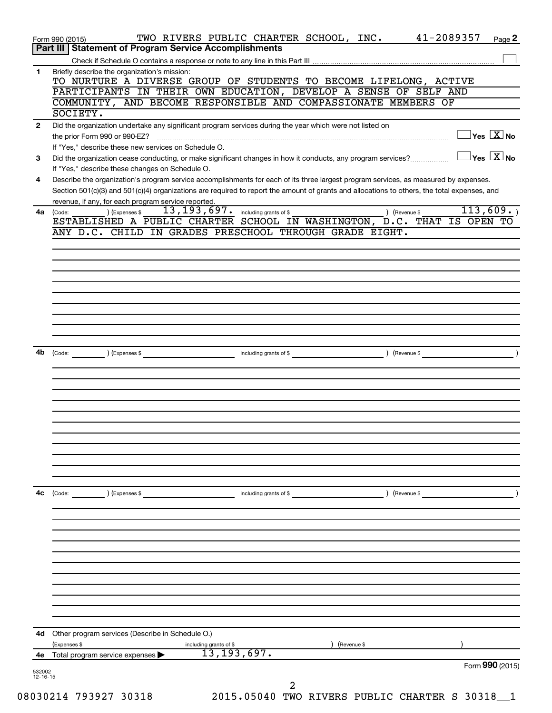| Briefly describe the organization's mission:<br>1<br>TO NURTURE A DIVERSE GROUP OF STUDENTS TO BECOME LIFELONG, ACTIVE<br>PARTICIPANTS IN THEIR OWN EDUCATION, DEVELOP A SENSE OF SELF AND<br>COMMUNITY, AND BECOME RESPONSIBLE AND COMPASSIONATE MEMBERS OF<br>SOCIETY.<br>Did the organization undertake any significant program services during the year which were not listed on<br>2<br>$\exists$ Yes $\boxed{\text{X}}$ No<br>the prior Form 990 or 990-EZ?<br>If "Yes," describe these new services on Schedule O.<br>$\exists$ Yes $\boxed{\text{X}}$ No<br>Did the organization cease conducting, or make significant changes in how it conducts, any program services?<br>3<br>If "Yes," describe these changes on Schedule O.<br>Describe the organization's program service accomplishments for each of its three largest program services, as measured by expenses.<br>4<br>Section 501(c)(3) and 501(c)(4) organizations are required to report the amount of grants and allocations to others, the total expenses, and<br>revenue, if any, for each program service reported.<br>113,609.<br>$\overline{13}$ , $\overline{193}$ , $\overline{697}$ . including grants of \$<br>) (Revenue \$<br>) (Expenses \$<br>4a<br>(Code:<br>ESTABLISHED A PUBLIC CHARTER SCHOOL IN WASHINGTON, D.C. THAT IS OPEN TO<br>ANY D.C. CHILD IN GRADES PRESCHOOL THROUGH GRADE EIGHT.<br>4b<br>(Code: ) (Expenses \$<br>4с<br>(Code:<br>) (Expenses \$<br>including grants of \$<br>) (Revenue \$<br>4d Other program services (Describe in Schedule O.)<br>(Expenses \$<br>Revenue \$<br>including grants of \$<br>13, 193, 697.<br>Total program service expenses<br>4e<br>Form 990 (2015) |  |
|--------------------------------------------------------------------------------------------------------------------------------------------------------------------------------------------------------------------------------------------------------------------------------------------------------------------------------------------------------------------------------------------------------------------------------------------------------------------------------------------------------------------------------------------------------------------------------------------------------------------------------------------------------------------------------------------------------------------------------------------------------------------------------------------------------------------------------------------------------------------------------------------------------------------------------------------------------------------------------------------------------------------------------------------------------------------------------------------------------------------------------------------------------------------------------------------------------------------------------------------------------------------------------------------------------------------------------------------------------------------------------------------------------------------------------------------------------------------------------------------------------------------------------------------------------------------------------------------------------------------------------------------------------------------------------------------|--|
|                                                                                                                                                                                                                                                                                                                                                                                                                                                                                                                                                                                                                                                                                                                                                                                                                                                                                                                                                                                                                                                                                                                                                                                                                                                                                                                                                                                                                                                                                                                                                                                                                                                                                            |  |
|                                                                                                                                                                                                                                                                                                                                                                                                                                                                                                                                                                                                                                                                                                                                                                                                                                                                                                                                                                                                                                                                                                                                                                                                                                                                                                                                                                                                                                                                                                                                                                                                                                                                                            |  |
|                                                                                                                                                                                                                                                                                                                                                                                                                                                                                                                                                                                                                                                                                                                                                                                                                                                                                                                                                                                                                                                                                                                                                                                                                                                                                                                                                                                                                                                                                                                                                                                                                                                                                            |  |
|                                                                                                                                                                                                                                                                                                                                                                                                                                                                                                                                                                                                                                                                                                                                                                                                                                                                                                                                                                                                                                                                                                                                                                                                                                                                                                                                                                                                                                                                                                                                                                                                                                                                                            |  |
|                                                                                                                                                                                                                                                                                                                                                                                                                                                                                                                                                                                                                                                                                                                                                                                                                                                                                                                                                                                                                                                                                                                                                                                                                                                                                                                                                                                                                                                                                                                                                                                                                                                                                            |  |
|                                                                                                                                                                                                                                                                                                                                                                                                                                                                                                                                                                                                                                                                                                                                                                                                                                                                                                                                                                                                                                                                                                                                                                                                                                                                                                                                                                                                                                                                                                                                                                                                                                                                                            |  |
|                                                                                                                                                                                                                                                                                                                                                                                                                                                                                                                                                                                                                                                                                                                                                                                                                                                                                                                                                                                                                                                                                                                                                                                                                                                                                                                                                                                                                                                                                                                                                                                                                                                                                            |  |
|                                                                                                                                                                                                                                                                                                                                                                                                                                                                                                                                                                                                                                                                                                                                                                                                                                                                                                                                                                                                                                                                                                                                                                                                                                                                                                                                                                                                                                                                                                                                                                                                                                                                                            |  |
|                                                                                                                                                                                                                                                                                                                                                                                                                                                                                                                                                                                                                                                                                                                                                                                                                                                                                                                                                                                                                                                                                                                                                                                                                                                                                                                                                                                                                                                                                                                                                                                                                                                                                            |  |
|                                                                                                                                                                                                                                                                                                                                                                                                                                                                                                                                                                                                                                                                                                                                                                                                                                                                                                                                                                                                                                                                                                                                                                                                                                                                                                                                                                                                                                                                                                                                                                                                                                                                                            |  |
|                                                                                                                                                                                                                                                                                                                                                                                                                                                                                                                                                                                                                                                                                                                                                                                                                                                                                                                                                                                                                                                                                                                                                                                                                                                                                                                                                                                                                                                                                                                                                                                                                                                                                            |  |
|                                                                                                                                                                                                                                                                                                                                                                                                                                                                                                                                                                                                                                                                                                                                                                                                                                                                                                                                                                                                                                                                                                                                                                                                                                                                                                                                                                                                                                                                                                                                                                                                                                                                                            |  |
|                                                                                                                                                                                                                                                                                                                                                                                                                                                                                                                                                                                                                                                                                                                                                                                                                                                                                                                                                                                                                                                                                                                                                                                                                                                                                                                                                                                                                                                                                                                                                                                                                                                                                            |  |
|                                                                                                                                                                                                                                                                                                                                                                                                                                                                                                                                                                                                                                                                                                                                                                                                                                                                                                                                                                                                                                                                                                                                                                                                                                                                                                                                                                                                                                                                                                                                                                                                                                                                                            |  |
|                                                                                                                                                                                                                                                                                                                                                                                                                                                                                                                                                                                                                                                                                                                                                                                                                                                                                                                                                                                                                                                                                                                                                                                                                                                                                                                                                                                                                                                                                                                                                                                                                                                                                            |  |
|                                                                                                                                                                                                                                                                                                                                                                                                                                                                                                                                                                                                                                                                                                                                                                                                                                                                                                                                                                                                                                                                                                                                                                                                                                                                                                                                                                                                                                                                                                                                                                                                                                                                                            |  |
|                                                                                                                                                                                                                                                                                                                                                                                                                                                                                                                                                                                                                                                                                                                                                                                                                                                                                                                                                                                                                                                                                                                                                                                                                                                                                                                                                                                                                                                                                                                                                                                                                                                                                            |  |
|                                                                                                                                                                                                                                                                                                                                                                                                                                                                                                                                                                                                                                                                                                                                                                                                                                                                                                                                                                                                                                                                                                                                                                                                                                                                                                                                                                                                                                                                                                                                                                                                                                                                                            |  |
|                                                                                                                                                                                                                                                                                                                                                                                                                                                                                                                                                                                                                                                                                                                                                                                                                                                                                                                                                                                                                                                                                                                                                                                                                                                                                                                                                                                                                                                                                                                                                                                                                                                                                            |  |
|                                                                                                                                                                                                                                                                                                                                                                                                                                                                                                                                                                                                                                                                                                                                                                                                                                                                                                                                                                                                                                                                                                                                                                                                                                                                                                                                                                                                                                                                                                                                                                                                                                                                                            |  |
|                                                                                                                                                                                                                                                                                                                                                                                                                                                                                                                                                                                                                                                                                                                                                                                                                                                                                                                                                                                                                                                                                                                                                                                                                                                                                                                                                                                                                                                                                                                                                                                                                                                                                            |  |
|                                                                                                                                                                                                                                                                                                                                                                                                                                                                                                                                                                                                                                                                                                                                                                                                                                                                                                                                                                                                                                                                                                                                                                                                                                                                                                                                                                                                                                                                                                                                                                                                                                                                                            |  |
|                                                                                                                                                                                                                                                                                                                                                                                                                                                                                                                                                                                                                                                                                                                                                                                                                                                                                                                                                                                                                                                                                                                                                                                                                                                                                                                                                                                                                                                                                                                                                                                                                                                                                            |  |
|                                                                                                                                                                                                                                                                                                                                                                                                                                                                                                                                                                                                                                                                                                                                                                                                                                                                                                                                                                                                                                                                                                                                                                                                                                                                                                                                                                                                                                                                                                                                                                                                                                                                                            |  |
|                                                                                                                                                                                                                                                                                                                                                                                                                                                                                                                                                                                                                                                                                                                                                                                                                                                                                                                                                                                                                                                                                                                                                                                                                                                                                                                                                                                                                                                                                                                                                                                                                                                                                            |  |
|                                                                                                                                                                                                                                                                                                                                                                                                                                                                                                                                                                                                                                                                                                                                                                                                                                                                                                                                                                                                                                                                                                                                                                                                                                                                                                                                                                                                                                                                                                                                                                                                                                                                                            |  |
|                                                                                                                                                                                                                                                                                                                                                                                                                                                                                                                                                                                                                                                                                                                                                                                                                                                                                                                                                                                                                                                                                                                                                                                                                                                                                                                                                                                                                                                                                                                                                                                                                                                                                            |  |
|                                                                                                                                                                                                                                                                                                                                                                                                                                                                                                                                                                                                                                                                                                                                                                                                                                                                                                                                                                                                                                                                                                                                                                                                                                                                                                                                                                                                                                                                                                                                                                                                                                                                                            |  |
|                                                                                                                                                                                                                                                                                                                                                                                                                                                                                                                                                                                                                                                                                                                                                                                                                                                                                                                                                                                                                                                                                                                                                                                                                                                                                                                                                                                                                                                                                                                                                                                                                                                                                            |  |
|                                                                                                                                                                                                                                                                                                                                                                                                                                                                                                                                                                                                                                                                                                                                                                                                                                                                                                                                                                                                                                                                                                                                                                                                                                                                                                                                                                                                                                                                                                                                                                                                                                                                                            |  |
|                                                                                                                                                                                                                                                                                                                                                                                                                                                                                                                                                                                                                                                                                                                                                                                                                                                                                                                                                                                                                                                                                                                                                                                                                                                                                                                                                                                                                                                                                                                                                                                                                                                                                            |  |
|                                                                                                                                                                                                                                                                                                                                                                                                                                                                                                                                                                                                                                                                                                                                                                                                                                                                                                                                                                                                                                                                                                                                                                                                                                                                                                                                                                                                                                                                                                                                                                                                                                                                                            |  |
|                                                                                                                                                                                                                                                                                                                                                                                                                                                                                                                                                                                                                                                                                                                                                                                                                                                                                                                                                                                                                                                                                                                                                                                                                                                                                                                                                                                                                                                                                                                                                                                                                                                                                            |  |
|                                                                                                                                                                                                                                                                                                                                                                                                                                                                                                                                                                                                                                                                                                                                                                                                                                                                                                                                                                                                                                                                                                                                                                                                                                                                                                                                                                                                                                                                                                                                                                                                                                                                                            |  |
|                                                                                                                                                                                                                                                                                                                                                                                                                                                                                                                                                                                                                                                                                                                                                                                                                                                                                                                                                                                                                                                                                                                                                                                                                                                                                                                                                                                                                                                                                                                                                                                                                                                                                            |  |
| 41-2089357<br>TWO RIVERS PUBLIC CHARTER SCHOOL, INC.<br>Page 2<br>Form 990 (2015)<br><b>Statement of Program Service Accomplishments</b><br>Part III                                                                                                                                                                                                                                                                                                                                                                                                                                                                                                                                                                                                                                                                                                                                                                                                                                                                                                                                                                                                                                                                                                                                                                                                                                                                                                                                                                                                                                                                                                                                       |  |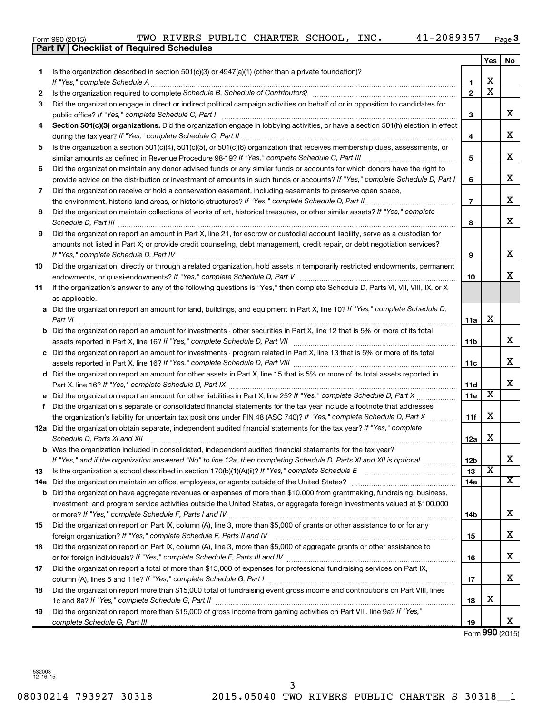|  | Form 990 (2015) |
|--|-----------------|
|  |                 |

|     | Part IV   Checklist of Required Schedules                                                                                                                                                                                                                                                                                                                            |                 |                         |                         |
|-----|----------------------------------------------------------------------------------------------------------------------------------------------------------------------------------------------------------------------------------------------------------------------------------------------------------------------------------------------------------------------|-----------------|-------------------------|-------------------------|
|     |                                                                                                                                                                                                                                                                                                                                                                      |                 | Yes                     | No.                     |
| 1   | Is the organization described in section 501(c)(3) or 4947(a)(1) (other than a private foundation)?                                                                                                                                                                                                                                                                  |                 |                         |                         |
|     |                                                                                                                                                                                                                                                                                                                                                                      | 1               | х                       |                         |
| 2   |                                                                                                                                                                                                                                                                                                                                                                      | $\mathbf{2}$    | $\overline{\text{x}}$   |                         |
| З   | Did the organization engage in direct or indirect political campaign activities on behalf of or in opposition to candidates for                                                                                                                                                                                                                                      |                 |                         |                         |
|     |                                                                                                                                                                                                                                                                                                                                                                      | 3               |                         | x                       |
| 4   | Section 501(c)(3) organizations. Did the organization engage in lobbying activities, or have a section 501(h) election in effect                                                                                                                                                                                                                                     |                 |                         |                         |
|     |                                                                                                                                                                                                                                                                                                                                                                      | 4               |                         | x                       |
| 5   | Is the organization a section 501(c)(4), 501(c)(5), or 501(c)(6) organization that receives membership dues, assessments, or                                                                                                                                                                                                                                         |                 |                         |                         |
|     |                                                                                                                                                                                                                                                                                                                                                                      | 5               |                         | x                       |
| 6   | Did the organization maintain any donor advised funds or any similar funds or accounts for which donors have the right to                                                                                                                                                                                                                                            |                 |                         |                         |
|     | provide advice on the distribution or investment of amounts in such funds or accounts? If "Yes," complete Schedule D, Part I                                                                                                                                                                                                                                         | 6               |                         | x                       |
| 7   | Did the organization receive or hold a conservation easement, including easements to preserve open space,                                                                                                                                                                                                                                                            |                 |                         |                         |
|     |                                                                                                                                                                                                                                                                                                                                                                      | $\overline{7}$  |                         | x                       |
| 8   | Did the organization maintain collections of works of art, historical treasures, or other similar assets? If "Yes," complete                                                                                                                                                                                                                                         |                 |                         |                         |
|     |                                                                                                                                                                                                                                                                                                                                                                      | 8               |                         | x                       |
| 9   | Schedule D, Part III <b>Martin Communication</b> and the Communication of the Communication of the Communication of the Communication of the Communication of the Communication of the Communication of the Communication of the Co<br>Did the organization report an amount in Part X, line 21, for escrow or custodial account liability, serve as a custodian for |                 |                         |                         |
|     | amounts not listed in Part X; or provide credit counseling, debt management, credit repair, or debt negotiation services?                                                                                                                                                                                                                                            |                 |                         |                         |
|     |                                                                                                                                                                                                                                                                                                                                                                      | 9               |                         | x                       |
| 10  | Did the organization, directly or through a related organization, hold assets in temporarily restricted endowments, permanent                                                                                                                                                                                                                                        |                 |                         |                         |
|     |                                                                                                                                                                                                                                                                                                                                                                      | 10              |                         | x.                      |
| 11  | If the organization's answer to any of the following questions is "Yes," then complete Schedule D, Parts VI, VII, VIII, IX, or X                                                                                                                                                                                                                                     |                 |                         |                         |
|     | as applicable.                                                                                                                                                                                                                                                                                                                                                       |                 |                         |                         |
|     | a Did the organization report an amount for land, buildings, and equipment in Part X, line 10? If "Yes," complete Schedule D,                                                                                                                                                                                                                                        |                 |                         |                         |
|     |                                                                                                                                                                                                                                                                                                                                                                      |                 | X                       |                         |
|     | Part VI                                                                                                                                                                                                                                                                                                                                                              | 11a             |                         |                         |
|     | <b>b</b> Did the organization report an amount for investments - other securities in Part X, line 12 that is 5% or more of its total                                                                                                                                                                                                                                 |                 |                         | x                       |
|     |                                                                                                                                                                                                                                                                                                                                                                      | 11 <sub>b</sub> |                         |                         |
|     | c Did the organization report an amount for investments - program related in Part X, line 13 that is 5% or more of its total                                                                                                                                                                                                                                         |                 |                         | x                       |
|     |                                                                                                                                                                                                                                                                                                                                                                      | 11c             |                         |                         |
|     | d Did the organization report an amount for other assets in Part X, line 15 that is 5% or more of its total assets reported in                                                                                                                                                                                                                                       |                 |                         |                         |
|     |                                                                                                                                                                                                                                                                                                                                                                      | <b>11d</b>      | $\overline{\mathbf{X}}$ | x                       |
|     |                                                                                                                                                                                                                                                                                                                                                                      | 11e             |                         |                         |
| f   | Did the organization's separate or consolidated financial statements for the tax year include a footnote that addresses                                                                                                                                                                                                                                              |                 |                         |                         |
|     | the organization's liability for uncertain tax positions under FIN 48 (ASC 740)? If "Yes," complete Schedule D, Part X                                                                                                                                                                                                                                               | 11f             | X                       |                         |
|     | 12a Did the organization obtain separate, independent audited financial statements for the tax year? If "Yes," complete                                                                                                                                                                                                                                              |                 |                         |                         |
|     | Schedule D, Parts XI and XII                                                                                                                                                                                                                                                                                                                                         | 12a             | х                       |                         |
|     | <b>b</b> Was the organization included in consolidated, independent audited financial statements for the tax year?                                                                                                                                                                                                                                                   |                 |                         |                         |
|     | If "Yes," and if the organization answered "No" to line 12a, then completing Schedule D, Parts XI and XII is optional <i></i>                                                                                                                                                                                                                                        | 12 <sub>b</sub> |                         | x                       |
| 13  |                                                                                                                                                                                                                                                                                                                                                                      | 13              | X                       |                         |
| 14a |                                                                                                                                                                                                                                                                                                                                                                      | 14a             |                         | $\overline{\mathbf{x}}$ |
| b   | Did the organization have aggregate revenues or expenses of more than \$10,000 from grantmaking, fundraising, business,                                                                                                                                                                                                                                              |                 |                         |                         |
|     | investment, and program service activities outside the United States, or aggregate foreign investments valued at \$100,000                                                                                                                                                                                                                                           |                 |                         |                         |
|     |                                                                                                                                                                                                                                                                                                                                                                      | 14 <sub>b</sub> |                         | x                       |
| 15  | Did the organization report on Part IX, column (A), line 3, more than \$5,000 of grants or other assistance to or for any                                                                                                                                                                                                                                            |                 |                         |                         |
|     |                                                                                                                                                                                                                                                                                                                                                                      | 15              |                         | х                       |
| 16  | Did the organization report on Part IX, column (A), line 3, more than \$5,000 of aggregate grants or other assistance to                                                                                                                                                                                                                                             |                 |                         |                         |
|     |                                                                                                                                                                                                                                                                                                                                                                      | 16              |                         | х                       |
| 17  | Did the organization report a total of more than \$15,000 of expenses for professional fundraising services on Part IX,                                                                                                                                                                                                                                              |                 |                         |                         |
|     |                                                                                                                                                                                                                                                                                                                                                                      | 17              |                         | х                       |
| 18  | Did the organization report more than \$15,000 total of fundraising event gross income and contributions on Part VIII. lines                                                                                                                                                                                                                                         |                 |                         |                         |
|     |                                                                                                                                                                                                                                                                                                                                                                      | 18              | x                       |                         |
| 19  | Did the organization report more than \$15,000 of gross income from gaming activities on Part VIII, line 9a? If "Yes,"                                                                                                                                                                                                                                               |                 |                         |                         |
|     |                                                                                                                                                                                                                                                                                                                                                                      | 19              |                         | x                       |

Form **990** (2015)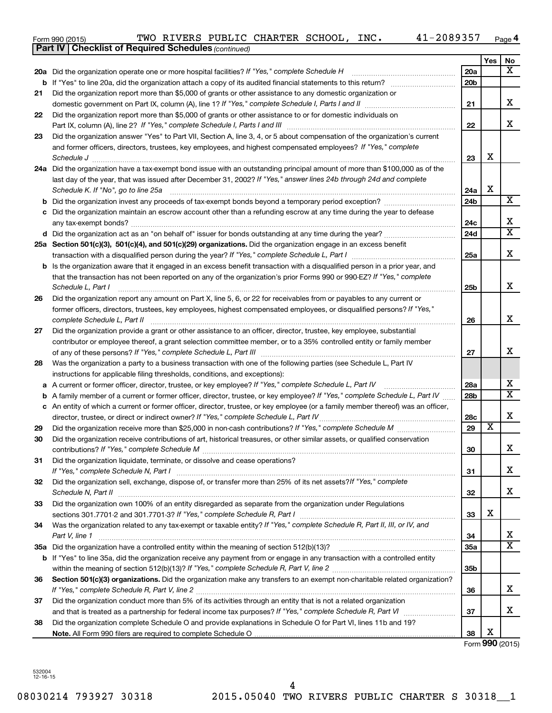| Form 990 (2015) |  |  |  |  |  | TWO RIVERS PUBLIC CHARTER SCHOOL, INC. |  | 41-2089357 | Page |
|-----------------|--|--|--|--|--|----------------------------------------|--|------------|------|
|-----------------|--|--|--|--|--|----------------------------------------|--|------------|------|

|     | <b>Part IV   Checklist of Required Schedules (continued)</b>                                                                        |                 |                         |                         |
|-----|-------------------------------------------------------------------------------------------------------------------------------------|-----------------|-------------------------|-------------------------|
|     |                                                                                                                                     |                 | Yes                     | No.                     |
|     | 20a Did the organization operate one or more hospital facilities? If "Yes," complete Schedule H                                     | 20a             |                         | $\overline{\mathbf{X}}$ |
|     |                                                                                                                                     | 20 <sub>b</sub> |                         |                         |
| 21  | Did the organization report more than \$5,000 of grants or other assistance to any domestic organization or                         |                 |                         |                         |
|     |                                                                                                                                     | 21              |                         | x                       |
| 22  | Did the organization report more than \$5,000 of grants or other assistance to or for domestic individuals on                       |                 |                         |                         |
|     |                                                                                                                                     | 22              |                         | x                       |
| 23  | Did the organization answer "Yes" to Part VII, Section A, line 3, 4, or 5 about compensation of the organization's current          |                 |                         |                         |
|     | and former officers, directors, trustees, key employees, and highest compensated employees? If "Yes," complete                      |                 |                         |                         |
|     | Schedule J <b>Execute Schedule J Execute Schedule J</b>                                                                             | 23              | х                       |                         |
|     | 24a Did the organization have a tax-exempt bond issue with an outstanding principal amount of more than \$100,000 as of the         |                 |                         |                         |
|     | last day of the year, that was issued after December 31, 2002? If "Yes," answer lines 24b through 24d and complete                  |                 |                         |                         |
|     | Schedule K. If "No", go to line 25a                                                                                                 | 24a             | X                       |                         |
| b   |                                                                                                                                     | 24 <sub>b</sub> |                         | $\overline{\text{X}}$   |
|     | Did the organization maintain an escrow account other than a refunding escrow at any time during the year to defease                |                 |                         |                         |
|     |                                                                                                                                     | 24c             |                         | х                       |
|     |                                                                                                                                     | 24d             |                         | $\overline{\textbf{x}}$ |
|     | 25a Section 501(c)(3), 501(c)(4), and 501(c)(29) organizations. Did the organization engage in an excess benefit                    |                 |                         |                         |
|     | transaction with a disqualified person during the year? If "Yes," complete Schedule L, Part I manumumumum                           | 25a             |                         | X                       |
|     | <b>b</b> Is the organization aware that it engaged in an excess benefit transaction with a disqualified person in a prior year, and |                 |                         |                         |
|     | that the transaction has not been reported on any of the organization's prior Forms 990 or 990-EZ? If "Yes," complete               |                 |                         |                         |
|     | Schedule L, Part I                                                                                                                  | 25b             |                         | x                       |
| 26  | Did the organization report any amount on Part X, line 5, 6, or 22 for receivables from or payables to any current or               |                 |                         |                         |
|     | former officers, directors, trustees, key employees, highest compensated employees, or disqualified persons? If "Yes,"              |                 |                         |                         |
|     | complete Schedule L, Part II                                                                                                        | 26              |                         | x                       |
| 27  | Did the organization provide a grant or other assistance to an officer, director, trustee, key employee, substantial                |                 |                         |                         |
|     | contributor or employee thereof, a grant selection committee member, or to a 35% controlled entity or family member                 |                 |                         |                         |
|     |                                                                                                                                     | 27              |                         | x                       |
| 28  | Was the organization a party to a business transaction with one of the following parties (see Schedule L, Part IV                   |                 |                         |                         |
|     | instructions for applicable filing thresholds, conditions, and exceptions):                                                         |                 |                         |                         |
| а   | A current or former officer, director, trustee, or key employee? If "Yes," complete Schedule L, Part IV                             | 28a             |                         | x                       |
| b   | A family member of a current or former officer, director, trustee, or key employee? If "Yes," complete Schedule L, Part IV          | 28 <sub>b</sub> |                         | $\overline{\text{X}}$   |
|     | c An entity of which a current or former officer, director, trustee, or key employee (or a family member thereof) was an officer,   |                 |                         |                         |
|     | director, trustee, or direct or indirect owner? If "Yes," complete Schedule L, Part IV                                              | 28c             |                         | х                       |
| 29  |                                                                                                                                     | 29              | $\overline{\textbf{x}}$ |                         |
| 30  | Did the organization receive contributions of art, historical treasures, or other similar assets, or qualified conservation         |                 |                         |                         |
|     |                                                                                                                                     | 30              |                         | ▵                       |
| 31  | Did the organization liquidate, terminate, or dissolve and cease operations?                                                        |                 |                         |                         |
|     |                                                                                                                                     | 31              |                         | x                       |
| 32  | Did the organization sell, exchange, dispose of, or transfer more than 25% of its net assets?/f "Yes," complete                     |                 |                         |                         |
|     |                                                                                                                                     | 32              |                         | x                       |
| 33  | Did the organization own 100% of an entity disregarded as separate from the organization under Regulations                          |                 |                         |                         |
|     |                                                                                                                                     | 33              | х                       |                         |
| 34  | Was the organization related to any tax-exempt or taxable entity? If "Yes," complete Schedule R, Part II, III, or IV, and           |                 |                         |                         |
|     | Part V, line 1                                                                                                                      | 34              |                         | x                       |
| 35а |                                                                                                                                     | 35a             |                         | $\overline{\mathtt{x}}$ |
|     | b If "Yes" to line 35a, did the organization receive any payment from or engage in any transaction with a controlled entity         |                 |                         |                         |
|     |                                                                                                                                     | 35 <sub>b</sub> |                         |                         |
| 36  | Section 501(c)(3) organizations. Did the organization make any transfers to an exempt non-charitable related organization?          |                 |                         |                         |
|     |                                                                                                                                     | 36              |                         | x                       |
| 37  | Did the organization conduct more than 5% of its activities through an entity that is not a related organization                    |                 |                         |                         |
|     |                                                                                                                                     | 37              |                         | x                       |
| 38  | Did the organization complete Schedule O and provide explanations in Schedule O for Part VI, lines 11b and 19?                      |                 |                         |                         |
|     |                                                                                                                                     | 38              | х                       |                         |

Form **990** (2015)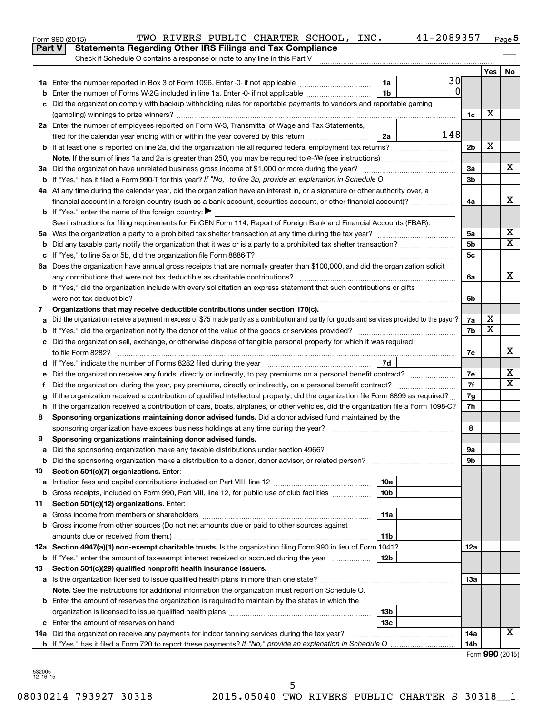|               | 41-2089357<br>TWO RIVERS PUBLIC CHARTER SCHOOL, INC.<br>Form 990 (2015)                                                                         |                 |                         | Page 5 |
|---------------|-------------------------------------------------------------------------------------------------------------------------------------------------|-----------------|-------------------------|--------|
| <b>Part V</b> | <b>Statements Regarding Other IRS Filings and Tax Compliance</b>                                                                                |                 |                         |        |
|               | Check if Schedule O contains a response or note to any line in this Part V                                                                      |                 |                         |        |
|               |                                                                                                                                                 |                 | Yes                     | No     |
|               | 30<br>1a                                                                                                                                        |                 |                         |        |
| b             | $\Omega$<br>1 <sub>b</sub><br>Enter the number of Forms W-2G included in line 1a. Enter -0- if not applicable                                   |                 |                         |        |
|               | c Did the organization comply with backup withholding rules for reportable payments to vendors and reportable gaming                            |                 |                         |        |
|               |                                                                                                                                                 | 1c              | X                       |        |
|               | 2a Enter the number of employees reported on Form W-3, Transmittal of Wage and Tax Statements,                                                  |                 |                         |        |
|               | 148<br>filed for the calendar year ending with or within the year covered by this return<br>2a                                                  |                 |                         |        |
|               |                                                                                                                                                 | 2 <sub>b</sub>  | х                       |        |
|               |                                                                                                                                                 |                 |                         |        |
|               | 3a Did the organization have unrelated business gross income of \$1,000 or more during the year?                                                | За              |                         | х      |
|               |                                                                                                                                                 | 3 <sub>b</sub>  |                         |        |
|               | 4a At any time during the calendar year, did the organization have an interest in, or a signature or other authority over, a                    |                 |                         |        |
|               | financial account in a foreign country (such as a bank account, securities account, or other financial account)?                                | 4a              |                         | x      |
|               | <b>b</b> If "Yes," enter the name of the foreign country: $\blacktriangleright$                                                                 |                 |                         |        |
|               | See instructions for filing requirements for FinCEN Form 114, Report of Foreign Bank and Financial Accounts (FBAR).                             |                 |                         |        |
|               |                                                                                                                                                 | 5a              |                         | х      |
|               |                                                                                                                                                 | 5 <sub>b</sub>  |                         | X      |
|               |                                                                                                                                                 | 5 <sub>c</sub>  |                         |        |
|               | 6a Does the organization have annual gross receipts that are normally greater than \$100,000, and did the organization solicit                  |                 |                         |        |
|               |                                                                                                                                                 | 6a              |                         | х      |
|               | <b>b</b> If "Yes," did the organization include with every solicitation an express statement that such contributions or gifts                   |                 |                         |        |
|               |                                                                                                                                                 | 6b              |                         |        |
| 7             | Organizations that may receive deductible contributions under section 170(c).                                                                   |                 |                         |        |
| a             | Did the organization receive a payment in excess of \$75 made partly as a contribution and partly for goods and services provided to the payor? | 7a              | х                       |        |
|               |                                                                                                                                                 | 7b              | $\overline{\mathbf{X}}$ |        |
|               | c Did the organization sell, exchange, or otherwise dispose of tangible personal property for which it was required                             |                 |                         |        |
|               |                                                                                                                                                 | 7с              |                         | х      |
|               | 7d                                                                                                                                              |                 |                         |        |
| е             |                                                                                                                                                 | 7e              |                         | Х      |
| f.            | Did the organization, during the year, pay premiums, directly or indirectly, on a personal benefit contract?                                    | 7f              |                         | X      |
|               | If the organization received a contribution of qualified intellectual property, did the organization file Form 8899 as required?                | 7g              |                         |        |
|               | h If the organization received a contribution of cars, boats, airplanes, or other vehicles, did the organization file a Form 1098-C?            | 7h              |                         |        |
| 8             | Sponsoring organizations maintaining donor advised funds. Did a donor advised fund maintained by the                                            |                 |                         |        |
|               |                                                                                                                                                 | 8               |                         |        |
|               | Sponsoring organizations maintaining donor advised funds.                                                                                       |                 |                         |        |
| а             | Did the sponsoring organization make any taxable distributions under section 4966?                                                              | 9a              |                         |        |
| b             | Did the sponsoring organization make a distribution to a donor, donor advisor, or related person?                                               | 9b              |                         |        |
| 10            | Section 501(c)(7) organizations. Enter:                                                                                                         |                 |                         |        |
| a             | 10a                                                                                                                                             |                 |                         |        |
| b             | 10 <sub>b</sub><br>Gross receipts, included on Form 990, Part VIII, line 12, for public use of club facilities                                  |                 |                         |        |
| 11            | Section 501(c)(12) organizations. Enter:                                                                                                        |                 |                         |        |
| а             | 11a                                                                                                                                             |                 |                         |        |
|               | b Gross income from other sources (Do not net amounts due or paid to other sources against                                                      |                 |                         |        |
|               | amounts due or received from them.)<br>11b                                                                                                      |                 |                         |        |
|               | 12a Section 4947(a)(1) non-exempt charitable trusts. Is the organization filing Form 990 in lieu of Form 1041?                                  | 12a             |                         |        |
|               | 12b                                                                                                                                             |                 |                         |        |
|               | <b>b</b> If "Yes," enter the amount of tax-exempt interest received or accrued during the year                                                  |                 |                         |        |
| 13            | Section 501(c)(29) qualified nonprofit health insurance issuers.                                                                                |                 |                         |        |
|               | a Is the organization licensed to issue qualified health plans in more than one state?                                                          | 13a             |                         |        |
|               | Note. See the instructions for additional information the organization must report on Schedule O.                                               |                 |                         |        |
|               | <b>b</b> Enter the amount of reserves the organization is required to maintain by the states in which the                                       |                 |                         |        |
|               | 13b                                                                                                                                             |                 |                         |        |
|               | 13c                                                                                                                                             |                 |                         | x      |
|               | 14a Did the organization receive any payments for indoor tanning services during the tax year?                                                  | 14a             |                         |        |
|               |                                                                                                                                                 | 14 <sub>b</sub> |                         |        |
|               |                                                                                                                                                 |                 | Form 990 (2015)         |        |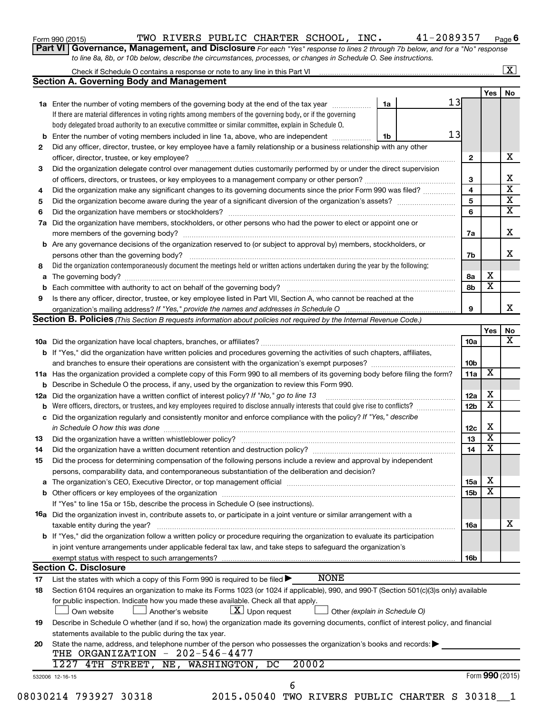| Form 990 (2015) |  |  |
|-----------------|--|--|
|-----------------|--|--|

### Form 990 (2015) Page TWO RIVERS PUBLIC CHARTER SCHOOL, INC. 41-2089357

**6**

**Part VI** Governance, Management, and Disclosure For each "Yes" response to lines 2 through 7b below, and for a "No" response *to line 8a, 8b, or 10b below, describe the circumstances, processes, or changes in Schedule O. See instructions.*

|     |                                                                                                                                              |    |                 |                         | $\mathbf{X}$    |
|-----|----------------------------------------------------------------------------------------------------------------------------------------------|----|-----------------|-------------------------|-----------------|
|     | <b>Section A. Governing Body and Management</b>                                                                                              |    |                 |                         |                 |
|     |                                                                                                                                              |    |                 | Yes                     | No              |
|     | <b>1a</b> Enter the number of voting members of the governing body at the end of the tax year                                                | 1a | 13              |                         |                 |
|     | If there are material differences in voting rights among members of the governing body, or if the governing                                  |    |                 |                         |                 |
|     | body delegated broad authority to an executive committee or similar committee, explain in Schedule O.                                        |    |                 |                         |                 |
|     | <b>b</b> Enter the number of voting members included in line 1a, above, who are independent <i>manumum</i>                                   | 1b | 13              |                         |                 |
| 2   | Did any officer, director, trustee, or key employee have a family relationship or a business relationship with any other                     |    |                 |                         |                 |
|     | officer, director, trustee, or key employee?                                                                                                 |    | $\mathbf{2}$    |                         |                 |
| 3   | Did the organization delegate control over management duties customarily performed by or under the direct supervision                        |    |                 |                         |                 |
|     |                                                                                                                                              |    | 3               |                         |                 |
| 4   | Did the organization make any significant changes to its governing documents since the prior Form 990 was filed?                             |    | 4               |                         |                 |
| 5   |                                                                                                                                              |    | 5               |                         |                 |
| 6   |                                                                                                                                              |    | 6               |                         |                 |
| 7a  | Did the organization have members, stockholders, or other persons who had the power to elect or appoint one or                               |    |                 |                         |                 |
|     |                                                                                                                                              |    | 7a              |                         |                 |
|     |                                                                                                                                              |    |                 |                         |                 |
|     | <b>b</b> Are any governance decisions of the organization reserved to (or subject to approval by) members, stockholders, or                  |    |                 |                         |                 |
|     |                                                                                                                                              |    | 7b              |                         |                 |
| 8   | Did the organization contemporaneously document the meetings held or written actions undertaken during the year by the following:            |    |                 |                         |                 |
| a   |                                                                                                                                              |    | 8а              | х                       |                 |
|     |                                                                                                                                              |    | 8b              | $\overline{\mathbf{x}}$ |                 |
| 9   | Is there any officer, director, trustee, or key employee listed in Part VII, Section A, who cannot be reached at the                         |    |                 |                         |                 |
|     |                                                                                                                                              |    | 9               |                         |                 |
|     | <b>Section B. Policies</b> (This Section B requests information about policies not required by the Internal Revenue Code.)                   |    |                 |                         |                 |
|     |                                                                                                                                              |    |                 | Yes                     |                 |
|     |                                                                                                                                              |    | 10a             |                         |                 |
|     | b If "Yes," did the organization have written policies and procedures governing the activities of such chapters, affiliates,                 |    |                 |                         |                 |
|     |                                                                                                                                              |    | 10b             |                         |                 |
|     | 11a Has the organization provided a complete copy of this Form 990 to all members of its governing body before filing the form?              |    | 11a             | х                       |                 |
|     | <b>b</b> Describe in Schedule O the process, if any, used by the organization to review this Form 990.                                       |    |                 |                         |                 |
| 12a | Did the organization have a written conflict of interest policy? If "No," go to line 13                                                      |    | 12a             | х                       |                 |
|     | <b>b</b> Were officers, directors, or trustees, and key employees required to disclose annually interests that could give rise to conflicts? |    | 12 <sub>b</sub> | х                       |                 |
| с   | Did the organization regularly and consistently monitor and enforce compliance with the policy? If "Yes," describe                           |    |                 |                         |                 |
|     |                                                                                                                                              |    | 12c             | х                       |                 |
|     | in Schedule O how this was done manufactured and continuum and contact the was done manufactured and contact t                               |    | 13              | $\overline{\mathbf{x}}$ |                 |
| 13  |                                                                                                                                              |    |                 | X                       |                 |
| 14  | Did the organization have a written document retention and destruction policy? [11] manufaction manufaction in                               |    | 14              |                         |                 |
| 15  | Did the process for determining compensation of the following persons include a review and approval by independent                           |    |                 |                         |                 |
|     | persons, comparability data, and contemporaneous substantiation of the deliberation and decision?                                            |    |                 |                         |                 |
|     |                                                                                                                                              |    | <b>15a</b>      | х                       |                 |
|     |                                                                                                                                              |    | 15b             | X                       |                 |
|     | If "Yes" to line 15a or 15b, describe the process in Schedule O (see instructions).                                                          |    |                 |                         |                 |
|     | <b>16a</b> Did the organization invest in, contribute assets to, or participate in a joint venture or similar arrangement with a             |    |                 |                         |                 |
|     | taxable entity during the year?                                                                                                              |    | 16a             |                         |                 |
|     | <b>b</b> If "Yes," did the organization follow a written policy or procedure requiring the organization to evaluate its participation        |    |                 |                         |                 |
|     | in joint venture arrangements under applicable federal tax law, and take steps to safeguard the organization's                               |    |                 |                         |                 |
|     | exempt status with respect to such arrangements?                                                                                             |    | 16b             |                         |                 |
|     | <b>Section C. Disclosure</b>                                                                                                                 |    |                 |                         |                 |
| 17  | <b>NONE</b><br>List the states with which a copy of this Form 990 is required to be filed $\blacktriangleright$                              |    |                 |                         |                 |
| 18  | Section 6104 requires an organization to make its Forms 1023 (or 1024 if applicable), 990, and 990-T (Section 501(c)(3)s only) available     |    |                 |                         |                 |
|     | for public inspection. Indicate how you made these available. Check all that apply.                                                          |    |                 |                         |                 |
|     | $\lfloor x \rfloor$ Upon request<br>Own website<br>Another's website<br>Other (explain in Schedule O)                                        |    |                 |                         |                 |
|     |                                                                                                                                              |    |                 |                         |                 |
| 19  | Describe in Schedule O whether (and if so, how) the organization made its governing documents, conflict of interest policy, and financial    |    |                 |                         |                 |
|     | statements available to the public during the tax year.                                                                                      |    |                 |                         |                 |
| 20  | State the name, address, and telephone number of the person who possesses the organization's books and records:                              |    |                 |                         |                 |
|     | THE ORGANIZATION - 202-546-4477                                                                                                              |    |                 |                         |                 |
|     | 20002<br>1227 4TH STREET,<br>NE, WASHINGTON,<br>DC                                                                                           |    |                 |                         |                 |
|     | 532006 12-16-15                                                                                                                              |    |                 |                         |                 |
|     | 6<br>08030214 793927 30318<br>2015.05040 TWO RIVERS PUBLIC CHARTER S 30318 1                                                                 |    |                 |                         | Form 990 (2015) |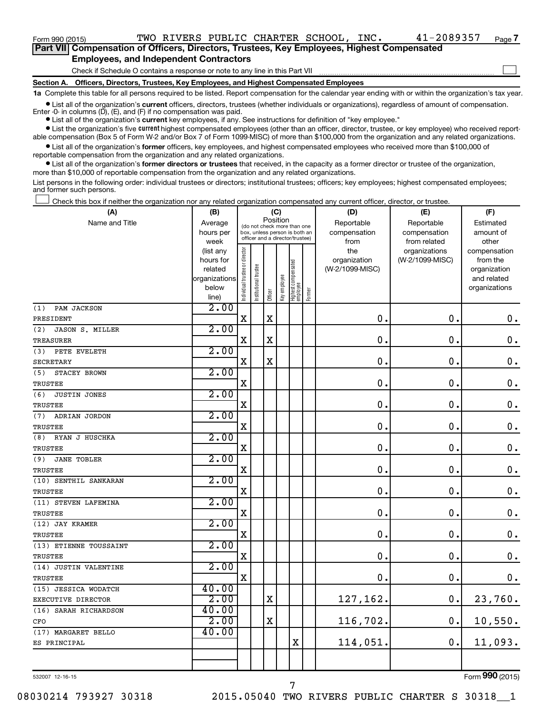Form 990 (2015) Page TWO RIVERS PUBLIC CHARTER SCHOOL, INC. 41-2089357

 $\Box$ 

| Part VII Compensation of Officers, Directors, Trustees, Key Employees, Highest Compensated |
|--------------------------------------------------------------------------------------------|
| <b>Employees, and Independent Contractors</b>                                              |

Check if Schedule O contains a response or note to any line in this Part VII

**Section A. Officers, Directors, Trustees, Key Employees, and Highest Compensated Employees**

**1a**  Complete this table for all persons required to be listed. Report compensation for the calendar year ending with or within the organization's tax year.

**•** List all of the organization's current officers, directors, trustees (whether individuals or organizations), regardless of amount of compensation.

**•** List all of the organization's **current** key employees, if any. See instructions for definition of "key employee." Enter -0- in columns  $(D)$ ,  $(E)$ , and  $(F)$  if no compensation was paid.

**•** List the organization's five current highest compensated employees (other than an officer, director, trustee, or key employee) who received reportable compensation (Box 5 of Form W-2 and/or Box 7 of Form 1099-MISC) of more than \$100,000 from the organization and any related organizations.

**•** List all of the organization's former officers, key employees, and highest compensated employees who received more than \$100,000 of reportable compensation from the organization and any related organizations.

**•** List all of the organization's former directors or trustees that received, in the capacity as a former director or trustee of the organization, more than \$10,000 of reportable compensation from the organization and any related organizations.

List persons in the following order: individual trustees or directors; institutional trustees; officers; key employees; highest compensated employees; and former such persons.

Check this box if neither the organization nor any related organization compensated any current officer, director, or trustee.  $\Box$ 

| (A)                       | (B)                    | (C)                                     |                                                                  |             |              |                                   |        | (D)                 | (E)                              | (F)                      |  |  |
|---------------------------|------------------------|-----------------------------------------|------------------------------------------------------------------|-------------|--------------|-----------------------------------|--------|---------------------|----------------------------------|--------------------------|--|--|
| Name and Title            | Average                | Position<br>(do not check more than one |                                                                  |             |              |                                   |        | Reportable          | Reportable                       | Estimated                |  |  |
|                           | hours per              |                                         | box, unless person is both an<br>officer and a director/trustee) |             |              |                                   |        | compensation        | compensation                     | amount of                |  |  |
|                           | week                   |                                         |                                                                  |             |              |                                   |        | from                | from related                     | other                    |  |  |
|                           | (list any<br>hours for |                                         |                                                                  |             |              |                                   |        | the<br>organization | organizations<br>(W-2/1099-MISC) | compensation<br>from the |  |  |
|                           | related                |                                         |                                                                  |             |              |                                   |        | (W-2/1099-MISC)     |                                  | organization             |  |  |
|                           | organizations          |                                         | onal trustee                                                     |             |              |                                   |        |                     |                                  | and related              |  |  |
|                           | below                  |                                         |                                                                  |             |              |                                   |        |                     |                                  | organizations            |  |  |
|                           | line)                  | Individual trustee or director          | Instituti                                                        | Officer     | Key employee | Highest compensated<br>  employee | Former |                     |                                  |                          |  |  |
| PAM JACKSON<br>(1)        | 2.00                   |                                         |                                                                  |             |              |                                   |        |                     |                                  |                          |  |  |
| PRESIDENT                 |                        | $\mathbf x$                             |                                                                  | $\mathbf X$ |              |                                   |        | $\mathbf 0$ .       | $\mathbf 0$ .                    | $0$ .                    |  |  |
| (2)<br>JASON S. MILLER    | 2.00                   |                                         |                                                                  |             |              |                                   |        |                     |                                  |                          |  |  |
| TREASURER                 |                        | X                                       |                                                                  | X           |              |                                   |        | 0.                  | $\mathbf 0$                      | $\mathbf 0$ .            |  |  |
| (3)<br>PETE EVELETH       | 2.00                   |                                         |                                                                  |             |              |                                   |        |                     |                                  |                          |  |  |
| <b>SECRETARY</b>          |                        | X                                       |                                                                  | $\mathbf X$ |              |                                   |        | 0.                  | $\mathbf 0$                      | $\mathbf 0$ .            |  |  |
| (5)<br>STACEY BROWN       | 2.00                   |                                         |                                                                  |             |              |                                   |        |                     |                                  |                          |  |  |
| TRUSTEE                   |                        | $\mathbf X$                             |                                                                  |             |              |                                   |        | 0.                  | $\mathbf 0$ .                    | $\mathbf 0$ .            |  |  |
| JUSTIN JONES<br>(6)       | 2.00                   |                                         |                                                                  |             |              |                                   |        |                     |                                  |                          |  |  |
| TRUSTEE                   |                        | $\mathbf X$                             |                                                                  |             |              |                                   |        | 0.                  | $\mathbf 0$ .                    | $\mathbf 0$ .            |  |  |
| (7)<br>ADRIAN JORDON      | 2.00                   |                                         |                                                                  |             |              |                                   |        |                     |                                  |                          |  |  |
| TRUSTEE                   |                        | $\mathbf X$                             |                                                                  |             |              |                                   |        | 0.                  | $\mathbf 0$                      | $\mathbf 0$ .            |  |  |
| RYAN J HUSCHKA<br>(8)     | 2.00                   |                                         |                                                                  |             |              |                                   |        |                     |                                  |                          |  |  |
| <b>TRUSTEE</b>            |                        | $\mathbf x$                             |                                                                  |             |              |                                   |        | 0.                  | $\mathbf 0$ .                    | $\mathbf 0$ .            |  |  |
| (9)<br><b>JANE TOBLER</b> | 2.00                   |                                         |                                                                  |             |              |                                   |        |                     |                                  |                          |  |  |
| TRUSTEE                   |                        | X                                       |                                                                  |             |              |                                   |        | 0.                  | $\mathbf 0$                      | $\mathbf 0$ .            |  |  |
| (10) SENTHIL SANKARAN     | 2.00                   |                                         |                                                                  |             |              |                                   |        |                     |                                  |                          |  |  |
| TRUSTEE                   |                        | $\mathbf x$                             |                                                                  |             |              |                                   |        | 0.                  | $\mathbf 0$                      | $\mathbf 0$ .            |  |  |
| (11) STEVEN LAFEMINA      | 2.00                   |                                         |                                                                  |             |              |                                   |        |                     |                                  |                          |  |  |
| TRUSTEE                   |                        | $\mathbf X$                             |                                                                  |             |              |                                   |        | 0.                  | $\mathbf 0$                      | $\mathbf 0$ .            |  |  |
| (12) JAY KRAMER           | 2.00                   |                                         |                                                                  |             |              |                                   |        |                     |                                  |                          |  |  |
| <b>TRUSTEE</b>            |                        | $\mathbf x$                             |                                                                  |             |              |                                   |        | 0.                  | $\mathbf 0$                      | $\mathbf 0$ .            |  |  |
| (13) ETIENNE TOUSSAINT    | 2.00                   |                                         |                                                                  |             |              |                                   |        |                     |                                  |                          |  |  |
| TRUSTEE                   |                        | X                                       |                                                                  |             |              |                                   |        | 0.                  | $\mathbf 0$                      | $\mathbf 0$ .            |  |  |
| (14) JUSTIN VALENTINE     | 2.00                   |                                         |                                                                  |             |              |                                   |        |                     |                                  |                          |  |  |
| TRUSTEE                   |                        | $\mathbf X$                             |                                                                  |             |              |                                   |        | $\mathbf 0$ .       | $\mathbf 0$ .                    | $\mathbf 0$ .            |  |  |
| (15) JESSICA WODATCH      | 40.00                  |                                         |                                                                  |             |              |                                   |        |                     |                                  |                          |  |  |
| EXECUTIVE DIRECTOR        | 2.00                   |                                         |                                                                  | X           |              |                                   |        | 127,162.            | $\mathbf 0$ .                    | 23,760.                  |  |  |
| (16) SARAH RICHARDSON     | 40.00                  |                                         |                                                                  |             |              |                                   |        |                     |                                  |                          |  |  |
| CFO                       | 2.00                   |                                         |                                                                  | $\mathbf X$ |              |                                   |        | 116,702.            | $\mathbf 0$ .                    | 10,550.                  |  |  |
| (17) MARGARET BELLO       | 40.00                  |                                         |                                                                  |             |              |                                   |        |                     |                                  |                          |  |  |
| ES PRINCIPAL              |                        |                                         |                                                                  |             |              | $\rm X$                           |        | 114,051.            | $\mathbf 0$ .                    | 11,093.                  |  |  |
|                           |                        |                                         |                                                                  |             |              |                                   |        |                     |                                  |                          |  |  |
|                           |                        |                                         |                                                                  |             |              |                                   |        |                     |                                  |                          |  |  |

532007 12-16-15

Form (2015) **990**

08030214 793927 30318 2015.05040 TWO RIVERS PUBLIC CHARTER S 30318\_\_1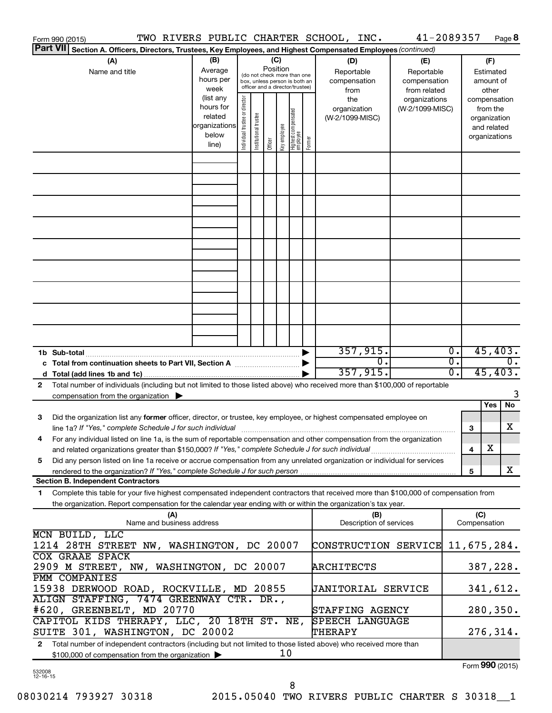| Form 990 (2015)                                                                                                                                                                                                                             | TWO RIVERS PUBLIC CHARTER SCHOOL, INC.                               |                                |                                                                                                 |                 |                                  |        |                                           |                                                                      | 41-2089357<br>Page 8                                                     |  |
|---------------------------------------------------------------------------------------------------------------------------------------------------------------------------------------------------------------------------------------------|----------------------------------------------------------------------|--------------------------------|-------------------------------------------------------------------------------------------------|-----------------|----------------------------------|--------|-------------------------------------------|----------------------------------------------------------------------|--------------------------------------------------------------------------|--|
| Part VII Section A. Officers, Directors, Trustees, Key Employees, and Highest Compensated Employees (continued)                                                                                                                             |                                                                      |                                |                                                                                                 |                 |                                  |        |                                           |                                                                      |                                                                          |  |
| (A)<br>Name and title                                                                                                                                                                                                                       | (B)<br>Average<br>hours per<br>week                                  |                                | (do not check more than one<br>box, unless person is both an<br>officer and a director/trustee) | (C)<br>Position |                                  |        | (D)<br>Reportable<br>compensation<br>from | (E)<br>Reportable<br>compensation<br>from related                    | (F)<br>Estimated<br>amount of<br>other                                   |  |
|                                                                                                                                                                                                                                             | (list any<br>hours for<br>related<br>organizations<br>below<br>line) | Individual trustee or director | Institutional trustee<br>Officer                                                                | Key employee    | Highest compensated<br> employee | Former | the<br>organization<br>(W-2/1099-MISC)    | organizations<br>(W-2/1099-MISC)                                     | compensation<br>from the<br>organization<br>and related<br>organizations |  |
|                                                                                                                                                                                                                                             |                                                                      |                                |                                                                                                 |                 |                                  |        |                                           |                                                                      |                                                                          |  |
|                                                                                                                                                                                                                                             |                                                                      |                                |                                                                                                 |                 |                                  |        |                                           |                                                                      |                                                                          |  |
|                                                                                                                                                                                                                                             |                                                                      |                                |                                                                                                 |                 |                                  |        |                                           |                                                                      |                                                                          |  |
|                                                                                                                                                                                                                                             |                                                                      |                                |                                                                                                 |                 |                                  |        |                                           |                                                                      |                                                                          |  |
|                                                                                                                                                                                                                                             |                                                                      |                                |                                                                                                 |                 |                                  |        |                                           |                                                                      |                                                                          |  |
|                                                                                                                                                                                                                                             |                                                                      |                                |                                                                                                 |                 |                                  |        |                                           |                                                                      |                                                                          |  |
|                                                                                                                                                                                                                                             |                                                                      |                                |                                                                                                 |                 |                                  |        |                                           |                                                                      |                                                                          |  |
|                                                                                                                                                                                                                                             |                                                                      |                                |                                                                                                 |                 |                                  |        | 357,915.                                  |                                                                      | 45,403.<br>$\overline{0}$ .                                              |  |
| $\overline{0}$ .<br>c Total from continuation sheets to Part VII, Section A manuscription of<br>357, 915.                                                                                                                                   |                                                                      |                                |                                                                                                 |                 |                                  |        |                                           | $\overline{0}$ .<br>$\overline{0}$ .<br>45, 403.<br>$\overline{0}$ . |                                                                          |  |
| Total number of individuals (including but not limited to those listed above) who received more than \$100,000 of reportable<br>2<br>compensation from the organization $\blacktriangleright$                                               |                                                                      |                                |                                                                                                 |                 |                                  |        |                                           |                                                                      |                                                                          |  |
| Did the organization list any former officer, director, or trustee, key employee, or highest compensated employee on<br>3<br>line 1a? If "Yes," complete Schedule J for such individual manufactured contains and the set of the schedule J |                                                                      |                                |                                                                                                 |                 |                                  |        |                                           |                                                                      | Yes<br>No<br>х<br>3                                                      |  |
| For any individual listed on line 1a, is the sum of reportable compensation and other compensation from the organization<br>and related organizations greater than \$150,000? If "Yes," complete Schedule J for such individual             |                                                                      |                                |                                                                                                 |                 |                                  |        |                                           |                                                                      | х<br>4                                                                   |  |
| Did any person listed on line 1a receive or accrue compensation from any unrelated organization or individual for services<br>5                                                                                                             |                                                                      |                                |                                                                                                 |                 |                                  |        |                                           |                                                                      | Χ<br>5                                                                   |  |
| <b>Section B. Independent Contractors</b><br>Complete this table for your five highest compensated independent contractors that received more than \$100,000 of compensation from<br>1.                                                     |                                                                      |                                |                                                                                                 |                 |                                  |        |                                           |                                                                      |                                                                          |  |
| the organization. Report compensation for the calendar year ending with or within the organization's tax year.                                                                                                                              |                                                                      |                                |                                                                                                 |                 |                                  |        |                                           |                                                                      |                                                                          |  |
| MCN BUILD, LLC                                                                                                                                                                                                                              | (A)<br>Name and business address                                     |                                |                                                                                                 |                 |                                  |        | (B)<br>Description of services            |                                                                      | (C)<br>Compensation                                                      |  |
| 1214 28TH STREET NW, WASHINGTON, DC 20007<br><b>COX GRAAE SPACK</b>                                                                                                                                                                         |                                                                      |                                |                                                                                                 |                 |                                  |        | CONSTRUCTION SERVICE                      |                                                                      | 11,675,284.                                                              |  |
| 2909 M STREET, NW, WASHINGTON, DC 20007<br>ARCHITECTS<br>PMM COMPANIES                                                                                                                                                                      |                                                                      |                                |                                                                                                 |                 |                                  |        |                                           | 387,228.                                                             |                                                                          |  |
| 15938 DERWOOD ROAD, ROCKVILLE, MD 20855<br>JANITORIAL SERVICE<br>ALIGN STAFFING, 7474 GREENWAY CTR. DR.,                                                                                                                                    |                                                                      |                                |                                                                                                 |                 |                                  |        |                                           | 341,612.                                                             |                                                                          |  |
| #620, GREENBELT, MD 20770<br>CAPITOL KIDS THERAPY, LLC, 20 18TH ST. NE,                                                                                                                                                                     |                                                                      |                                |                                                                                                 |                 |                                  |        | STAFFING AGENCY<br><b>SPEECH LANGUAGE</b> |                                                                      | 280, 350.                                                                |  |
| SUITE 301, WASHINGTON, DC 20002                                                                                                                                                                                                             |                                                                      |                                |                                                                                                 |                 |                                  |        | THERAPY                                   |                                                                      | 276,314.                                                                 |  |
| Total number of independent contractors (including but not limited to those listed above) who received more than<br>$\mathbf{2}$<br>10<br>\$100,000 of compensation from the organization                                                   |                                                                      |                                |                                                                                                 |                 |                                  |        |                                           | Form 990 (2015)                                                      |                                                                          |  |

Form (2015) **990**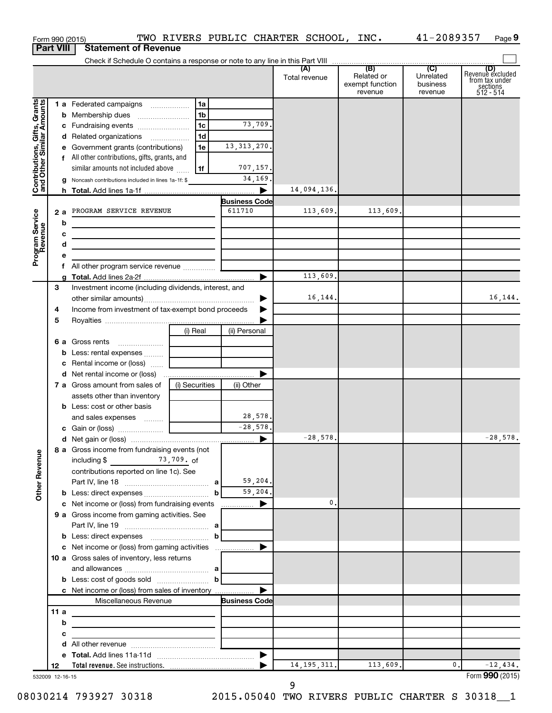|                                                           |                       | Form 990 (2015)                                                                                                                                                                                                                                                 |                                                                        |                                                 | TWO RIVERS PUBLIC CHARTER SCHOOL, INC. |                                                 | 41-2089357                              | Page 9                                                             |
|-----------------------------------------------------------|-----------------------|-----------------------------------------------------------------------------------------------------------------------------------------------------------------------------------------------------------------------------------------------------------------|------------------------------------------------------------------------|-------------------------------------------------|----------------------------------------|-------------------------------------------------|-----------------------------------------|--------------------------------------------------------------------|
|                                                           | <b>Part VIII</b>      | <b>Statement of Revenue</b>                                                                                                                                                                                                                                     |                                                                        |                                                 |                                        |                                                 |                                         |                                                                    |
|                                                           |                       |                                                                                                                                                                                                                                                                 |                                                                        |                                                 | (A)<br>Total revenue                   | (B)<br>Related or<br>exempt function<br>revenue | (C)<br>Unrelated<br>business<br>revenue | (D)<br>Revenue excluded<br>from tax under<br>sections<br>512 - 514 |
| Contributions, Gifts, Grants<br>and Other Similar Amounts |                       | 1 a Federated campaigns<br>c Fundraising events<br>d Related organizations<br>e Government grants (contributions)<br>f All other contributions, gifts, grants, and<br>similar amounts not included above<br>g Noncash contributions included in lines 1a-1f: \$ | 1a<br>1 <sub>b</sub><br>1 <sub>c</sub><br>1 <sub>d</sub><br>1e<br>  1f | 73,709.<br>13, 313, 270.<br>707,157.<br>34,169. | 14,094,136.                            |                                                 |                                         |                                                                    |
|                                                           |                       |                                                                                                                                                                                                                                                                 |                                                                        | <b>Business Code</b>                            |                                        |                                                 |                                         |                                                                    |
| Program Service<br>Revenue                                | b<br>c<br>d<br>е      | 2 a PROGRAM SERVICE REVENUE<br>the control of the control of the control of the control of the control of<br>the control of the control of the control of the control of the control of                                                                         |                                                                        | 611710                                          | 113,609.                               | 113,609.                                        |                                         |                                                                    |
|                                                           | f.                    | All other program service revenue                                                                                                                                                                                                                               |                                                                        |                                                 |                                        |                                                 |                                         |                                                                    |
|                                                           |                       |                                                                                                                                                                                                                                                                 |                                                                        | ▶                                               | 113,609.                               |                                                 |                                         |                                                                    |
|                                                           | 3<br>4                | Investment income (including dividends, interest, and<br>Income from investment of tax-exempt bond proceeds                                                                                                                                                     |                                                                        | ▶<br>▶                                          | 16, 144.                               |                                                 |                                         | 16,144.                                                            |
|                                                           | 5                     |                                                                                                                                                                                                                                                                 | (i) Real                                                               | (ii) Personal                                   |                                        |                                                 |                                         |                                                                    |
|                                                           |                       | 6 a Gross rents<br><b>b</b> Less: rental expenses<br>c Rental income or (loss)                                                                                                                                                                                  |                                                                        |                                                 |                                        |                                                 |                                         |                                                                    |
|                                                           |                       | d Net rental income or (loss)                                                                                                                                                                                                                                   |                                                                        |                                                 |                                        |                                                 |                                         |                                                                    |
|                                                           |                       | 7 a Gross amount from sales of<br>assets other than inventory<br><b>b</b> Less: cost or other basis                                                                                                                                                             | (i) Securities                                                         | (ii) Other                                      |                                        |                                                 |                                         |                                                                    |
|                                                           |                       | and sales expenses                                                                                                                                                                                                                                              |                                                                        | 28,578.<br>$-28,578.$                           |                                        |                                                 |                                         |                                                                    |
|                                                           |                       |                                                                                                                                                                                                                                                                 |                                                                        |                                                 | $-28,578.$                             |                                                 |                                         | $-28,578.$                                                         |
| <b>Other Revenue</b>                                      |                       | 8 a Gross income from fundraising events (not<br>including $$$ 73,709. of<br>contributions reported on line 1c). See                                                                                                                                            |                                                                        | 59,204.                                         |                                        |                                                 |                                         |                                                                    |
|                                                           |                       |                                                                                                                                                                                                                                                                 | b                                                                      | 59,204.                                         |                                        |                                                 |                                         |                                                                    |
|                                                           |                       | c Net income or (loss) from fundraising events<br>9 a Gross income from gaming activities. See                                                                                                                                                                  |                                                                        | ▶<br>.                                          | 0.                                     |                                                 |                                         |                                                                    |
|                                                           |                       |                                                                                                                                                                                                                                                                 | а<br>$\mathbf b$                                                       |                                                 |                                        |                                                 |                                         |                                                                    |
|                                                           |                       | c Net income or (loss) from gaming activities<br>10 a Gross sales of inventory, less returns                                                                                                                                                                    | bl                                                                     | ▶                                               |                                        |                                                 |                                         |                                                                    |
|                                                           |                       | c Net income or (loss) from sales of inventory<br>Miscellaneous Revenue                                                                                                                                                                                         |                                                                        | <b>Business Code</b>                            |                                        |                                                 |                                         |                                                                    |
|                                                           | 11a                   |                                                                                                                                                                                                                                                                 |                                                                        |                                                 |                                        |                                                 |                                         |                                                                    |
|                                                           | b                     | the control of the control of the control of the control of the control of                                                                                                                                                                                      |                                                                        |                                                 |                                        |                                                 |                                         |                                                                    |
|                                                           | c                     | <u> 1989 - Johann John Stein, markin fan it ferstjer fan it ferstjer fan it ferstjer fan it ferstjer fan it fers</u>                                                                                                                                            |                                                                        |                                                 |                                        |                                                 |                                         |                                                                    |
|                                                           | d                     |                                                                                                                                                                                                                                                                 |                                                                        |                                                 |                                        |                                                 |                                         |                                                                    |
|                                                           |                       |                                                                                                                                                                                                                                                                 |                                                                        | $\blacktriangleright$                           |                                        |                                                 |                                         |                                                                    |
|                                                           | 12<br>532009 12-16-15 |                                                                                                                                                                                                                                                                 |                                                                        |                                                 | 14, 195, 311.                          | 113,609.                                        | $\mathbf{0}$ .                          | $-12,434.$<br>Form 990 (2015)                                      |

08030214 793927 30318 2015.05040 TWO RIVERS PUBLIC CHARTER S 30318\_\_1

9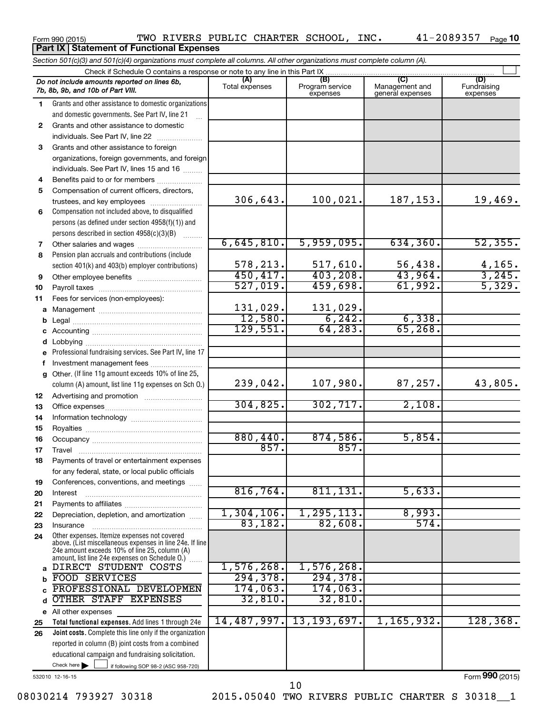**Part IX Statement of Functional Expenses** 

Form 990 (2015)  $\,$  TWO RIVERS PUBLIC CHARTER SCHOOL, INC.  $\,$  41-2089357  $\,$  Page

| Section 501(c)(3) and 501(c)(4) organizations must complete all columns. All other organizations must complete column (A). |                                                                                                                                                                                                               |                       |                                    |                                           |                                |  |  |  |
|----------------------------------------------------------------------------------------------------------------------------|---------------------------------------------------------------------------------------------------------------------------------------------------------------------------------------------------------------|-----------------------|------------------------------------|-------------------------------------------|--------------------------------|--|--|--|
|                                                                                                                            | Check if Schedule O contains a response or note to any line in this Part IX                                                                                                                                   |                       |                                    |                                           |                                |  |  |  |
|                                                                                                                            | Do not include amounts reported on lines 6b,<br>7b, 8b, 9b, and 10b of Part VIII.                                                                                                                             | (A)<br>Total expenses | (B)<br>Program service<br>expenses | (C)<br>Management and<br>general expenses | (D)<br>Fundraising<br>expenses |  |  |  |
| 1.                                                                                                                         | Grants and other assistance to domestic organizations                                                                                                                                                         |                       |                                    |                                           |                                |  |  |  |
|                                                                                                                            | and domestic governments. See Part IV, line 21                                                                                                                                                                |                       |                                    |                                           |                                |  |  |  |
| $\mathbf{2}$                                                                                                               | Grants and other assistance to domestic                                                                                                                                                                       |                       |                                    |                                           |                                |  |  |  |
|                                                                                                                            | individuals. See Part IV, line 22                                                                                                                                                                             |                       |                                    |                                           |                                |  |  |  |
| 3                                                                                                                          | Grants and other assistance to foreign                                                                                                                                                                        |                       |                                    |                                           |                                |  |  |  |
|                                                                                                                            | organizations, foreign governments, and foreign                                                                                                                                                               |                       |                                    |                                           |                                |  |  |  |
|                                                                                                                            | individuals. See Part IV, lines 15 and 16                                                                                                                                                                     |                       |                                    |                                           |                                |  |  |  |
| 4                                                                                                                          | Benefits paid to or for members                                                                                                                                                                               |                       |                                    |                                           |                                |  |  |  |
| 5                                                                                                                          | Compensation of current officers, directors,                                                                                                                                                                  |                       |                                    |                                           |                                |  |  |  |
|                                                                                                                            | trustees, and key employees                                                                                                                                                                                   | 306,643.              | 100,021.                           | 187, 153.                                 | 19,469.                        |  |  |  |
| 6                                                                                                                          | Compensation not included above, to disqualified                                                                                                                                                              |                       |                                    |                                           |                                |  |  |  |
|                                                                                                                            | persons (as defined under section 4958(f)(1)) and                                                                                                                                                             |                       |                                    |                                           |                                |  |  |  |
|                                                                                                                            | persons described in section 4958(c)(3)(B)                                                                                                                                                                    |                       |                                    |                                           |                                |  |  |  |
| 7                                                                                                                          |                                                                                                                                                                                                               | 6,645,810.            | 5,959,095.                         | 634, 360.                                 | 52, 355.                       |  |  |  |
| 8                                                                                                                          | Pension plan accruals and contributions (include                                                                                                                                                              |                       |                                    |                                           |                                |  |  |  |
|                                                                                                                            | section 401(k) and 403(b) employer contributions)                                                                                                                                                             | 578,213.              | 517,610.                           | 56,438.                                   | $\frac{4,165}{3,245}$          |  |  |  |
| 9                                                                                                                          | Other employee benefits                                                                                                                                                                                       | 450, 417.             | 403, 208.                          | 43,964.                                   |                                |  |  |  |
| 10                                                                                                                         |                                                                                                                                                                                                               | 527,019.              | 459,698.                           | 61,992.                                   | 5,329.                         |  |  |  |
| 11                                                                                                                         | Fees for services (non-employees):                                                                                                                                                                            |                       |                                    |                                           |                                |  |  |  |
| a                                                                                                                          |                                                                                                                                                                                                               | 131,029.              | 131,029.                           |                                           |                                |  |  |  |
| b                                                                                                                          |                                                                                                                                                                                                               | 12,580.               | 6, 242.                            | 6,338.                                    |                                |  |  |  |
| с                                                                                                                          |                                                                                                                                                                                                               | 129,551.              | 64, 283.                           | 65, 268.                                  |                                |  |  |  |
| d                                                                                                                          |                                                                                                                                                                                                               |                       |                                    |                                           |                                |  |  |  |
| е                                                                                                                          | Professional fundraising services. See Part IV, line 17                                                                                                                                                       |                       |                                    |                                           |                                |  |  |  |
| f                                                                                                                          | Investment management fees                                                                                                                                                                                    |                       |                                    |                                           |                                |  |  |  |
| g                                                                                                                          | Other. (If line 11g amount exceeds 10% of line 25,                                                                                                                                                            |                       |                                    |                                           |                                |  |  |  |
|                                                                                                                            | column (A) amount, list line 11g expenses on Sch O.)                                                                                                                                                          | 239,042.              | 107,980.                           | 87, 257.                                  | 43,805.                        |  |  |  |
| 12                                                                                                                         |                                                                                                                                                                                                               |                       |                                    |                                           |                                |  |  |  |
| 13                                                                                                                         |                                                                                                                                                                                                               | 304,825.              | 302, 717.                          | 2,108.                                    |                                |  |  |  |
| 14                                                                                                                         |                                                                                                                                                                                                               |                       |                                    |                                           |                                |  |  |  |
| 15                                                                                                                         |                                                                                                                                                                                                               |                       |                                    |                                           |                                |  |  |  |
| 16                                                                                                                         |                                                                                                                                                                                                               | 880,440.              | 874,586.                           | 5,854.                                    |                                |  |  |  |
| 17                                                                                                                         |                                                                                                                                                                                                               | 857.                  | 857.                               |                                           |                                |  |  |  |
|                                                                                                                            | Payments of travel or entertainment expenses                                                                                                                                                                  |                       |                                    |                                           |                                |  |  |  |
|                                                                                                                            | for any federal, state, or local public officials                                                                                                                                                             |                       |                                    |                                           |                                |  |  |  |
| 19                                                                                                                         | Conferences, conventions, and meetings                                                                                                                                                                        |                       |                                    |                                           |                                |  |  |  |
| 20                                                                                                                         | Interest                                                                                                                                                                                                      | 816,764.              | 811, 131.                          | 5,633.                                    |                                |  |  |  |
| 21                                                                                                                         |                                                                                                                                                                                                               |                       |                                    |                                           |                                |  |  |  |
| 22                                                                                                                         | Depreciation, depletion, and amortization                                                                                                                                                                     | $1,304,106$ .         | 1, 295, 113.                       | 8,993.                                    |                                |  |  |  |
| 23                                                                                                                         | Insurance                                                                                                                                                                                                     | 83,182.               | 82,608.                            | 574.                                      |                                |  |  |  |
| 24                                                                                                                         | Other expenses. Itemize expenses not covered<br>above. (List miscellaneous expenses in line 24e. If line<br>24e amount exceeds 10% of line 25, column (A)<br>amount, list line 24e expenses on Schedule O.) [ |                       |                                    |                                           |                                |  |  |  |
| a                                                                                                                          | DIRECT STUDENT COSTS                                                                                                                                                                                          | 1,576,268.            | 1,576,268.                         |                                           |                                |  |  |  |
| b                                                                                                                          | FOOD SERVICES                                                                                                                                                                                                 | 294, 378.             | 294, 378.                          |                                           |                                |  |  |  |
|                                                                                                                            | PROFESSIONAL DEVELOPMEN                                                                                                                                                                                       | 174,063.              | 174,063.                           |                                           |                                |  |  |  |
| d                                                                                                                          | OTHER STAFF EXPENSES                                                                                                                                                                                          | 32,810.               | 32,810.                            |                                           |                                |  |  |  |
|                                                                                                                            | e All other expenses                                                                                                                                                                                          |                       |                                    |                                           |                                |  |  |  |
| 25                                                                                                                         | Total functional expenses. Add lines 1 through 24e                                                                                                                                                            | 14,487,997.           | 13, 193, 697.                      | 1, 165, 932.                              | 128, 368.                      |  |  |  |
| 26                                                                                                                         | Joint costs. Complete this line only if the organization                                                                                                                                                      |                       |                                    |                                           |                                |  |  |  |
|                                                                                                                            | reported in column (B) joint costs from a combined                                                                                                                                                            |                       |                                    |                                           |                                |  |  |  |
|                                                                                                                            | educational campaign and fundraising solicitation.                                                                                                                                                            |                       |                                    |                                           |                                |  |  |  |
|                                                                                                                            | Check here $\blacktriangleright$<br>if following SOP 98-2 (ASC 958-720)                                                                                                                                       |                       |                                    |                                           |                                |  |  |  |

532010 12-16-15

Form (2015) **990**

10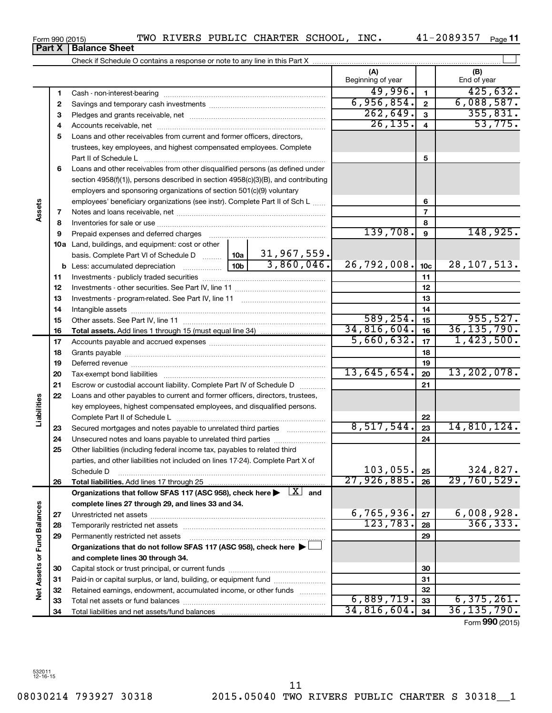~~~~~~~~~~~~~~~~~~~~~~ ~~~~~~~~~~~~~~~~~~~~~  $\blacktriangleright$ ~~~~~~~~~~~~~~~ ……………………… ~~~~~~~~~~ †

Form 990 (2015)  $\,$  TWO RIVERS PUBLIC CHARTER SCHOOL, INC.  $\,$  41-2089357  $\,$  Page

41-2089357 Page 11

|                      |          |                                                                                                                                                                                                                                |  |                                               | (A)               |                 | (B)           |
|----------------------|----------|--------------------------------------------------------------------------------------------------------------------------------------------------------------------------------------------------------------------------------|--|-----------------------------------------------|-------------------|-----------------|---------------|
|                      |          |                                                                                                                                                                                                                                |  |                                               | Beginning of year |                 | End of year   |
|                      | 1        |                                                                                                                                                                                                                                |  |                                               | 49,996.           | $\mathbf{1}$    | 425,632.      |
|                      | 2        |                                                                                                                                                                                                                                |  |                                               | 6,956,854.        | $\overline{2}$  | 6,088,587.    |
|                      | 3        |                                                                                                                                                                                                                                |  |                                               | 262,649.          | 3               | 355,831.      |
|                      | 4        |                                                                                                                                                                                                                                |  |                                               | 26, 135.          | 4               | 53,775.       |
|                      | 5        | Loans and other receivables from current and former officers, directors,                                                                                                                                                       |  |                                               |                   |                 |               |
|                      |          | trustees, key employees, and highest compensated employees. Complete                                                                                                                                                           |  |                                               |                   |                 |               |
|                      |          | Part II of Schedule L                                                                                                                                                                                                          |  |                                               |                   | 5               |               |
|                      | 6        | Loans and other receivables from other disqualified persons (as defined under                                                                                                                                                  |  |                                               |                   |                 |               |
|                      |          | section 4958(f)(1)), persons described in section 4958(c)(3)(B), and contributing                                                                                                                                              |  |                                               |                   |                 |               |
|                      |          | employers and sponsoring organizations of section 501(c)(9) voluntary                                                                                                                                                          |  |                                               |                   |                 |               |
|                      |          | employees' beneficiary organizations (see instr). Complete Part II of Sch L                                                                                                                                                    |  |                                               |                   | 6               |               |
| Assets               | 7        |                                                                                                                                                                                                                                |  |                                               |                   | $\overline{7}$  |               |
|                      | 8        |                                                                                                                                                                                                                                |  |                                               | 8                 |                 |               |
|                      | 9        | Prepaid expenses and deferred charges [11] [11] Prepaid expenses and deferred charges [11] [11] Martin Martin (11] (11] Martin Martin (11] Martin Martin Martin Martin Martin Martin Martin Martin Martin Martin Martin Martin |  |                                               | 139,708.          | 9               | 148,925.      |
|                      |          | 10a Land, buildings, and equipment: cost or other                                                                                                                                                                              |  |                                               |                   |                 |               |
|                      |          | basis. Complete Part VI of Schedule D    10a   31,967,559.                                                                                                                                                                     |  |                                               |                   |                 |               |
|                      |          |                                                                                                                                                                                                                                |  | 3,860,046.                                    | 26,792,008.       | 10 <sub>c</sub> | 28, 107, 513. |
|                      | 11       |                                                                                                                                                                                                                                |  |                                               |                   | 11              |               |
|                      | 12       |                                                                                                                                                                                                                                |  | 12                                            |                   |                 |               |
|                      | 13       |                                                                                                                                                                                                                                |  |                                               |                   | 13              |               |
|                      | 14       |                                                                                                                                                                                                                                |  |                                               |                   | 14              |               |
|                      | 15       |                                                                                                                                                                                                                                |  |                                               | 589, 254.         | 15              | 955,527.      |
|                      | 16       |                                                                                                                                                                                                                                |  |                                               | 34,816,604.       | 16              | 36, 135, 790. |
|                      | 17       |                                                                                                                                                                                                                                |  |                                               | 5,660,632.        | 17              | 1,423,500.    |
|                      | 18       |                                                                                                                                                                                                                                |  | 18                                            |                   |                 |               |
|                      | 19       |                                                                                                                                                                                                                                |  | 19                                            |                   |                 |               |
|                      | 20       |                                                                                                                                                                                                                                |  |                                               | 13,645,654.       | 20              | 13, 202, 078. |
|                      | 21       | Escrow or custodial account liability. Complete Part IV of Schedule D                                                                                                                                                          |  | $\mathcal{L}$ . The contract of $\mathcal{L}$ |                   | 21              |               |
|                      | 22       | Loans and other payables to current and former officers, directors, trustees,                                                                                                                                                  |  |                                               |                   |                 |               |
| Liabilities          |          | key employees, highest compensated employees, and disqualified persons.                                                                                                                                                        |  |                                               |                   |                 |               |
|                      |          |                                                                                                                                                                                                                                |  |                                               |                   | 22              |               |
|                      | 23       | Secured mortgages and notes payable to unrelated third parties                                                                                                                                                                 |  |                                               | 8,517,544.        | 23              | 14,810,124.   |
|                      | 24       | Unsecured notes and loans payable to unrelated third parties                                                                                                                                                                   |  |                                               |                   | 24              |               |
|                      | 25       | Other liabilities (including federal income tax, payables to related third                                                                                                                                                     |  |                                               |                   |                 |               |
|                      |          | parties, and other liabilities not included on lines 17-24). Complete Part X of                                                                                                                                                |  |                                               | $103,055$ .       |                 | 324,827.      |
|                      |          | Schedule D                                                                                                                                                                                                                     |  |                                               | 27,926,885.       | 25              | 29,760,529.   |
|                      | 26       |                                                                                                                                                                                                                                |  |                                               |                   | 26              |               |
|                      |          | Organizations that follow SFAS 117 (ASC 958), check here $\blacktriangleright \begin{array}{c} \boxed{X} \\ \end{array}$ and<br>complete lines 27 through 29, and lines 33 and 34.                                             |  |                                               |                   |                 |               |
| <b>Fund Balances</b> |          |                                                                                                                                                                                                                                |  |                                               | 6,765,936.        | 27              | 6,008,928.    |
|                      | 27       |                                                                                                                                                                                                                                |  |                                               | 123,783.          | 28              | 366, 333.     |
|                      | 28<br>29 | Permanently restricted net assets                                                                                                                                                                                              |  |                                               |                   | 29              |               |
|                      |          | Organizations that do not follow SFAS 117 (ASC 958), check here >                                                                                                                                                              |  |                                               |                   |                 |               |
|                      |          |                                                                                                                                                                                                                                |  |                                               |                   |                 |               |
| ৯                    | 30       | and complete lines 30 through 34.                                                                                                                                                                                              |  |                                               |                   | 30              |               |
|                      | 31       | Paid-in or capital surplus, or land, building, or equipment fund                                                                                                                                                               |  |                                               |                   | 31              |               |
| <b>Net Assets</b>    | 32       | Retained earnings, endowment, accumulated income, or other funds                                                                                                                                                               |  |                                               |                   | 32              |               |
|                      | 33       |                                                                                                                                                                                                                                |  |                                               | 6,889,719.        | 33              | 6,375,261.    |
|                      | 34       |                                                                                                                                                                                                                                |  |                                               | 34,816,604.       | 34              | 36,135,790.   |

**Part X Balance Sheet**

Form (2015) **990**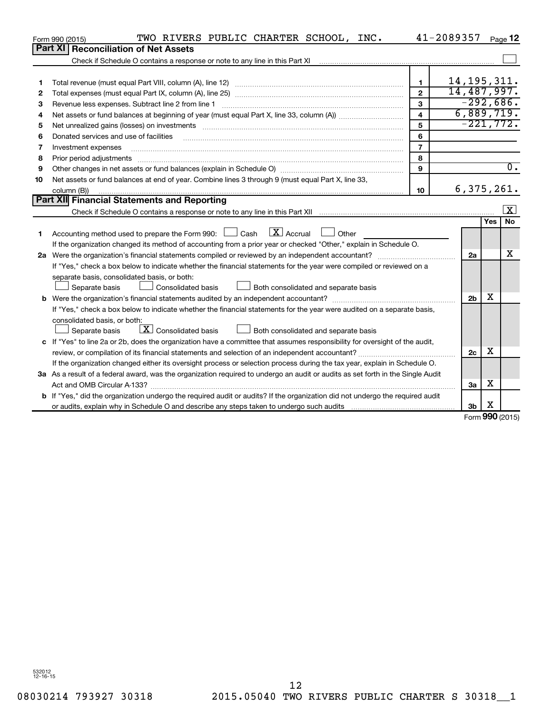| Form 990 (2015) | TWO RIVERS PUBLIC CHARTER SCHOOL, INC.                                                                                                                                                                                         |                         | 41-2089357     |            | Page 12                 |  |  |  |  |  |
|-----------------|--------------------------------------------------------------------------------------------------------------------------------------------------------------------------------------------------------------------------------|-------------------------|----------------|------------|-------------------------|--|--|--|--|--|
|                 | Part XI   Reconciliation of Net Assets                                                                                                                                                                                         |                         |                |            |                         |  |  |  |  |  |
|                 | Check if Schedule O contains a response or note to any line in this Part XI                                                                                                                                                    |                         |                |            |                         |  |  |  |  |  |
|                 |                                                                                                                                                                                                                                |                         |                |            |                         |  |  |  |  |  |
| 1               |                                                                                                                                                                                                                                | 1                       | 14, 195, 311.  |            |                         |  |  |  |  |  |
| 2               |                                                                                                                                                                                                                                | $\overline{2}$          | 14,487,997.    |            |                         |  |  |  |  |  |
| 3               | Revenue less expenses. Subtract line 2 from line 1                                                                                                                                                                             | $\mathbf{3}$            | $-292,686.$    |            |                         |  |  |  |  |  |
| 4               |                                                                                                                                                                                                                                | $\overline{\mathbf{4}}$ | 6,889,719.     |            |                         |  |  |  |  |  |
| 5               | Net unrealized gains (losses) on investments [11] matter contracts and the state of the state of the state of the state of the state of the state of the state of the state of the state of the state of the state of the stat | 5                       | $-221,772.$    |            |                         |  |  |  |  |  |
| 6               | Donated services and use of facilities                                                                                                                                                                                         | 6                       |                |            |                         |  |  |  |  |  |
| 7               | Investment expenses                                                                                                                                                                                                            | $\overline{7}$          |                |            |                         |  |  |  |  |  |
| 8               |                                                                                                                                                                                                                                | 8                       |                |            |                         |  |  |  |  |  |
| 9               |                                                                                                                                                                                                                                | 9                       |                |            | $\overline{0}$ .        |  |  |  |  |  |
| 10              | Net assets or fund balances at end of year. Combine lines 3 through 9 (must equal Part X, line 33,                                                                                                                             |                         |                |            |                         |  |  |  |  |  |
|                 | column (B))                                                                                                                                                                                                                    | 10                      | 6,375,261.     |            |                         |  |  |  |  |  |
|                 | Part XII Financial Statements and Reporting                                                                                                                                                                                    |                         |                |            |                         |  |  |  |  |  |
|                 |                                                                                                                                                                                                                                |                         |                |            | $\overline{\mathbf{x}}$ |  |  |  |  |  |
|                 |                                                                                                                                                                                                                                |                         |                | <b>Yes</b> | <b>No</b>               |  |  |  |  |  |
| 1               | Accounting method used to prepare the Form 990: $\Box$ Cash $\Box X$ Accrual<br><b>Durier</b>                                                                                                                                  |                         |                |            |                         |  |  |  |  |  |
|                 | If the organization changed its method of accounting from a prior year or checked "Other," explain in Schedule O.                                                                                                              |                         |                |            |                         |  |  |  |  |  |
|                 |                                                                                                                                                                                                                                |                         | 2a             |            | x                       |  |  |  |  |  |
|                 | If "Yes," check a box below to indicate whether the financial statements for the year were compiled or reviewed on a                                                                                                           |                         |                |            |                         |  |  |  |  |  |
|                 | separate basis, consolidated basis, or both:                                                                                                                                                                                   |                         |                |            |                         |  |  |  |  |  |
|                 | Separate basis<br>Consolidated basis<br>Both consolidated and separate basis                                                                                                                                                   |                         |                |            |                         |  |  |  |  |  |
|                 |                                                                                                                                                                                                                                |                         | 2 <sub>b</sub> | х          |                         |  |  |  |  |  |
|                 | If "Yes," check a box below to indicate whether the financial statements for the year were audited on a separate basis,                                                                                                        |                         |                |            |                         |  |  |  |  |  |
|                 | consolidated basis, or both:                                                                                                                                                                                                   |                         |                |            |                         |  |  |  |  |  |
|                 | $X$ Consolidated basis<br>Both consolidated and separate basis<br>Separate basis                                                                                                                                               |                         |                |            |                         |  |  |  |  |  |
|                 | c If "Yes" to line 2a or 2b, does the organization have a committee that assumes responsibility for oversight of the audit,                                                                                                    |                         |                |            |                         |  |  |  |  |  |
|                 | review, or compilation of its financial statements and selection of an independent accountant?                                                                                                                                 |                         | 2c             | х          |                         |  |  |  |  |  |
|                 | If the organization changed either its oversight process or selection process during the tax year, explain in Schedule O.                                                                                                      |                         |                |            |                         |  |  |  |  |  |
|                 | 3a As a result of a federal award, was the organization required to undergo an audit or audits as set forth in the Single Audit                                                                                                |                         |                |            |                         |  |  |  |  |  |
|                 |                                                                                                                                                                                                                                |                         | За             | x          |                         |  |  |  |  |  |
|                 | b If "Yes," did the organization undergo the required audit or audits? If the organization did not undergo the required audit                                                                                                  |                         |                |            |                         |  |  |  |  |  |
|                 |                                                                                                                                                                                                                                |                         | 3 <sub>b</sub> | X<br>nnn   |                         |  |  |  |  |  |

Form (2015) **990**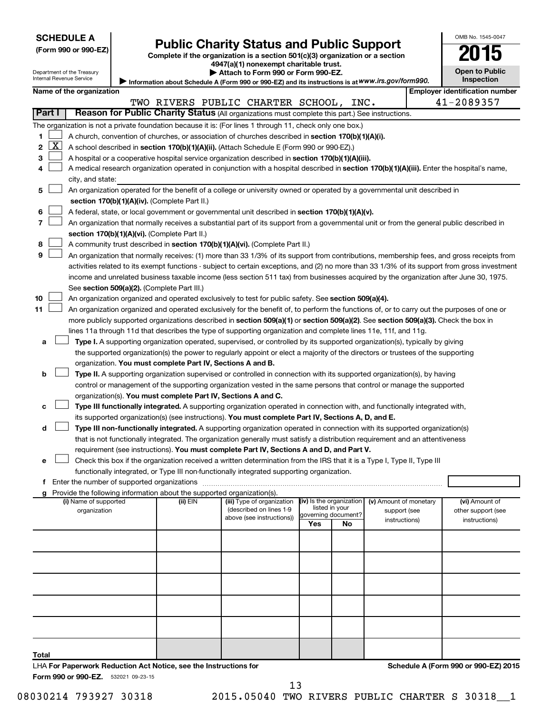|  |  |  | <b>SCHEDULE A</b> |  |
|--|--|--|-------------------|--|
|--|--|--|-------------------|--|

# Form 990 or 990-EZ) **Public Charity Status and Public Support**<br>
Complete if the organization is a section 501(c)(3) organization or a section<br> **2015**

**4947(a)(1) nonexempt charitable trust.**

|  |  |  |  |  | $\blacktriangleright$ Attach to Form 990 or Form 990-EZ. |
|--|--|--|--|--|----------------------------------------------------------|
|--|--|--|--|--|----------------------------------------------------------|

**Open to Public Inspection**

OMB No. 1545-0047

|                   |                                                                                                                                                                            | Department of the Treasury<br>Internal Revenue Service |  |                                                                        | ▶ Attach to Form 990 or Form 990-EZ.                                                                                                                                                                                            |                          |                |                        | <b>Open to Public</b><br>Inspection   |
|-------------------|----------------------------------------------------------------------------------------------------------------------------------------------------------------------------|--------------------------------------------------------|--|------------------------------------------------------------------------|---------------------------------------------------------------------------------------------------------------------------------------------------------------------------------------------------------------------------------|--------------------------|----------------|------------------------|---------------------------------------|
|                   |                                                                                                                                                                            | Name of the organization                               |  |                                                                        | Information about Schedule A (Form 990 or 990-EZ) and its instructions is at WWW.irs.gov/form990.                                                                                                                               |                          |                |                        | <b>Employer identification number</b> |
|                   |                                                                                                                                                                            |                                                        |  |                                                                        | TWO RIVERS PUBLIC CHARTER SCHOOL, INC.                                                                                                                                                                                          |                          |                |                        | 41-2089357                            |
|                   | Part I                                                                                                                                                                     |                                                        |  |                                                                        | Reason for Public Charity Status (All organizations must complete this part.) See instructions.                                                                                                                                 |                          |                |                        |                                       |
|                   |                                                                                                                                                                            |                                                        |  |                                                                        |                                                                                                                                                                                                                                 |                          |                |                        |                                       |
|                   |                                                                                                                                                                            |                                                        |  |                                                                        | The organization is not a private foundation because it is: (For lines 1 through 11, check only one box.)                                                                                                                       |                          |                |                        |                                       |
| 1<br>$\mathbf{2}$ | <u>X  </u>                                                                                                                                                                 |                                                        |  |                                                                        | A church, convention of churches, or association of churches described in section 170(b)(1)(A)(i).                                                                                                                              |                          |                |                        |                                       |
|                   |                                                                                                                                                                            |                                                        |  |                                                                        | A school described in section 170(b)(1)(A)(ii). (Attach Schedule E (Form 990 or 990-EZ).)                                                                                                                                       |                          |                |                        |                                       |
| З                 |                                                                                                                                                                            |                                                        |  |                                                                        | A hospital or a cooperative hospital service organization described in section 170(b)(1)(A)(iii).                                                                                                                               |                          |                |                        |                                       |
| 4                 |                                                                                                                                                                            |                                                        |  |                                                                        | A medical research organization operated in conjunction with a hospital described in section 170(b)(1)(A)(iii). Enter the hospital's name,                                                                                      |                          |                |                        |                                       |
| 5                 |                                                                                                                                                                            | city, and state:                                       |  |                                                                        |                                                                                                                                                                                                                                 |                          |                |                        |                                       |
|                   | An organization operated for the benefit of a college or university owned or operated by a governmental unit described in<br>section 170(b)(1)(A)(iv). (Complete Part II.) |                                                        |  |                                                                        |                                                                                                                                                                                                                                 |                          |                |                        |                                       |
| 6                 |                                                                                                                                                                            |                                                        |  |                                                                        | A federal, state, or local government or governmental unit described in section 170(b)(1)(A)(v).                                                                                                                                |                          |                |                        |                                       |
| 7                 |                                                                                                                                                                            |                                                        |  |                                                                        | An organization that normally receives a substantial part of its support from a governmental unit or from the general public described in                                                                                       |                          |                |                        |                                       |
|                   |                                                                                                                                                                            |                                                        |  | section 170(b)(1)(A)(vi). (Complete Part II.)                          |                                                                                                                                                                                                                                 |                          |                |                        |                                       |
| 8                 |                                                                                                                                                                            |                                                        |  |                                                                        | A community trust described in section 170(b)(1)(A)(vi). (Complete Part II.)                                                                                                                                                    |                          |                |                        |                                       |
| 9                 |                                                                                                                                                                            |                                                        |  |                                                                        | An organization that normally receives: (1) more than 33 1/3% of its support from contributions, membership fees, and gross receipts from                                                                                       |                          |                |                        |                                       |
|                   |                                                                                                                                                                            |                                                        |  |                                                                        | activities related to its exempt functions - subject to certain exceptions, and (2) no more than 33 1/3% of its support from gross investment                                                                                   |                          |                |                        |                                       |
|                   |                                                                                                                                                                            |                                                        |  |                                                                        | income and unrelated business taxable income (less section 511 tax) from businesses acquired by the organization after June 30, 1975.                                                                                           |                          |                |                        |                                       |
|                   |                                                                                                                                                                            |                                                        |  | See section 509(a)(2). (Complete Part III.)                            |                                                                                                                                                                                                                                 |                          |                |                        |                                       |
| 10                |                                                                                                                                                                            |                                                        |  |                                                                        | An organization organized and operated exclusively to test for public safety. See section 509(a)(4).                                                                                                                            |                          |                |                        |                                       |
| 11                |                                                                                                                                                                            |                                                        |  |                                                                        | An organization organized and operated exclusively for the benefit of, to perform the functions of, or to carry out the purposes of one or                                                                                      |                          |                |                        |                                       |
|                   | more publicly supported organizations described in section 509(a)(1) or section 509(a)(2). See section 509(a)(3). Check the box in                                         |                                                        |  |                                                                        |                                                                                                                                                                                                                                 |                          |                |                        |                                       |
|                   | lines 11a through 11d that describes the type of supporting organization and complete lines 11e, 11f, and 11g.                                                             |                                                        |  |                                                                        |                                                                                                                                                                                                                                 |                          |                |                        |                                       |
|                   | Type I. A supporting organization operated, supervised, or controlled by its supported organization(s), typically by giving<br>а                                           |                                                        |  |                                                                        |                                                                                                                                                                                                                                 |                          |                |                        |                                       |
|                   | the supported organization(s) the power to regularly appoint or elect a majority of the directors or trustees of the supporting                                            |                                                        |  |                                                                        |                                                                                                                                                                                                                                 |                          |                |                        |                                       |
|                   |                                                                                                                                                                            |                                                        |  | organization. You must complete Part IV, Sections A and B.             |                                                                                                                                                                                                                                 |                          |                |                        |                                       |
| b                 |                                                                                                                                                                            |                                                        |  |                                                                        | Type II. A supporting organization supervised or controlled in connection with its supported organization(s), by having                                                                                                         |                          |                |                        |                                       |
|                   |                                                                                                                                                                            |                                                        |  |                                                                        | control or management of the supporting organization vested in the same persons that control or manage the supported                                                                                                            |                          |                |                        |                                       |
|                   |                                                                                                                                                                            |                                                        |  | organization(s). You must complete Part IV, Sections A and C.          |                                                                                                                                                                                                                                 |                          |                |                        |                                       |
| с                 |                                                                                                                                                                            |                                                        |  |                                                                        | Type III functionally integrated. A supporting organization operated in connection with, and functionally integrated with,                                                                                                      |                          |                |                        |                                       |
| d                 |                                                                                                                                                                            |                                                        |  |                                                                        | its supported organization(s) (see instructions). You must complete Part IV, Sections A, D, and E.<br>Type III non-functionally integrated. A supporting organization operated in connection with its supported organization(s) |                          |                |                        |                                       |
|                   |                                                                                                                                                                            |                                                        |  |                                                                        | that is not functionally integrated. The organization generally must satisfy a distribution requirement and an attentiveness                                                                                                    |                          |                |                        |                                       |
|                   |                                                                                                                                                                            |                                                        |  |                                                                        | requirement (see instructions). You must complete Part IV, Sections A and D, and Part V.                                                                                                                                        |                          |                |                        |                                       |
| е                 |                                                                                                                                                                            |                                                        |  |                                                                        | Check this box if the organization received a written determination from the IRS that it is a Type I, Type II, Type III                                                                                                         |                          |                |                        |                                       |
|                   |                                                                                                                                                                            |                                                        |  |                                                                        | functionally integrated, or Type III non-functionally integrated supporting organization.                                                                                                                                       |                          |                |                        |                                       |
|                   |                                                                                                                                                                            |                                                        |  |                                                                        |                                                                                                                                                                                                                                 |                          |                |                        |                                       |
|                   |                                                                                                                                                                            |                                                        |  | Provide the following information about the supported organization(s). |                                                                                                                                                                                                                                 |                          |                |                        |                                       |
|                   |                                                                                                                                                                            | (i) Name of supported                                  |  | (ii) EIN                                                               | (iii) Type of organization                                                                                                                                                                                                      | (iv) Is the organization | listed in your | (v) Amount of monetary | (vi) Amount of                        |
|                   |                                                                                                                                                                            | organization                                           |  |                                                                        | (described on lines 1-9<br>above (see instructions))                                                                                                                                                                            | governing document?      |                | support (see           | other support (see                    |
|                   |                                                                                                                                                                            |                                                        |  |                                                                        |                                                                                                                                                                                                                                 | Yes                      | No             | instructions)          | instructions)                         |
|                   |                                                                                                                                                                            |                                                        |  |                                                                        |                                                                                                                                                                                                                                 |                          |                |                        |                                       |
|                   |                                                                                                                                                                            |                                                        |  |                                                                        |                                                                                                                                                                                                                                 |                          |                |                        |                                       |
|                   |                                                                                                                                                                            |                                                        |  |                                                                        |                                                                                                                                                                                                                                 |                          |                |                        |                                       |
|                   |                                                                                                                                                                            |                                                        |  |                                                                        |                                                                                                                                                                                                                                 |                          |                |                        |                                       |
|                   |                                                                                                                                                                            |                                                        |  |                                                                        |                                                                                                                                                                                                                                 |                          |                |                        |                                       |
|                   |                                                                                                                                                                            |                                                        |  |                                                                        |                                                                                                                                                                                                                                 |                          |                |                        |                                       |
|                   |                                                                                                                                                                            |                                                        |  |                                                                        |                                                                                                                                                                                                                                 |                          |                |                        |                                       |
|                   |                                                                                                                                                                            |                                                        |  |                                                                        |                                                                                                                                                                                                                                 |                          |                |                        |                                       |
|                   |                                                                                                                                                                            |                                                        |  |                                                                        |                                                                                                                                                                                                                                 |                          |                |                        |                                       |
|                   |                                                                                                                                                                            |                                                        |  |                                                                        |                                                                                                                                                                                                                                 |                          |                |                        |                                       |
| Total             |                                                                                                                                                                            |                                                        |  |                                                                        |                                                                                                                                                                                                                                 |                          |                |                        |                                       |
|                   |                                                                                                                                                                            |                                                        |  |                                                                        |                                                                                                                                                                                                                                 |                          |                |                        |                                       |

Form 990 or 990-EZ. 532021 09-23-15 LHA **For Paperwork Reduction Act Notice, see the Instructions for** 

08030214 793927 30318 2015.05040 TWO RIVERS PUBLIC CHARTER S 30318 1 13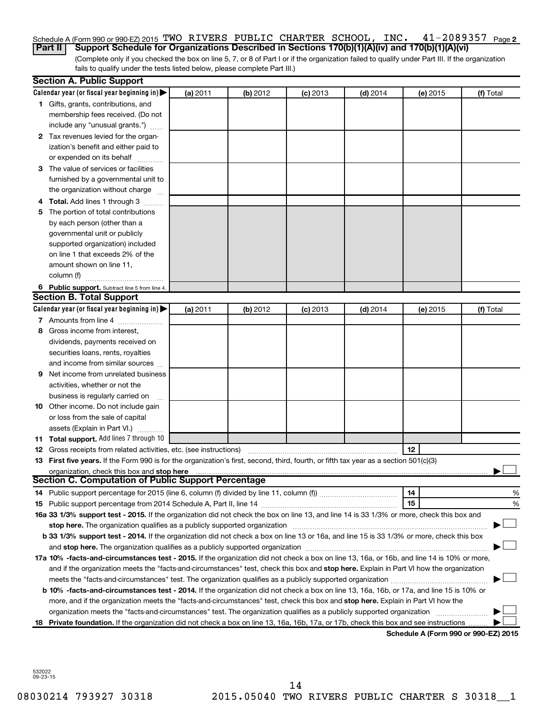#### 41-2089357 <sub>Page 2</sub>  $S$ chedule A (Form 990 or 990-EZ) 2015 'I'WO KIVERS PUBLIC CHARTER SCHOOL, INC  $\cdot$  41-Z089357 Page **Part II Support Schedule for Organizations Described in Sections 170(b)(1)(A)(iv) and 170(b)(1)(A)(vi)** TWO RIVERS PUBLIC CHARTER SCHOOL, INC. 41-2089357

(Complete only if you checked the box on line 5, 7, or 8 of Part I or if the organization failed to qualify under Part III. If the organization fails to qualify under the tests listed below, please complete Part III.)

|    | <b>Section A. Public Support</b>                                                                                                           |          |          |            |            |          |                                      |  |  |  |
|----|--------------------------------------------------------------------------------------------------------------------------------------------|----------|----------|------------|------------|----------|--------------------------------------|--|--|--|
|    | Calendar year (or fiscal year beginning in)                                                                                                | (a) 2011 | (b) 2012 | $(c)$ 2013 | $(d)$ 2014 | (e) 2015 | (f) Total                            |  |  |  |
|    | 1 Gifts, grants, contributions, and                                                                                                        |          |          |            |            |          |                                      |  |  |  |
|    | membership fees received. (Do not                                                                                                          |          |          |            |            |          |                                      |  |  |  |
|    | include any "unusual grants.")                                                                                                             |          |          |            |            |          |                                      |  |  |  |
|    | 2 Tax revenues levied for the organ-                                                                                                       |          |          |            |            |          |                                      |  |  |  |
|    | ization's benefit and either paid to                                                                                                       |          |          |            |            |          |                                      |  |  |  |
|    | or expended on its behalf                                                                                                                  |          |          |            |            |          |                                      |  |  |  |
|    | 3 The value of services or facilities                                                                                                      |          |          |            |            |          |                                      |  |  |  |
|    | furnished by a governmental unit to                                                                                                        |          |          |            |            |          |                                      |  |  |  |
|    | the organization without charge                                                                                                            |          |          |            |            |          |                                      |  |  |  |
|    | 4 Total. Add lines 1 through 3                                                                                                             |          |          |            |            |          |                                      |  |  |  |
| 5. | The portion of total contributions                                                                                                         |          |          |            |            |          |                                      |  |  |  |
|    | by each person (other than a                                                                                                               |          |          |            |            |          |                                      |  |  |  |
|    | governmental unit or publicly                                                                                                              |          |          |            |            |          |                                      |  |  |  |
|    | supported organization) included                                                                                                           |          |          |            |            |          |                                      |  |  |  |
|    | on line 1 that exceeds 2% of the                                                                                                           |          |          |            |            |          |                                      |  |  |  |
|    | amount shown on line 11,                                                                                                                   |          |          |            |            |          |                                      |  |  |  |
|    | column (f)                                                                                                                                 |          |          |            |            |          |                                      |  |  |  |
|    | 6 Public support. Subtract line 5 from line 4.                                                                                             |          |          |            |            |          |                                      |  |  |  |
|    | <b>Section B. Total Support</b>                                                                                                            |          |          |            |            |          |                                      |  |  |  |
|    | Calendar year (or fiscal year beginning in)                                                                                                | (a) 2011 | (b) 2012 | $(c)$ 2013 | $(d)$ 2014 | (e) 2015 | (f) Total                            |  |  |  |
|    | 7 Amounts from line 4                                                                                                                      |          |          |            |            |          |                                      |  |  |  |
| 8  | Gross income from interest,                                                                                                                |          |          |            |            |          |                                      |  |  |  |
|    | dividends, payments received on                                                                                                            |          |          |            |            |          |                                      |  |  |  |
|    | securities loans, rents, royalties                                                                                                         |          |          |            |            |          |                                      |  |  |  |
|    | and income from similar sources                                                                                                            |          |          |            |            |          |                                      |  |  |  |
| 9. | Net income from unrelated business                                                                                                         |          |          |            |            |          |                                      |  |  |  |
|    | activities, whether or not the                                                                                                             |          |          |            |            |          |                                      |  |  |  |
|    | business is regularly carried on                                                                                                           |          |          |            |            |          |                                      |  |  |  |
|    | 10 Other income. Do not include gain                                                                                                       |          |          |            |            |          |                                      |  |  |  |
|    | or loss from the sale of capital                                                                                                           |          |          |            |            |          |                                      |  |  |  |
|    | assets (Explain in Part VI.)                                                                                                               |          |          |            |            |          |                                      |  |  |  |
|    | 11 Total support. Add lines 7 through 10                                                                                                   |          |          |            |            |          |                                      |  |  |  |
|    | <b>12</b> Gross receipts from related activities, etc. (see instructions)                                                                  |          |          |            |            | 12       |                                      |  |  |  |
|    | 13 First five years. If the Form 990 is for the organization's first, second, third, fourth, or fifth tax year as a section 501(c)(3)      |          |          |            |            |          |                                      |  |  |  |
|    | organization, check this box and stop here                                                                                                 |          |          |            |            |          |                                      |  |  |  |
|    | <b>Section C. Computation of Public Support Percentage</b>                                                                                 |          |          |            |            |          |                                      |  |  |  |
|    |                                                                                                                                            |          |          |            |            | 14       | %                                    |  |  |  |
|    |                                                                                                                                            |          |          |            |            | 15       | %                                    |  |  |  |
|    | 16a 33 1/3% support test - 2015. If the organization did not check the box on line 13, and line 14 is 33 1/3% or more, check this box and  |          |          |            |            |          |                                      |  |  |  |
|    |                                                                                                                                            |          |          |            |            |          |                                      |  |  |  |
|    | b 33 1/3% support test - 2014. If the organization did not check a box on line 13 or 16a, and line 15 is 33 1/3% or more, check this box   |          |          |            |            |          |                                      |  |  |  |
|    |                                                                                                                                            |          |          |            |            |          |                                      |  |  |  |
|    | 17a 10% -facts-and-circumstances test - 2015. If the organization did not check a box on line 13, 16a, or 16b, and line 14 is 10% or more, |          |          |            |            |          |                                      |  |  |  |
|    | and if the organization meets the "facts-and-circumstances" test, check this box and stop here. Explain in Part VI how the organization    |          |          |            |            |          |                                      |  |  |  |
|    |                                                                                                                                            |          |          |            |            |          |                                      |  |  |  |
|    | b 10% -facts-and-circumstances test - 2014. If the organization did not check a box on line 13, 16a, 16b, or 17a, and line 15 is 10% or    |          |          |            |            |          |                                      |  |  |  |
|    | more, and if the organization meets the "facts-and-circumstances" test, check this box and stop here. Explain in Part VI how the           |          |          |            |            |          |                                      |  |  |  |
|    | organization meets the "facts-and-circumstances" test. The organization qualifies as a publicly supported organization                     |          |          |            |            |          |                                      |  |  |  |
|    | 18 Private foundation. If the organization did not check a box on line 13, 16a, 16b, 17a, or 17b, check this box and see instructions      |          |          |            |            |          |                                      |  |  |  |
|    |                                                                                                                                            |          |          |            |            |          | Schodule A (Form 000 or 000 EZ) 2015 |  |  |  |

**Schedule A (Form 990 or 990-EZ) 2015**

532022 09-23-15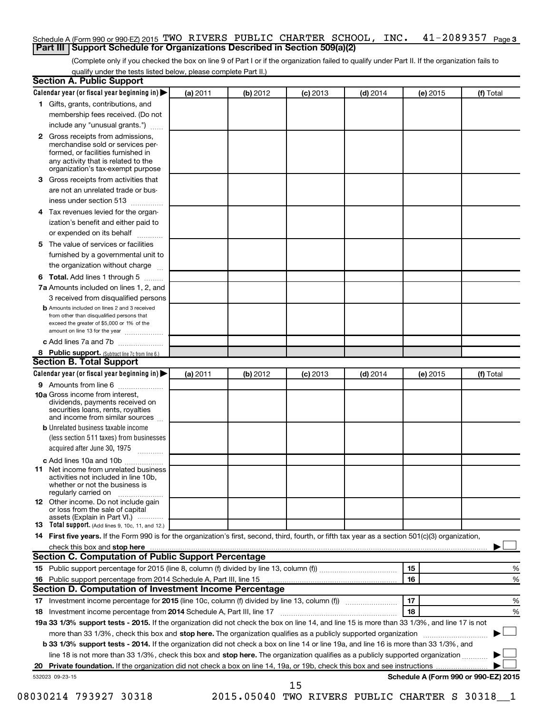#### $41 - 2089357$  Page 3 Schedule A (Form 990 or 990-EZ) 2015 TWO RIVERS PUBLIC CHARTER SCHOOL, INC.  $41$  -  $2089357$  Page **Part III Support Schedule for Organizations Described in Section 509(a)(2)**

(Complete only if you checked the box on line 9 of Part I or if the organization failed to qualify under Part II. If the organization fails to qualify under the tests listed below, please complete Part II.)

| <b>Section A. Public Support</b>                                                                                                                                                                                                                                        |          |          |            |            |          |                                      |  |  |
|-------------------------------------------------------------------------------------------------------------------------------------------------------------------------------------------------------------------------------------------------------------------------|----------|----------|------------|------------|----------|--------------------------------------|--|--|
| Calendar year (or fiscal year beginning in)                                                                                                                                                                                                                             | (a) 2011 | (b) 2012 | $(c)$ 2013 | $(d)$ 2014 | (e) 2015 | (f) Total                            |  |  |
| 1 Gifts, grants, contributions, and                                                                                                                                                                                                                                     |          |          |            |            |          |                                      |  |  |
| membership fees received. (Do not                                                                                                                                                                                                                                       |          |          |            |            |          |                                      |  |  |
| include any "unusual grants.")                                                                                                                                                                                                                                          |          |          |            |            |          |                                      |  |  |
| 2 Gross receipts from admissions,<br>merchandise sold or services per-<br>formed, or facilities furnished in<br>any activity that is related to the<br>organization's tax-exempt purpose                                                                                |          |          |            |            |          |                                      |  |  |
| <b>3</b> Gross receipts from activities that                                                                                                                                                                                                                            |          |          |            |            |          |                                      |  |  |
| are not an unrelated trade or bus-                                                                                                                                                                                                                                      |          |          |            |            |          |                                      |  |  |
| iness under section 513                                                                                                                                                                                                                                                 |          |          |            |            |          |                                      |  |  |
| 4 Tax revenues levied for the organ-                                                                                                                                                                                                                                    |          |          |            |            |          |                                      |  |  |
| ization's benefit and either paid to                                                                                                                                                                                                                                    |          |          |            |            |          |                                      |  |  |
| or expended on its behalf                                                                                                                                                                                                                                               |          |          |            |            |          |                                      |  |  |
| 5 The value of services or facilities                                                                                                                                                                                                                                   |          |          |            |            |          |                                      |  |  |
| furnished by a governmental unit to                                                                                                                                                                                                                                     |          |          |            |            |          |                                      |  |  |
| the organization without charge                                                                                                                                                                                                                                         |          |          |            |            |          |                                      |  |  |
| <b>6 Total.</b> Add lines 1 through 5                                                                                                                                                                                                                                   |          |          |            |            |          |                                      |  |  |
| 7a Amounts included on lines 1, 2, and                                                                                                                                                                                                                                  |          |          |            |            |          |                                      |  |  |
| 3 received from disqualified persons                                                                                                                                                                                                                                    |          |          |            |            |          |                                      |  |  |
| <b>b</b> Amounts included on lines 2 and 3 received<br>from other than disqualified persons that<br>exceed the greater of \$5,000 or 1% of the<br>amount on line 13 for the year                                                                                        |          |          |            |            |          |                                      |  |  |
| c Add lines 7a and 7b                                                                                                                                                                                                                                                   |          |          |            |            |          |                                      |  |  |
| 8 Public support. (Subtract line 7c from line 6.)                                                                                                                                                                                                                       |          |          |            |            |          |                                      |  |  |
| <b>Section B. Total Support</b>                                                                                                                                                                                                                                         |          |          |            |            |          |                                      |  |  |
| Calendar year (or fiscal year beginning in) $\blacktriangleright$                                                                                                                                                                                                       | (a) 2011 | (b) 2012 | $(c)$ 2013 | $(d)$ 2014 | (e) 2015 | (f) Total                            |  |  |
| 9 Amounts from line 6                                                                                                                                                                                                                                                   |          |          |            |            |          |                                      |  |  |
| <b>10a</b> Gross income from interest,<br>dividends, payments received on<br>securities loans, rents, royalties<br>and income from similar sources                                                                                                                      |          |          |            |            |          |                                      |  |  |
| <b>b</b> Unrelated business taxable income                                                                                                                                                                                                                              |          |          |            |            |          |                                      |  |  |
| (less section 511 taxes) from businesses                                                                                                                                                                                                                                |          |          |            |            |          |                                      |  |  |
| acquired after June 30, 1975<br>$\overline{\phantom{a}}$                                                                                                                                                                                                                |          |          |            |            |          |                                      |  |  |
| c Add lines 10a and 10b                                                                                                                                                                                                                                                 |          |          |            |            |          |                                      |  |  |
| <b>11</b> Net income from unrelated business<br>activities not included in line 10b.<br>whether or not the business is<br>regularly carried on                                                                                                                          |          |          |            |            |          |                                      |  |  |
| <b>12</b> Other income. Do not include gain<br>or loss from the sale of capital<br>assets (Explain in Part VI.)                                                                                                                                                         |          |          |            |            |          |                                      |  |  |
| <b>13</b> Total support. (Add lines 9, 10c, 11, and 12.)                                                                                                                                                                                                                |          |          |            |            |          |                                      |  |  |
| 14 First five years. If the Form 990 is for the organization's first, second, third, fourth, or fifth tax year as a section 501(c)(3) organization,                                                                                                                     |          |          |            |            |          |                                      |  |  |
| check this box and stop here <i>macuum construction construction and stop</i> here <i>maximum construction</i> and stop here <i>macuum construction</i> and <i>stop</i> here <i>maximum construction</i> and <i>stop</i> here <i>maximum construction</i> and <i>st</i> |          |          |            |            |          |                                      |  |  |
| Section C. Computation of Public Support Percentage                                                                                                                                                                                                                     |          |          |            |            |          |                                      |  |  |
|                                                                                                                                                                                                                                                                         |          |          |            |            | 15       | %                                    |  |  |
| 16 Public support percentage from 2014 Schedule A, Part III, line 15                                                                                                                                                                                                    |          |          |            |            | 16       | %                                    |  |  |
| Section D. Computation of Investment Income Percentage                                                                                                                                                                                                                  |          |          |            |            |          |                                      |  |  |
|                                                                                                                                                                                                                                                                         |          |          |            |            | 17       | %                                    |  |  |
| 18 Investment income percentage from 2014 Schedule A, Part III, line 17                                                                                                                                                                                                 |          |          |            |            | 18       | %                                    |  |  |
| 19a 33 1/3% support tests - 2015. If the organization did not check the box on line 14, and line 15 is more than 33 1/3%, and line 17 is not                                                                                                                            |          |          |            |            |          |                                      |  |  |
| more than 33 1/3%, check this box and stop here. The organization qualifies as a publicly supported organization                                                                                                                                                        |          |          |            |            |          |                                      |  |  |
| b 33 1/3% support tests - 2014. If the organization did not check a box on line 14 or line 19a, and line 16 is more than 33 1/3%, and                                                                                                                                   |          |          |            |            |          |                                      |  |  |
| line 18 is not more than 33 1/3%, check this box and stop here. The organization qualifies as a publicly supported organization                                                                                                                                         |          |          |            |            |          |                                      |  |  |
|                                                                                                                                                                                                                                                                         |          |          |            |            |          |                                      |  |  |
| 532023 09-23-15                                                                                                                                                                                                                                                         |          |          | 15         |            |          | Schedule A (Form 990 or 990-EZ) 2015 |  |  |

08030214 793927 30318 2015.05040 TWO RIVERS PUBLIC CHARTER S 30318 1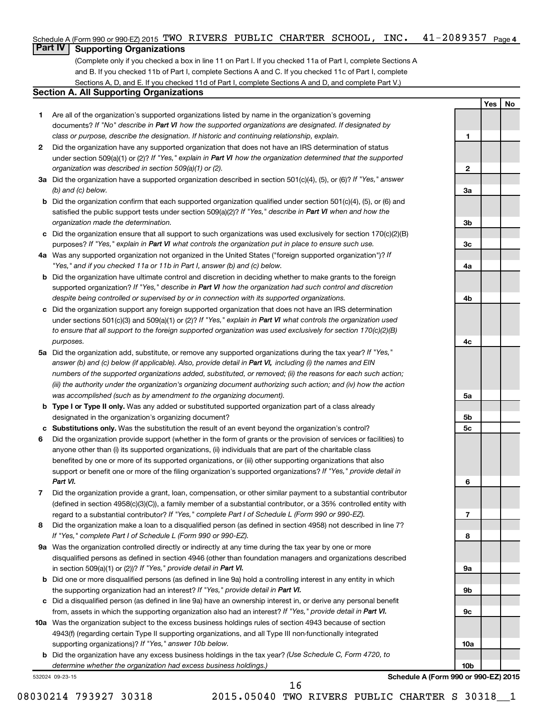### Schedule A (Form 990 or 990-EZ) 2015 TWO RIVERS PUBLIC CHARTER SCHOOL, INC. 41-2089357 <sub>Page 4</sub>

## **Part IV Supporting Organizations**

(Complete only if you checked a box in line 11 on Part I. If you checked 11a of Part I, complete Sections A and B. If you checked 11b of Part I, complete Sections A and C. If you checked 11c of Part I, complete Sections A, D, and E. If you checked 11d of Part I, complete Sections A and D, and complete Part V.)

#### **Section A. All Supporting Organizations**

- **1** Are all of the organization's supported organizations listed by name in the organization's governing documents? If "No" describe in Part VI how the supported organizations are designated. If designated by *class or purpose, describe the designation. If historic and continuing relationship, explain.*
- **2** Did the organization have any supported organization that does not have an IRS determination of status under section 509(a)(1) or (2)? If "Yes," explain in Part VI how the organization determined that the supported *organization was described in section 509(a)(1) or (2).*
- **3a** Did the organization have a supported organization described in section 501(c)(4), (5), or (6)? If "Yes," answer *(b) and (c) below.*
- **b** Did the organization confirm that each supported organization qualified under section 501(c)(4), (5), or (6) and satisfied the public support tests under section 509(a)(2)? If "Yes," describe in Part VI when and how the *organization made the determination.*
- **c** Did the organization ensure that all support to such organizations was used exclusively for section 170(c)(2)(B) purposes? If "Yes," explain in Part VI what controls the organization put in place to ensure such use.
- **4 a** *If* Was any supported organization not organized in the United States ("foreign supported organization")? *"Yes," and if you checked 11a or 11b in Part I, answer (b) and (c) below.*
- **b** Did the organization have ultimate control and discretion in deciding whether to make grants to the foreign supported organization? If "Yes," describe in Part VI how the organization had such control and discretion *despite being controlled or supervised by or in connection with its supported organizations.*
- **c** Did the organization support any foreign supported organization that does not have an IRS determination under sections 501(c)(3) and 509(a)(1) or (2)? If "Yes," explain in Part VI what controls the organization used *to ensure that all support to the foreign supported organization was used exclusively for section 170(c)(2)(B) purposes.*
- **5a** Did the organization add, substitute, or remove any supported organizations during the tax year? If "Yes," answer (b) and (c) below (if applicable). Also, provide detail in Part VI, including (i) the names and EIN *numbers of the supported organizations added, substituted, or removed; (ii) the reasons for each such action; (iii) the authority under the organization's organizing document authorizing such action; and (iv) how the action was accomplished (such as by amendment to the organizing document).*
- **b Type I or Type II only.** Was any added or substituted supported organization part of a class already designated in the organization's organizing document?
- **c Substitutions only.**  Was the substitution the result of an event beyond the organization's control?
- **6** Did the organization provide support (whether in the form of grants or the provision of services or facilities) to support or benefit one or more of the filing organization's supported organizations? If "Yes," provide detail in anyone other than (i) its supported organizations, (ii) individuals that are part of the charitable class benefited by one or more of its supported organizations, or (iii) other supporting organizations that also *Part VI.*
- **7** Did the organization provide a grant, loan, compensation, or other similar payment to a substantial contributor regard to a substantial contributor? If "Yes," complete Part I of Schedule L (Form 990 or 990-EZ). (defined in section 4958(c)(3)(C)), a family member of a substantial contributor, or a 35% controlled entity with
- **8** Did the organization make a loan to a disqualified person (as defined in section 4958) not described in line 7? *If "Yes," complete Part I of Schedule L (Form 990 or 990-EZ).*
- **9 a** Was the organization controlled directly or indirectly at any time during the tax year by one or more in section 509(a)(1) or (2))? If "Yes," provide detail in Part VI. disqualified persons as defined in section 4946 (other than foundation managers and organizations described
- **b** Did one or more disqualified persons (as defined in line 9a) hold a controlling interest in any entity in which the supporting organization had an interest? If "Yes," provide detail in Part VI.
- **c** Did a disqualified person (as defined in line 9a) have an ownership interest in, or derive any personal benefit from, assets in which the supporting organization also had an interest? If "Yes," provide detail in Part VI.
- **10 a** Was the organization subject to the excess business holdings rules of section 4943 because of section supporting organizations)? If "Yes," answer 10b below. 4943(f) (regarding certain Type II supporting organizations, and all Type III non-functionally integrated
	- **b** Did the organization have any excess business holdings in the tax year? (Use Schedule C, Form 4720, to *determine whether the organization had excess business holdings.)*

532024 09-23-15

**Schedule A (Form 990 or 990-EZ) 2015**

**Yes No**

**1**

**2**

**3a**

**3b**

**3c**

**4a**

**4b**

**4c**

**5a**

**5b 5c**

**6**

**7**

**8**

**9a**

**9b**

**9c**

**10a**

**10b**

08030214 793927 30318 2015.05040 TWO RIVERS PUBLIC CHARTER S 30318 1

16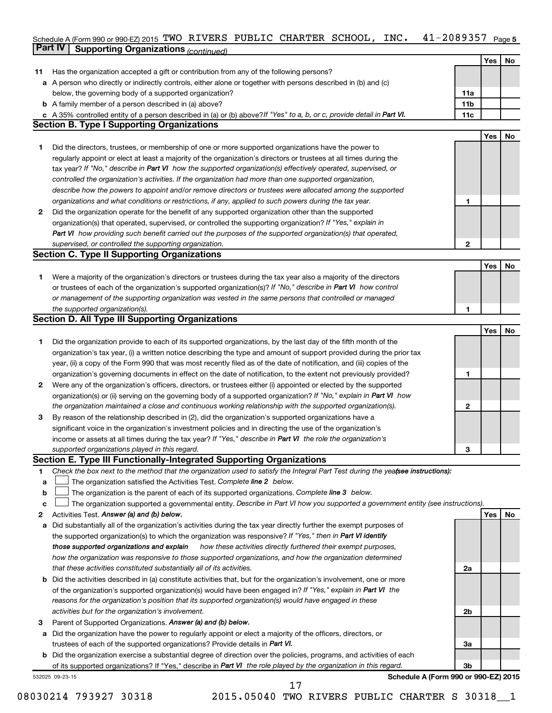#### Schedule A (Form 990 or 990-EZ) 2015 'I'WO KIVERS PUBLIC CHARTER SCHOOL,INC。 4 I-ZU8935/ Page 5 **Part IV Supporting Organizations** *(continued)* TWO RIVERS PUBLIC CHARTER SCHOOL, INC. 41-2089357

|              |                                                                                                                                 |     | Yes | No        |
|--------------|---------------------------------------------------------------------------------------------------------------------------------|-----|-----|-----------|
| 11           | Has the organization accepted a gift or contribution from any of the following persons?                                         |     |     |           |
| а            | A person who directly or indirectly controls, either alone or together with persons described in (b) and (c)                    |     |     |           |
|              | below, the governing body of a supported organization?                                                                          | 11a |     |           |
| b            | A family member of a person described in (a) above?                                                                             | 11b |     |           |
|              | c A 35% controlled entity of a person described in (a) or (b) above? If "Yes" to a, b, or c, provide detail in Part VI.         | 11c |     |           |
|              | <b>Section B. Type I Supporting Organizations</b>                                                                               |     |     |           |
|              |                                                                                                                                 |     | Yes | <b>No</b> |
| 1.           | Did the directors, trustees, or membership of one or more supported organizations have the power to                             |     |     |           |
|              | regularly appoint or elect at least a majority of the organization's directors or trustees at all times during the              |     |     |           |
|              | tax year? If "No," describe in Part VI how the supported organization(s) effectively operated, supervised, or                   |     |     |           |
|              | controlled the organization's activities. If the organization had more than one supported organization,                         |     |     |           |
|              | describe how the powers to appoint and/or remove directors or trustees were allocated among the supported                       |     |     |           |
|              | organizations and what conditions or restrictions, if any, applied to such powers during the tax year.                          | 1   |     |           |
| $\mathbf{2}$ | Did the organization operate for the benefit of any supported organization other than the supported                             |     |     |           |
|              | organization(s) that operated, supervised, or controlled the supporting organization? If "Yes," explain in                      |     |     |           |
|              | Part VI how providing such benefit carried out the purposes of the supported organization(s) that operated,                     |     |     |           |
|              | supervised, or controlled the supporting organization.                                                                          | 2   |     |           |
|              | <b>Section C. Type II Supporting Organizations</b>                                                                              |     |     |           |
|              |                                                                                                                                 |     | Yes | No        |
| 1.           | Were a majority of the organization's directors or trustees during the tax year also a majority of the directors                |     |     |           |
|              | or trustees of each of the organization's supported organization(s)? If "No," describe in Part VI how control                   |     |     |           |
|              | or management of the supporting organization was vested in the same persons that controlled or managed                          |     |     |           |
|              | the supported organization(s).                                                                                                  | 1   |     |           |
|              | <b>Section D. All Type III Supporting Organizations</b>                                                                         |     |     |           |
|              |                                                                                                                                 |     | Yes | No        |
| 1.           | Did the organization provide to each of its supported organizations, by the last day of the fifth month of the                  |     |     |           |
|              | organization's tax year, (i) a written notice describing the type and amount of support provided during the prior tax           |     |     |           |
|              | year, (ii) a copy of the Form 990 that was most recently filed as of the date of notification, and (iii) copies of the          |     |     |           |
|              | organization's governing documents in effect on the date of notification, to the extent not previously provided?                | 1   |     |           |
| 2            | Were any of the organization's officers, directors, or trustees either (i) appointed or elected by the supported                |     |     |           |
|              | organization(s) or (ii) serving on the governing body of a supported organization? If "No," explain in Part VI how              |     |     |           |
|              | the organization maintained a close and continuous working relationship with the supported organization(s).                     | 2   |     |           |
| З            | By reason of the relationship described in (2), did the organization's supported organizations have a                           |     |     |           |
|              | significant voice in the organization's investment policies and in directing the use of the organization's                      |     |     |           |
|              | income or assets at all times during the tax year? If "Yes," describe in Part VI the role the organization's                    |     |     |           |
|              | supported organizations played in this regard.                                                                                  | З   |     |           |
|              | Section E. Type III Functionally-Integrated Supporting Organizations                                                            |     |     |           |
| 1            | Check the box next to the method that the organization used to satisfy the Integral Part Test during the yeafsee instructions): |     |     |           |
| a            | The organization satisfied the Activities Test. Complete line 2 below.                                                          |     |     |           |
| b            | The organization is the parent of each of its supported organizations. Complete line 3 below.                                   |     |     |           |
| с            | The organization supported a governmental entity. Describe in Part VI how you supported a government entity (see instructions). |     |     |           |
| 2            | Activities Test. Answer (a) and (b) below.                                                                                      |     | Yes | No        |
| а            | Did substantially all of the organization's activities during the tax year directly further the exempt purposes of              |     |     |           |
|              | the supported organization(s) to which the organization was responsive? If "Yes," then in Part VI identify                      |     |     |           |
|              | those supported organizations and explain<br>how these activities directly furthered their exempt purposes,                     |     |     |           |
|              | how the organization was responsive to those supported organizations, and how the organization determined                       |     |     |           |
|              | that these activities constituted substantially all of its activities.                                                          | 2a  |     |           |
| b            | Did the activities described in (a) constitute activities that, but for the organization's involvement, one or more             |     |     |           |
|              | of the organization's supported organization(s) would have been engaged in? If "Yes," explain in Part VI the                    |     |     |           |
|              | reasons for the organization's position that its supported organization(s) would have engaged in these                          |     |     |           |
|              | activities but for the organization's involvement.                                                                              | 2b  |     |           |
| 3            | Parent of Supported Organizations. Answer (a) and (b) below.                                                                    |     |     |           |
| a            | Did the organization have the power to regularly appoint or elect a majority of the officers, directors, or                     |     |     |           |
|              | trustees of each of the supported organizations? Provide details in Part VI.                                                    | За  |     |           |
| b            | Did the organization exercise a substantial degree of direction over the policies, programs, and activities of each             |     |     |           |
|              | of its supported organizations? If "Yes," describe in Part VI the role played by the organization in this regard.               | 3b  |     |           |
|              | Schedule A (Form 990 or 990-EZ) 2015<br>532025 09-23-15                                                                         |     |     |           |
|              | 17                                                                                                                              |     |     |           |

08030214 793927 30318 2015.05040 TWO RIVERS PUBLIC CHARTER S 30318 1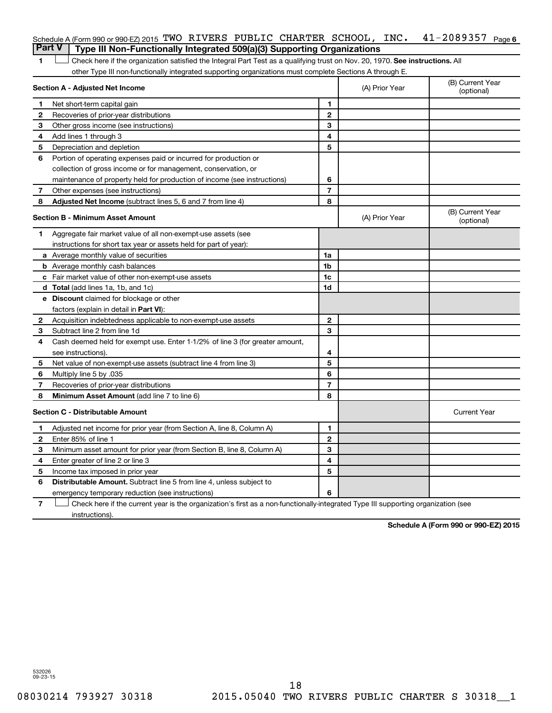|                | Schedule A (Form 990 or 990-EZ) 2015 TWO RIVERS PUBLIC CHARTER SCHOOL, INC.                                                   |                |                     | $41 - 2089357$ Page 6          |
|----------------|-------------------------------------------------------------------------------------------------------------------------------|----------------|---------------------|--------------------------------|
|                | <b>Part V</b><br>Type III Non-Functionally Integrated 509(a)(3) Supporting Organizations                                      |                |                     |                                |
| 1              | Check here if the organization satisfied the Integral Part Test as a qualifying trust on Nov. 20, 1970. See instructions. All |                |                     |                                |
|                | other Type III non-functionally integrated supporting organizations must complete Sections A through E.                       |                |                     |                                |
|                | Section A - Adjusted Net Income                                                                                               |                | (A) Prior Year      | (B) Current Year<br>(optional) |
| 1              | Net short-term capital gain                                                                                                   | 1              |                     |                                |
| 2              | Recoveries of prior-year distributions                                                                                        | $\overline{2}$ |                     |                                |
| З              | Other gross income (see instructions)                                                                                         | 3              |                     |                                |
| 4              | Add lines 1 through 3                                                                                                         | 4              |                     |                                |
| 5              | Depreciation and depletion                                                                                                    | 5              |                     |                                |
| 6              | Portion of operating expenses paid or incurred for production or                                                              |                |                     |                                |
|                | collection of gross income or for management, conservation, or                                                                |                |                     |                                |
|                | maintenance of property held for production of income (see instructions)                                                      | 6              |                     |                                |
| 7              | Other expenses (see instructions)                                                                                             | $\overline{7}$ |                     |                                |
| 8              | <b>Adjusted Net Income</b> (subtract lines 5, 6 and 7 from line 4)                                                            | 8              |                     |                                |
|                | <b>Section B - Minimum Asset Amount</b>                                                                                       |                | (A) Prior Year      | (B) Current Year<br>(optional) |
| 1.             | Aggregate fair market value of all non-exempt-use assets (see                                                                 |                |                     |                                |
|                | instructions for short tax year or assets held for part of year):                                                             |                |                     |                                |
|                | <b>a</b> Average monthly value of securities                                                                                  | 1a             |                     |                                |
|                | <b>b</b> Average monthly cash balances                                                                                        | 1b             |                     |                                |
|                | c Fair market value of other non-exempt-use assets                                                                            | 1c             |                     |                                |
|                | <b>d</b> Total (add lines 1a, 1b, and 1c)                                                                                     | 1d             |                     |                                |
|                | e Discount claimed for blockage or other                                                                                      |                |                     |                                |
|                | factors (explain in detail in Part VI):                                                                                       |                |                     |                                |
| 2              | Acquisition indebtedness applicable to non-exempt-use assets                                                                  | $\mathbf{2}$   |                     |                                |
| З              | Subtract line 2 from line 1d                                                                                                  | 3              |                     |                                |
| 4              | Cash deemed held for exempt use. Enter 1-1/2% of line 3 (for greater amount,                                                  |                |                     |                                |
|                | see instructions).                                                                                                            | 4              |                     |                                |
| 5              | Net value of non-exempt-use assets (subtract line 4 from line 3)                                                              | 5              |                     |                                |
| 6              | Multiply line 5 by .035                                                                                                       | 6              |                     |                                |
| 7              | Recoveries of prior-year distributions                                                                                        | $\overline{7}$ |                     |                                |
| 8              | Minimum Asset Amount (add line 7 to line 6)                                                                                   | 8              |                     |                                |
|                | <b>Section C - Distributable Amount</b>                                                                                       |                | <b>Current Year</b> |                                |
| 1              | Adjusted net income for prior year (from Section A, line 8, Column A)                                                         | 1              |                     |                                |
| $\overline{2}$ | Enter 85% of line 1                                                                                                           | $\overline{2}$ |                     |                                |
| З              | Minimum asset amount for prior year (from Section B, line 8, Column A)                                                        | 3              |                     |                                |
| 4              | Enter greater of line 2 or line 3                                                                                             | 4              |                     |                                |
| 5              | Income tax imposed in prior year                                                                                              | 5              |                     |                                |
| 6              | <b>Distributable Amount.</b> Subtract line 5 from line 4, unless subject to                                                   |                |                     |                                |
|                | emergency temporary reduction (see instructions)                                                                              | 6              |                     |                                |
|                |                                                                                                                               |                |                     |                                |

**7** Let Check here if the current year is the organization's first as a non-functionally-integrated Type III supporting organization (see instructions).

**Schedule A (Form 990 or 990-EZ) 2015**

532026 09-23-15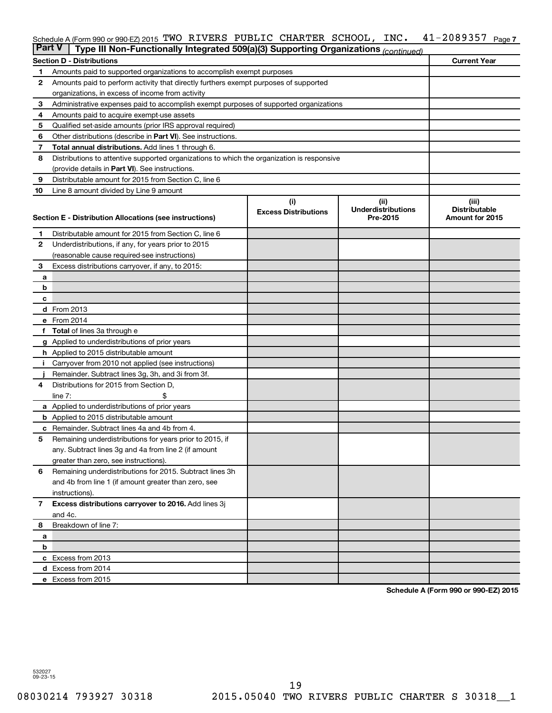#### 41-2089357 Page 7 Schedule A (Form 990 or 990-EZ) 2015 TWO RIVERS PUBLIC CHARTER SCHOOL, INC.  $41$  -  $2089357$  Page

| <b>Part V</b> | Type III Non-Functionally Integrated 509(a)(3) Supporting Organizations (continued)        |                             |                                   |                               |
|---------------|--------------------------------------------------------------------------------------------|-----------------------------|-----------------------------------|-------------------------------|
|               | <b>Section D - Distributions</b>                                                           |                             |                                   | <b>Current Year</b>           |
| 1             | Amounts paid to supported organizations to accomplish exempt purposes                      |                             |                                   |                               |
| 2             | Amounts paid to perform activity that directly furthers exempt purposes of supported       |                             |                                   |                               |
|               | organizations, in excess of income from activity                                           |                             |                                   |                               |
| 3             | Administrative expenses paid to accomplish exempt purposes of supported organizations      |                             |                                   |                               |
| 4             | Amounts paid to acquire exempt-use assets                                                  |                             |                                   |                               |
| 5             | Qualified set-aside amounts (prior IRS approval required)                                  |                             |                                   |                               |
| 6             | Other distributions (describe in Part VI). See instructions.                               |                             |                                   |                               |
| 7             | <b>Total annual distributions.</b> Add lines 1 through 6.                                  |                             |                                   |                               |
| 8             | Distributions to attentive supported organizations to which the organization is responsive |                             |                                   |                               |
|               | (provide details in Part VI). See instructions.                                            |                             |                                   |                               |
| 9             | Distributable amount for 2015 from Section C, line 6                                       |                             |                                   |                               |
| 10            | Line 8 amount divided by Line 9 amount                                                     |                             |                                   |                               |
|               |                                                                                            | (i)                         | (ii)<br><b>Underdistributions</b> | (iii)<br><b>Distributable</b> |
|               | Section E - Distribution Allocations (see instructions)                                    | <b>Excess Distributions</b> | Pre-2015                          | Amount for 2015               |
|               |                                                                                            |                             |                                   |                               |
| 1             | Distributable amount for 2015 from Section C, line 6                                       |                             |                                   |                               |
| $\mathbf{2}$  | Underdistributions, if any, for years prior to 2015                                        |                             |                                   |                               |
|               | (reasonable cause required-see instructions)                                               |                             |                                   |                               |
| 3             | Excess distributions carryover, if any, to 2015:                                           |                             |                                   |                               |
| a             |                                                                                            |                             |                                   |                               |
| b             |                                                                                            |                             |                                   |                               |
| с             | d From 2013                                                                                |                             |                                   |                               |
|               | e From 2014                                                                                |                             |                                   |                               |
|               | <b>Total</b> of lines 3a through e                                                         |                             |                                   |                               |
|               | <b>g</b> Applied to underdistributions of prior years                                      |                             |                                   |                               |
|               | <b>h</b> Applied to 2015 distributable amount                                              |                             |                                   |                               |
|               | Carryover from 2010 not applied (see instructions)                                         |                             |                                   |                               |
|               | Remainder. Subtract lines 3g, 3h, and 3i from 3f.                                          |                             |                                   |                               |
| 4             | Distributions for 2015 from Section D,                                                     |                             |                                   |                               |
|               | $line 7$ :                                                                                 |                             |                                   |                               |
|               | a Applied to underdistributions of prior years                                             |                             |                                   |                               |
|               | <b>b</b> Applied to 2015 distributable amount                                              |                             |                                   |                               |
| с             | Remainder. Subtract lines 4a and 4b from 4.                                                |                             |                                   |                               |
| 5             | Remaining underdistributions for years prior to 2015, if                                   |                             |                                   |                               |
|               | any. Subtract lines 3g and 4a from line 2 (if amount                                       |                             |                                   |                               |
|               | greater than zero, see instructions).                                                      |                             |                                   |                               |
| 6             | Remaining underdistributions for 2015. Subtract lines 3h                                   |                             |                                   |                               |
|               | and 4b from line 1 (if amount greater than zero, see                                       |                             |                                   |                               |
|               | instructions).                                                                             |                             |                                   |                               |
| $\mathbf{7}$  | Excess distributions carryover to 2016. Add lines 3j                                       |                             |                                   |                               |
|               | and 4c.                                                                                    |                             |                                   |                               |
| 8             | Breakdown of line 7:                                                                       |                             |                                   |                               |
| a             |                                                                                            |                             |                                   |                               |
| b             |                                                                                            |                             |                                   |                               |
|               | c Excess from 2013                                                                         |                             |                                   |                               |
|               | d Excess from 2014                                                                         |                             |                                   |                               |
|               | e Excess from 2015                                                                         |                             |                                   |                               |

**Schedule A (Form 990 or 990-EZ) 2015**

532027 09-23-15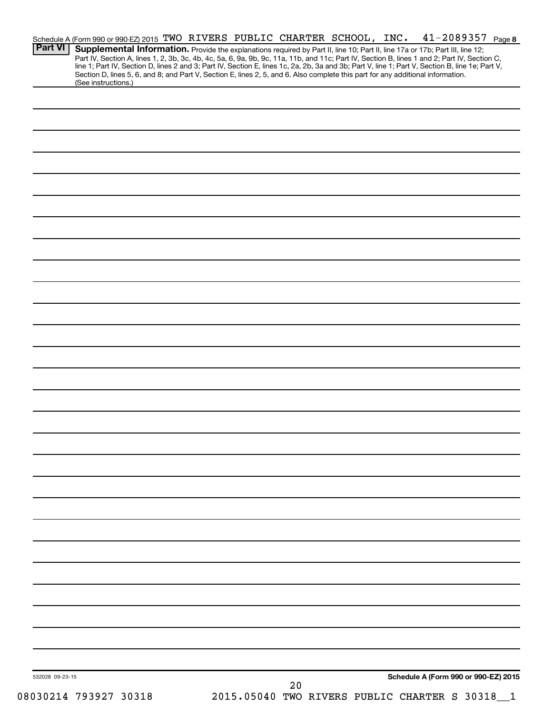| <b>Part VI</b>  | Schedule A (Form 990 or 990-EZ) 2015 TWO RIVERS PUBLIC CHARTER SCHOOL, INC.<br>Supplemental Information. Provide the explanations required by Part II, line 10; Part II, line 17a or 17b; Part III, line 12;<br>Part IV, Section A, lines 1, 2, 3b, 3c, 4b, 4c, 5a, 6, 9a, 9b, 9c, 11a, 11b, and 11c; Part IV, Section B, lines 1 and 2; Part IV, Section C, |  |                                                |    |  | $41 - 2089357$ Page 8                |  |
|-----------------|--------------------------------------------------------------------------------------------------------------------------------------------------------------------------------------------------------------------------------------------------------------------------------------------------------------------------------------------------------------|--|------------------------------------------------|----|--|--------------------------------------|--|
|                 | line 1; Part IV, Section D, lines 2 and 3; Part IV, Section E, lines 1c, 2a, 2b, 3a and 3b; Part V, line 1; Part V, Section B, line 1e; Part V,<br>Section D, lines 5, 6, and 8; and Part V, Section E, lines 2, 5, and 6. Also complete this part for any additional information.<br>(See instructions.)                                                    |  |                                                |    |  |                                      |  |
|                 |                                                                                                                                                                                                                                                                                                                                                              |  |                                                |    |  |                                      |  |
|                 |                                                                                                                                                                                                                                                                                                                                                              |  |                                                |    |  |                                      |  |
|                 |                                                                                                                                                                                                                                                                                                                                                              |  |                                                |    |  |                                      |  |
|                 |                                                                                                                                                                                                                                                                                                                                                              |  |                                                |    |  |                                      |  |
|                 |                                                                                                                                                                                                                                                                                                                                                              |  |                                                |    |  |                                      |  |
|                 |                                                                                                                                                                                                                                                                                                                                                              |  |                                                |    |  |                                      |  |
|                 |                                                                                                                                                                                                                                                                                                                                                              |  |                                                |    |  |                                      |  |
|                 |                                                                                                                                                                                                                                                                                                                                                              |  |                                                |    |  |                                      |  |
|                 |                                                                                                                                                                                                                                                                                                                                                              |  |                                                |    |  |                                      |  |
|                 |                                                                                                                                                                                                                                                                                                                                                              |  |                                                |    |  |                                      |  |
|                 |                                                                                                                                                                                                                                                                                                                                                              |  |                                                |    |  |                                      |  |
|                 |                                                                                                                                                                                                                                                                                                                                                              |  |                                                |    |  |                                      |  |
|                 |                                                                                                                                                                                                                                                                                                                                                              |  |                                                |    |  |                                      |  |
|                 |                                                                                                                                                                                                                                                                                                                                                              |  |                                                |    |  |                                      |  |
|                 |                                                                                                                                                                                                                                                                                                                                                              |  |                                                |    |  |                                      |  |
|                 |                                                                                                                                                                                                                                                                                                                                                              |  |                                                |    |  |                                      |  |
|                 |                                                                                                                                                                                                                                                                                                                                                              |  |                                                |    |  |                                      |  |
|                 |                                                                                                                                                                                                                                                                                                                                                              |  |                                                |    |  |                                      |  |
|                 |                                                                                                                                                                                                                                                                                                                                                              |  |                                                |    |  |                                      |  |
|                 |                                                                                                                                                                                                                                                                                                                                                              |  |                                                |    |  |                                      |  |
|                 |                                                                                                                                                                                                                                                                                                                                                              |  |                                                |    |  |                                      |  |
|                 |                                                                                                                                                                                                                                                                                                                                                              |  |                                                |    |  |                                      |  |
|                 |                                                                                                                                                                                                                                                                                                                                                              |  |                                                |    |  |                                      |  |
|                 |                                                                                                                                                                                                                                                                                                                                                              |  |                                                |    |  |                                      |  |
|                 |                                                                                                                                                                                                                                                                                                                                                              |  |                                                |    |  |                                      |  |
|                 |                                                                                                                                                                                                                                                                                                                                                              |  |                                                |    |  |                                      |  |
|                 |                                                                                                                                                                                                                                                                                                                                                              |  |                                                |    |  |                                      |  |
| 532028 09-23-15 |                                                                                                                                                                                                                                                                                                                                                              |  |                                                |    |  | Schedule A (Form 990 or 990-EZ) 2015 |  |
|                 | 08030214 793927 30318                                                                                                                                                                                                                                                                                                                                        |  | 2015.05040 TWO RIVERS PUBLIC CHARTER S 30318_1 | 20 |  |                                      |  |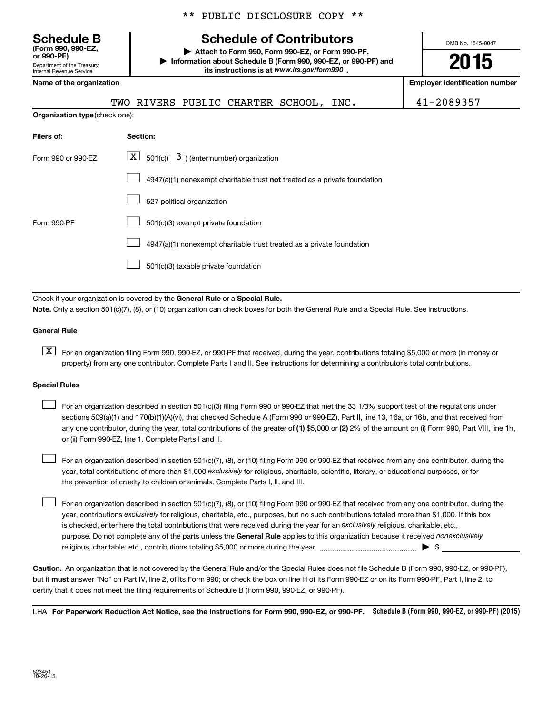\*\* PUBLIC DISCLOSURE COPY \*\*

# **Schedule B Schedule of Contributors**

**or 990-PF) | Attach to Form 990, Form 990-EZ, or Form 990-PF. | Information about Schedule B (Form 990, 990-EZ, or 990-PF) and** its instructions is at www.irs.gov/form990.

OMB No. 1545-0047

# **2015**

| Internal Revenue Service              | its instructions is at www.irs.gov/form990.                                        |                                       |  |
|---------------------------------------|------------------------------------------------------------------------------------|---------------------------------------|--|
| Name of the organization              |                                                                                    | <b>Employer identification number</b> |  |
|                                       | TWO RIVERS PUBLIC CHARTER SCHOOL, INC.                                             | 41-2089357                            |  |
| <b>Organization type (check one):</b> |                                                                                    |                                       |  |
| Filers of:                            | Section:                                                                           |                                       |  |
| Form 990 or 990-EZ                    | $\lfloor x \rfloor$ 501(c)( 3) (enter number) organization                         |                                       |  |
|                                       | $4947(a)(1)$ nonexempt charitable trust <b>not</b> treated as a private foundation |                                       |  |
|                                       | 527 political organization                                                         |                                       |  |
| Form 990-PF                           | 501(c)(3) exempt private foundation                                                |                                       |  |
|                                       | 4947(a)(1) nonexempt charitable trust treated as a private foundation              |                                       |  |
|                                       | 501(c)(3) taxable private foundation                                               |                                       |  |

Check if your organization is covered by the General Rule or a Special Rule.

**Note.**  Only a section 501(c)(7), (8), or (10) organization can check boxes for both the General Rule and a Special Rule. See instructions.

#### **General Rule**

Department of the Treasury

**(Form 990, 990-EZ,**

**K** For an organization filing Form 990, 990-EZ, or 990-PF that received, during the year, contributions totaling \$5,000 or more (in money or property) from any one contributor. Complete Parts I and II. See instructions for determining a contributor's total contributions.

#### **Special Rules**

 $\Box$ 

any one contributor, during the year, total contributions of the greater of **(1)** \$5,000 or **(2)** 2% of the amount on (i) Form 990, Part VIII, line 1h, For an organization described in section 501(c)(3) filing Form 990 or 990-EZ that met the 33 1/3% support test of the regulations under sections 509(a)(1) and 170(b)(1)(A)(vi), that checked Schedule A (Form 990 or 990-EZ), Part II, line 13, 16a, or 16b, and that received from or (ii) Form 990-EZ, line 1. Complete Parts I and II.  $\Box$ 

year, total contributions of more than \$1,000 *exclusively* for religious, charitable, scientific, literary, or educational purposes, or for For an organization described in section 501(c)(7), (8), or (10) filing Form 990 or 990-EZ that received from any one contributor, during the the prevention of cruelty to children or animals. Complete Parts I, II, and III.  $\Box$ 

purpose. Do not complete any of the parts unless the General Rule applies to this organization because it received nonexclusively year, contributions exclusively for religious, charitable, etc., purposes, but no such contributions totaled more than \$1,000. If this box is checked, enter here the total contributions that were received during the year for an exclusively religious, charitable, etc., For an organization described in section 501(c)(7), (8), or (10) filing Form 990 or 990-EZ that received from any one contributor, during the religious, charitable, etc., contributions totaling \$5,000 or more during the year  $\ldots$  $\ldots$  $\ldots$  $\ldots$  $\ldots$  $\ldots$ 

**Caution.** An organization that is not covered by the General Rule and/or the Special Rules does not file Schedule B (Form 990, 990-EZ, or 990-PF),  **must** but it answer "No" on Part IV, line 2, of its Form 990; or check the box on line H of its Form 990-EZ or on its Form 990-PF, Part I, line 2, to certify that it does not meet the filing requirements of Schedule B (Form 990, 990-EZ, or 990-PF).

LHA For Paperwork Reduction Act Notice, see the Instructions for Form 990, 990-EZ, or 990-PF. Schedule B (Form 990, 990-EZ, or 990-PF) (2015)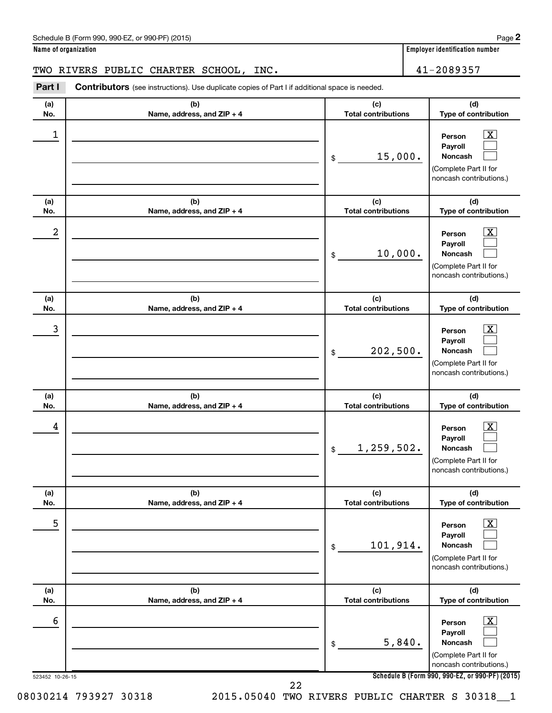| Schedule B (Form 990, 990-EZ, or 990-PF) (2015)<br>$\sqrt{2}$ and $\sqrt{2}$ and $\sqrt{2}$ and $\sqrt{2}$ and $\sqrt{2}$ and $\sqrt{2}$ and $\sqrt{2}$ and $\sqrt{2}$ and $\sqrt{2}$ and $\sqrt{2}$ and $\sqrt{2}$ and $\sqrt{2}$ and $\sqrt{2}$ and $\sqrt{2}$ and $\sqrt{2}$ and $\sqrt{2}$ and $\sqrt{2}$ and $\sqrt{2}$ and $\sqrt{2$ | Page |  |
|--------------------------------------------------------------------------------------------------------------------------------------------------------------------------------------------------------------------------------------------------------------------------------------------------------------------------------------------|------|--|
|--------------------------------------------------------------------------------------------------------------------------------------------------------------------------------------------------------------------------------------------------------------------------------------------------------------------------------------------|------|--|

**Name of organization Employer identification number**

## TWO RIVERS PUBLIC CHARTER SCHOOL, INC. 41-2089357

**Part I** Contributors (see instructions). Use duplicate copies of Part I if additional space is needed.

| (a)<br>No.           | (b)<br>Name, address, and ZIP + 4 | (c)<br><b>Total contributions</b> | (d)<br>Type of contribution                                                                                                                                  |
|----------------------|-----------------------------------|-----------------------------------|--------------------------------------------------------------------------------------------------------------------------------------------------------------|
| 1                    |                                   | 15,000.<br>\$                     | x<br>Person<br>Payroll<br>Noncash<br>(Complete Part II for<br>noncash contributions.)                                                                        |
| (a)<br>No.           | (b)<br>Name, address, and ZIP + 4 | (c)<br><b>Total contributions</b> | (d)<br>Type of contribution                                                                                                                                  |
| 2                    |                                   | 10,000.<br>\$                     | x<br>Person<br>Payroll<br>Noncash<br>(Complete Part II for<br>noncash contributions.)                                                                        |
| (a)<br>No.           | (b)<br>Name, address, and ZIP + 4 | (c)<br><b>Total contributions</b> | (d)<br>Type of contribution                                                                                                                                  |
| 3                    |                                   | 202,500.<br>\$                    | x<br>Person<br>Payroll<br><b>Noncash</b><br>(Complete Part II for<br>noncash contributions.)                                                                 |
| (a)<br>No.           | (b)<br>Name, address, and ZIP + 4 | (c)<br><b>Total contributions</b> | (d)<br>Type of contribution                                                                                                                                  |
| 4                    |                                   | 1,259,502.<br>\$                  | x<br>Person<br>Payroll<br><b>Noncash</b><br>(Complete Part II for<br>noncash contributions.)                                                                 |
| (a)<br>No.           | (b)<br>Name, address, and ZIP + 4 | (c)<br><b>Total contributions</b> | (d)<br>Type of contribution                                                                                                                                  |
| 5                    |                                   | 101,914.<br>$\,$                  | $\overline{\text{X}}$<br>Person<br>Payroll<br>Noncash<br>(Complete Part II for<br>noncash contributions.)                                                    |
| (a)<br>No.           | (b)<br>Name, address, and ZIP + 4 | (c)<br><b>Total contributions</b> | (d)<br>Type of contribution                                                                                                                                  |
| 6<br>523452 10-26-15 |                                   | 5,840.<br>\$                      | $\overline{\text{X}}$<br>Person<br>Payroll<br>Noncash<br>(Complete Part II for<br>noncash contributions.)<br>Schedule B (Form 990, 990-EZ, or 990-PF) (2015) |
|                      | 22                                |                                   |                                                                                                                                                              |

08030214 793927 30318 2015.05040 TWO RIVERS PUBLIC CHARTER S 30318 1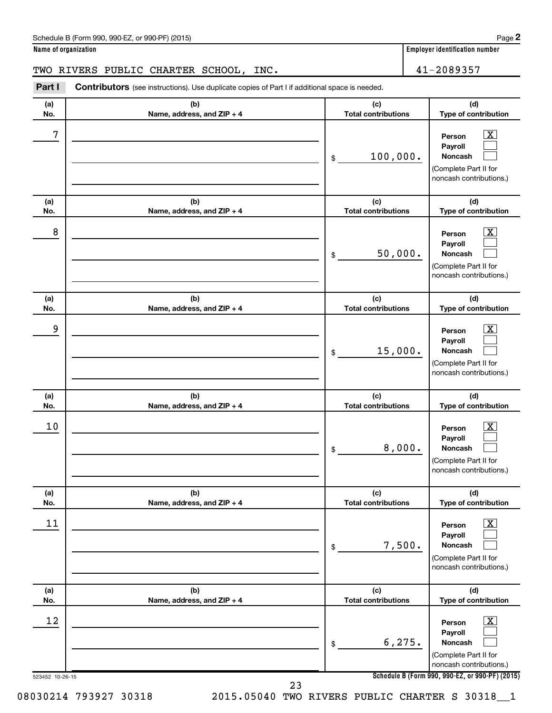| Schedule B (Form 990, 990-EZ, or 990-PF) (2015)<br>$\sqrt{2}$ and $\sqrt{2}$ and $\sqrt{2}$ and $\sqrt{2}$ and $\sqrt{2}$ and $\sqrt{2}$ and $\sqrt{2}$ and $\sqrt{2}$ and $\sqrt{2}$ and $\sqrt{2}$ and $\sqrt{2}$ and $\sqrt{2}$ and $\sqrt{2}$ and $\sqrt{2}$ and $\sqrt{2}$ and $\sqrt{2}$ and $\sqrt{2}$ and $\sqrt{2}$ and $\sqrt{2$ | Page |  |
|--------------------------------------------------------------------------------------------------------------------------------------------------------------------------------------------------------------------------------------------------------------------------------------------------------------------------------------------|------|--|
|--------------------------------------------------------------------------------------------------------------------------------------------------------------------------------------------------------------------------------------------------------------------------------------------------------------------------------------------|------|--|

TWO RIVERS PUBLIC CHARTER SCHOOL, INC. 41-2089357

| Part I                | Contributors (see instructions). Use duplicate copies of Part I if additional space is needed. |                                   |                                                                                                                                          |
|-----------------------|------------------------------------------------------------------------------------------------|-----------------------------------|------------------------------------------------------------------------------------------------------------------------------------------|
| (a)<br>No.            | (b)<br>Name, address, and ZIP + 4                                                              | (c)<br><b>Total contributions</b> | (d)<br>Type of contribution                                                                                                              |
| 7                     |                                                                                                | 100,000.<br>\$                    | $\overline{\text{X}}$<br>Person<br>Payroll<br><b>Noncash</b><br>(Complete Part II for<br>noncash contributions.)                         |
| (a)<br>No.            | (b)<br>Name, address, and ZIP + 4                                                              | (c)<br><b>Total contributions</b> | (d)<br>Type of contribution                                                                                                              |
| 8                     |                                                                                                | 50,000.<br>\$                     | x<br>Person<br>Payroll<br>Noncash<br>(Complete Part II for<br>noncash contributions.)                                                    |
| (a)<br>No.            | (b)<br>Name, address, and ZIP + 4                                                              | (c)<br><b>Total contributions</b> | (d)<br>Type of contribution                                                                                                              |
| 9                     |                                                                                                | 15,000.<br>\$                     | x<br>Person<br>Payroll<br>Noncash<br>(Complete Part II for<br>noncash contributions.)                                                    |
| (a)<br>No.            | (b)<br>Name, address, and ZIP + 4                                                              | (c)<br><b>Total contributions</b> | (d)<br>Type of contribution                                                                                                              |
| 10                    |                                                                                                | 8,000.<br>\$                      | X<br>Person<br>Payroll<br>Noncash<br>(Complete Part II for<br>noncash contributions.)                                                    |
| (a)<br>No.            | (b)<br>Name, address, and ZIP + 4                                                              | (c)<br><b>Total contributions</b> | (d)<br>Type of contribution                                                                                                              |
| 11                    |                                                                                                | 7,500.<br>\$                      | x<br>Person<br>Payroll<br>Noncash<br>(Complete Part II for<br>noncash contributions.)                                                    |
| (a)<br>No.            | (b)<br>Name, address, and ZIP + 4                                                              | (c)<br><b>Total contributions</b> | (d)<br>Type of contribution                                                                                                              |
| 12<br>523452 10-26-15 |                                                                                                | 6, 275.<br>\$                     | х<br>Person<br>Payroll<br>Noncash<br>(Complete Part II for<br>noncash contributions.)<br>Schedule B (Form 990, 990-EZ, or 990-PF) (2015) |
|                       | ົາ                                                                                             |                                   |                                                                                                                                          |

08030214 793927 30318 2015.05040 TWO RIVERS PUBLIC CHARTER S 30318 1 23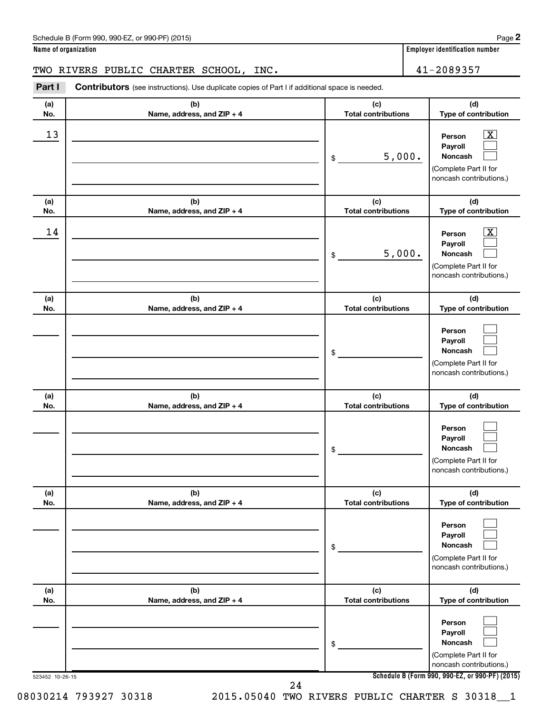| Schedule B (Form 990, 990-EZ, or 990-PF) (2015)<br>$\sqrt{2}$ , $\sqrt{2}$ , $\sqrt{2}$ , $\sqrt{2}$ , $\sqrt{2}$ , $\sqrt{2}$ | Page |
|--------------------------------------------------------------------------------------------------------------------------------|------|
|--------------------------------------------------------------------------------------------------------------------------------|------|

## TWO RIVERS PUBLIC CHARTER SCHOOL, INC. 41-2089357

| Part I          | Contributors (see instructions). Use duplicate copies of Part I if additional space is needed. |                                   |                                                                                                             |
|-----------------|------------------------------------------------------------------------------------------------|-----------------------------------|-------------------------------------------------------------------------------------------------------------|
| (a)<br>No.      | (b)<br>Name, address, and ZIP + 4                                                              | (c)<br><b>Total contributions</b> | (d)<br>Type of contribution                                                                                 |
| 13              |                                                                                                | 5,000.<br>\$                      | $\overline{\mathbf{X}}$<br>Person<br>Payroll<br>Noncash<br>(Complete Part II for<br>noncash contributions.) |
| (a)<br>No.      | (b)<br>Name, address, and ZIP + 4                                                              | (c)<br><b>Total contributions</b> | (d)<br>Type of contribution                                                                                 |
| 14              |                                                                                                | 5,000.<br>\$                      | $\overline{\mathbf{X}}$<br>Person<br>Payroll<br>Noncash<br>(Complete Part II for<br>noncash contributions.) |
| (a)<br>No.      | (b)<br>Name, address, and ZIP + 4                                                              | (c)<br><b>Total contributions</b> | (d)<br>Type of contribution                                                                                 |
|                 |                                                                                                | \$                                | Person<br>Payroll<br>Noncash<br>(Complete Part II for<br>noncash contributions.)                            |
| (a)<br>No.      | (b)<br>Name, address, and ZIP + 4                                                              | (c)<br><b>Total contributions</b> | (d)<br>Type of contribution                                                                                 |
|                 |                                                                                                | \$                                | Person<br>Payroll<br>Noncash<br>(Complete Part II for<br>noncash contributions.)                            |
| (a)<br>No.      | (b)<br>Name, address, and ZIP + 4                                                              | (c)<br><b>Total contributions</b> | (d)<br>Type of contribution                                                                                 |
|                 |                                                                                                | \$                                | Person<br>Payroll<br>Noncash<br>(Complete Part II for<br>noncash contributions.)                            |
| (a)<br>No.      | (b)<br>Name, address, and ZIP + 4                                                              | (c)<br><b>Total contributions</b> | (d)<br>Type of contribution                                                                                 |
|                 |                                                                                                | \$                                | Person<br>Payroll<br>Noncash<br>(Complete Part II for<br>noncash contributions.)                            |
| 523452 10-26-15 |                                                                                                | 24                                | Schedule B (Form 990, 990-EZ, or 990-PF) (2015)                                                             |

08030214 793927 30318 2015.05040 TWO RIVERS PUBLIC CHARTER S 30318\_\_1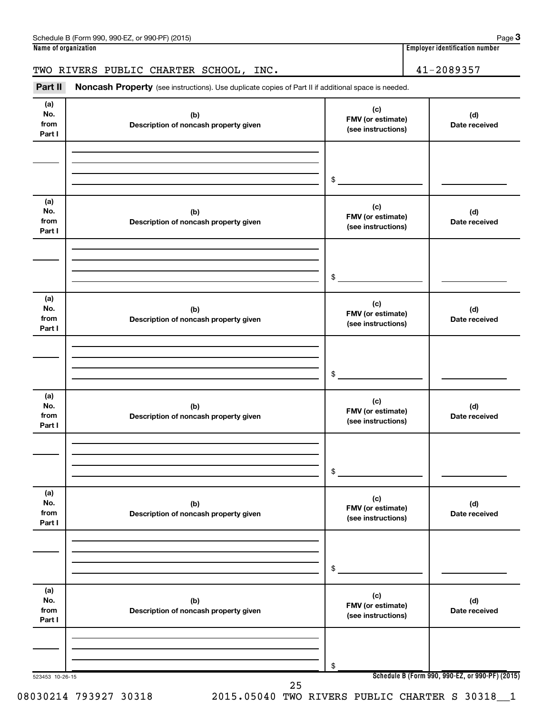## TWO RIVERS PUBLIC CHARTER SCHOOL, INC. 41-2089357

Part II Noncash Property (see instructions). Use duplicate copies of Part II if additional space is needed.

| (a)<br>No.<br>from<br>Part I | (b)<br>Description of noncash property given | (c)<br>FMV (or estimate)<br>(see instructions) | (d)<br>Date received                            |
|------------------------------|----------------------------------------------|------------------------------------------------|-------------------------------------------------|
|                              |                                              |                                                |                                                 |
|                              |                                              |                                                |                                                 |
|                              |                                              | $\frac{1}{2}$                                  |                                                 |
| (a)<br>No.<br>from<br>Part I | (b)<br>Description of noncash property given | (c)<br>FMV (or estimate)<br>(see instructions) | (d)<br>Date received                            |
|                              |                                              |                                                |                                                 |
|                              |                                              | $\frac{1}{2}$                                  |                                                 |
| (a)<br>No.<br>from<br>Part I | (b)<br>Description of noncash property given | (c)<br>FMV (or estimate)<br>(see instructions) | (d)<br>Date received                            |
|                              |                                              |                                                |                                                 |
|                              |                                              | $\frac{1}{2}$                                  |                                                 |
| (a)<br>No.<br>from<br>Part I | (b)<br>Description of noncash property given | (c)<br>FMV (or estimate)<br>(see instructions) | (d)<br>Date received                            |
|                              |                                              |                                                |                                                 |
|                              |                                              | $\frac{1}{2}$                                  |                                                 |
| (a)<br>No.<br>from<br>Part I | (b)<br>Description of noncash property given | (c)<br>FMV (or estimate)<br>(see instructions) | (d)<br>Date received                            |
|                              |                                              |                                                |                                                 |
|                              |                                              | \$                                             |                                                 |
| (a)<br>No.<br>from<br>Part I | (b)<br>Description of noncash property given | (c)<br>FMV (or estimate)<br>(see instructions) | (d)<br>Date received                            |
|                              |                                              |                                                |                                                 |
|                              |                                              | \$                                             |                                                 |
| 523453 10-26-15              | 25                                           |                                                | Schedule B (Form 990, 990-EZ, or 990-PF) (2015) |

08030214 793927 30318 2015.05040 TWO RIVERS PUBLIC CHARTER S 30318 1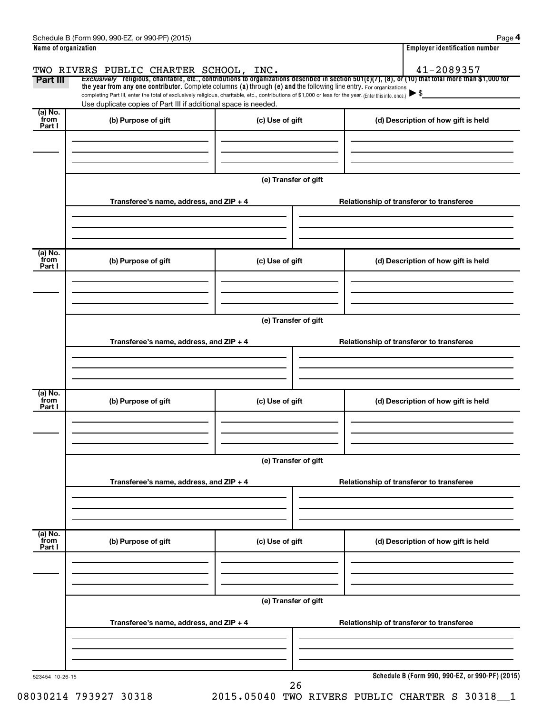| Part III                  | TWO RIVERS PUBLIC CHARTER SCHOOL, INC.<br>the year from any one contributor. Complete columns (a) through (e) and the following line entry. For organizations                                                               |                      | 41-2089357<br>Exclusively religious, charitable, etc., contributions to organizations described in section 501(c)(7), (8), or (10) that total more than \$1,000 for |  |  |  |
|---------------------------|-----------------------------------------------------------------------------------------------------------------------------------------------------------------------------------------------------------------------------|----------------------|---------------------------------------------------------------------------------------------------------------------------------------------------------------------|--|--|--|
|                           | completing Part III, enter the total of exclusively religious, charitable, etc., contributions of \$1,000 or less for the year. (Enter this info. once.)<br>Use duplicate copies of Part III if additional space is needed. |                      |                                                                                                                                                                     |  |  |  |
| (a) No.                   |                                                                                                                                                                                                                             |                      |                                                                                                                                                                     |  |  |  |
| from<br>Part I            | (b) Purpose of gift                                                                                                                                                                                                         | (c) Use of gift      | (d) Description of how gift is held                                                                                                                                 |  |  |  |
|                           |                                                                                                                                                                                                                             | (e) Transfer of gift |                                                                                                                                                                     |  |  |  |
|                           | Transferee's name, address, and $ZIP + 4$                                                                                                                                                                                   |                      | Relationship of transferor to transferee                                                                                                                            |  |  |  |
| (a) No.<br>from           | (b) Purpose of gift                                                                                                                                                                                                         | (c) Use of gift      | (d) Description of how gift is held                                                                                                                                 |  |  |  |
| Part I                    |                                                                                                                                                                                                                             |                      |                                                                                                                                                                     |  |  |  |
|                           |                                                                                                                                                                                                                             | (e) Transfer of gift |                                                                                                                                                                     |  |  |  |
|                           | Transferee's name, address, and $ZIP + 4$                                                                                                                                                                                   |                      | Relationship of transferor to transferee                                                                                                                            |  |  |  |
|                           |                                                                                                                                                                                                                             |                      |                                                                                                                                                                     |  |  |  |
| (a) No.<br>from<br>Part I | (b) Purpose of gift                                                                                                                                                                                                         | (c) Use of gift      | (d) Description of how gift is held                                                                                                                                 |  |  |  |
|                           |                                                                                                                                                                                                                             |                      |                                                                                                                                                                     |  |  |  |
|                           | (e) Transfer of gift                                                                                                                                                                                                        |                      |                                                                                                                                                                     |  |  |  |
|                           | Transferee's name, address, and ZIP + 4                                                                                                                                                                                     |                      | Relationship of transferor to transferee                                                                                                                            |  |  |  |
|                           |                                                                                                                                                                                                                             |                      |                                                                                                                                                                     |  |  |  |
| (a) No.<br>from<br>Part I | (b) Purpose of gift                                                                                                                                                                                                         | (c) Use of gift      | (d) Description of how gift is held                                                                                                                                 |  |  |  |
|                           |                                                                                                                                                                                                                             | (e) Transfer of gift |                                                                                                                                                                     |  |  |  |
|                           | Transferee's name, address, and ZIP + 4                                                                                                                                                                                     |                      | Relationship of transferor to transferee                                                                                                                            |  |  |  |
|                           |                                                                                                                                                                                                                             |                      |                                                                                                                                                                     |  |  |  |

**4**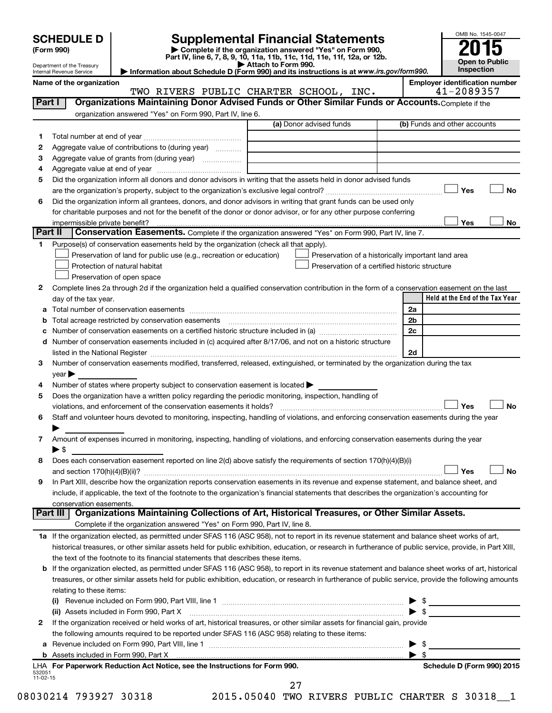Department of the Treasury Internal Revenue Service

| (Form 990) |  |
|------------|--|
|------------|--|

# **SCHEDULE D Supplemental Financial Statements**<br> **Form 990 2015**<br> **Part IV** line 6.7.8.9.10, 11a, 11b, 11d, 11d, 11d, 11d, 11d, 12a, 0r, 12b

**(Form 990) | Complete if the organization answered "Yes" on Form 990, Part IV, line 6, 7, 8, 9, 10, 11a, 11b, 11c, 11d, 11e, 11f, 12a, or 12b.**

**| Attach to Form 990. | Information about Schedule D (Form 990) and its instructions is at**  *www.irs.gov/form990.*



|                    | Name of the organization                                                                                                                                  | TWO RIVERS PUBLIC CHARTER SCHOOL, INC. |                                                    | <b>Employer identification number</b><br>41-2089357 |
|--------------------|-----------------------------------------------------------------------------------------------------------------------------------------------------------|----------------------------------------|----------------------------------------------------|-----------------------------------------------------|
| Part I             | Organizations Maintaining Donor Advised Funds or Other Similar Funds or Accounts. Complete if the                                                         |                                        |                                                    |                                                     |
|                    | organization answered "Yes" on Form 990, Part IV, line 6.                                                                                                 |                                        |                                                    |                                                     |
|                    |                                                                                                                                                           | (a) Donor advised funds                |                                                    | (b) Funds and other accounts                        |
| 1                  |                                                                                                                                                           |                                        |                                                    |                                                     |
| 2                  | Aggregate value of contributions to (during year)                                                                                                         |                                        |                                                    |                                                     |
| 3                  | Aggregate value of grants from (during year)                                                                                                              |                                        |                                                    |                                                     |
| 4                  |                                                                                                                                                           |                                        |                                                    |                                                     |
| 5                  | Did the organization inform all donors and donor advisors in writing that the assets held in donor advised funds                                          |                                        |                                                    |                                                     |
|                    |                                                                                                                                                           |                                        |                                                    | Yes<br>No                                           |
| 6                  | Did the organization inform all grantees, donors, and donor advisors in writing that grant funds can be used only                                         |                                        |                                                    |                                                     |
|                    | for charitable purposes and not for the benefit of the donor or donor advisor, or for any other purpose conferring                                        |                                        |                                                    |                                                     |
|                    | impermissible private benefit?                                                                                                                            |                                        |                                                    | Yes<br>No                                           |
| Part II            | Conservation Easements. Complete if the organization answered "Yes" on Form 990, Part IV, line 7.                                                         |                                        |                                                    |                                                     |
| 1.                 | Purpose(s) of conservation easements held by the organization (check all that apply).                                                                     |                                        |                                                    |                                                     |
|                    | Preservation of land for public use (e.g., recreation or education)                                                                                       |                                        | Preservation of a historically important land area |                                                     |
|                    | Protection of natural habitat                                                                                                                             |                                        | Preservation of a certified historic structure     |                                                     |
|                    | Preservation of open space                                                                                                                                |                                        |                                                    |                                                     |
|                    |                                                                                                                                                           |                                        |                                                    |                                                     |
| 2                  | Complete lines 2a through 2d if the organization held a qualified conservation contribution in the form of a conservation easement on the last            |                                        |                                                    |                                                     |
|                    | day of the tax year.                                                                                                                                      |                                        |                                                    | Held at the End of the Tax Year                     |
| а                  |                                                                                                                                                           |                                        | 2a                                                 |                                                     |
| b                  |                                                                                                                                                           |                                        | 2 <sub>b</sub>                                     |                                                     |
| с                  |                                                                                                                                                           |                                        | 2c                                                 |                                                     |
| d                  | Number of conservation easements included in (c) acquired after 8/17/06, and not on a historic structure                                                  |                                        |                                                    |                                                     |
|                    |                                                                                                                                                           |                                        | 2d                                                 |                                                     |
| 3                  | Number of conservation easements modified, transferred, released, extinguished, or terminated by the organization during the tax                          |                                        |                                                    |                                                     |
|                    | year                                                                                                                                                      |                                        |                                                    |                                                     |
| 4                  | Number of states where property subject to conservation easement is located >                                                                             |                                        |                                                    |                                                     |
| 5                  | Does the organization have a written policy regarding the periodic monitoring, inspection, handling of                                                    |                                        |                                                    |                                                     |
|                    |                                                                                                                                                           |                                        |                                                    | Yes<br><b>No</b>                                    |
| 6                  | Staff and volunteer hours devoted to monitoring, inspecting, handling of violations, and enforcing conservation easements during the year                 |                                        |                                                    |                                                     |
|                    |                                                                                                                                                           |                                        |                                                    |                                                     |
| 7                  | Amount of expenses incurred in monitoring, inspecting, handling of violations, and enforcing conservation easements during the year                       |                                        |                                                    |                                                     |
|                    | $\blacktriangleright$ \$                                                                                                                                  |                                        |                                                    |                                                     |
| 8                  | Does each conservation easement reported on line 2(d) above satisfy the requirements of section 170(h)(4)(B)(i)                                           |                                        |                                                    |                                                     |
|                    |                                                                                                                                                           |                                        |                                                    | Yes<br>No                                           |
|                    | In Part XIII, describe how the organization reports conservation easements in its revenue and expense statement, and balance sheet, and                   |                                        |                                                    |                                                     |
|                    | include, if applicable, the text of the footnote to the organization's financial statements that describes the organization's accounting for              |                                        |                                                    |                                                     |
|                    | conservation easements.                                                                                                                                   |                                        |                                                    |                                                     |
|                    | Organizations Maintaining Collections of Art, Historical Treasures, or Other Similar Assets.<br>Part III                                                  |                                        |                                                    |                                                     |
|                    | Complete if the organization answered "Yes" on Form 990, Part IV, line 8.                                                                                 |                                        |                                                    |                                                     |
|                    | 1a If the organization elected, as permitted under SFAS 116 (ASC 958), not to report in its revenue statement and balance sheet works of art,             |                                        |                                                    |                                                     |
|                    | historical treasures, or other similar assets held for public exhibition, education, or research in furtherance of public service, provide, in Part XIII, |                                        |                                                    |                                                     |
|                    | the text of the footnote to its financial statements that describes these items.                                                                          |                                        |                                                    |                                                     |
| b                  | If the organization elected, as permitted under SFAS 116 (ASC 958), to report in its revenue statement and balance sheet works of art, historical         |                                        |                                                    |                                                     |
|                    | treasures, or other similar assets held for public exhibition, education, or research in furtherance of public service, provide the following amounts     |                                        |                                                    |                                                     |
|                    | relating to these items:                                                                                                                                  |                                        |                                                    |                                                     |
|                    |                                                                                                                                                           |                                        |                                                    | $\blacktriangleright$ \$                            |
|                    | (ii) Assets included in Form 990, Part X                                                                                                                  |                                        |                                                    | $\blacktriangleright$ \$                            |
| 2                  | If the organization received or held works of art, historical treasures, or other similar assets for financial gain, provide                              |                                        |                                                    |                                                     |
|                    | the following amounts required to be reported under SFAS 116 (ASC 958) relating to these items:                                                           |                                        |                                                    |                                                     |
| а                  |                                                                                                                                                           |                                        | - \$                                               |                                                     |
|                    |                                                                                                                                                           |                                        | -\$                                                |                                                     |
|                    | LHA For Paperwork Reduction Act Notice, see the Instructions for Form 990.                                                                                |                                        |                                                    | Schedule D (Form 990) 2015                          |
| 532051<br>11-02-15 |                                                                                                                                                           |                                        |                                                    |                                                     |

08030214 793927 30318 2015.05040 TWO RIVERS PUBLIC CHARTER S 30318 1 27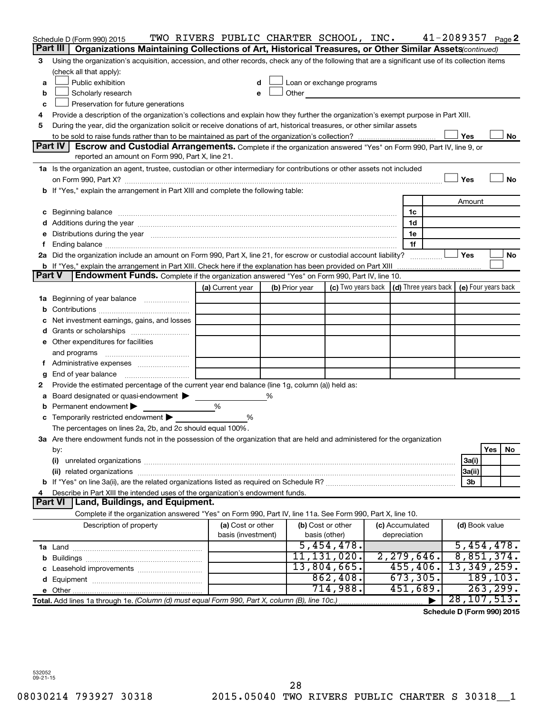|               | Schedule D (Form 990) 2015                                                                                                                                                                                                     | TWO RIVERS PUBLIC CHARTER SCHOOL, INC.  |                |                                                                                                                                                                                                                                |                                                 | 41-2089357          |           | Page 2    |
|---------------|--------------------------------------------------------------------------------------------------------------------------------------------------------------------------------------------------------------------------------|-----------------------------------------|----------------|--------------------------------------------------------------------------------------------------------------------------------------------------------------------------------------------------------------------------------|-------------------------------------------------|---------------------|-----------|-----------|
|               | Part III<br>Organizations Maintaining Collections of Art, Historical Treasures, or Other Similar Assets(continued)                                                                                                             |                                         |                |                                                                                                                                                                                                                                |                                                 |                     |           |           |
| 3             | Using the organization's acquisition, accession, and other records, check any of the following that are a significant use of its collection items                                                                              |                                         |                |                                                                                                                                                                                                                                |                                                 |                     |           |           |
|               | (check all that apply):                                                                                                                                                                                                        |                                         |                |                                                                                                                                                                                                                                |                                                 |                     |           |           |
| a             | Public exhibition                                                                                                                                                                                                              | d                                       |                | Loan or exchange programs                                                                                                                                                                                                      |                                                 |                     |           |           |
| b             | Scholarly research                                                                                                                                                                                                             | e                                       |                | Other and the control of the control of the control of the control of the control of the control of the control of the control of the control of the control of the control of the control of the control of the control of th |                                                 |                     |           |           |
| c             | Preservation for future generations                                                                                                                                                                                            |                                         |                |                                                                                                                                                                                                                                |                                                 |                     |           |           |
| 4             | Provide a description of the organization's collections and explain how they further the organization's exempt purpose in Part XIII.                                                                                           |                                         |                |                                                                                                                                                                                                                                |                                                 |                     |           |           |
| 5             | During the year, did the organization solicit or receive donations of art, historical treasures, or other similar assets                                                                                                       |                                         |                |                                                                                                                                                                                                                                |                                                 |                     |           |           |
|               |                                                                                                                                                                                                                                |                                         |                |                                                                                                                                                                                                                                |                                                 | Yes                 |           | No        |
|               | <b>Part IV</b><br>Escrow and Custodial Arrangements. Complete if the organization answered "Yes" on Form 990, Part IV, line 9, or                                                                                              |                                         |                |                                                                                                                                                                                                                                |                                                 |                     |           |           |
|               | reported an amount on Form 990, Part X, line 21.                                                                                                                                                                               |                                         |                |                                                                                                                                                                                                                                |                                                 |                     |           |           |
|               | 1a Is the organization an agent, trustee, custodian or other intermediary for contributions or other assets not included                                                                                                       |                                         |                |                                                                                                                                                                                                                                |                                                 |                     |           |           |
|               |                                                                                                                                                                                                                                |                                         |                |                                                                                                                                                                                                                                |                                                 | Yes                 |           | <b>No</b> |
|               | b If "Yes," explain the arrangement in Part XIII and complete the following table:                                                                                                                                             |                                         |                |                                                                                                                                                                                                                                |                                                 |                     |           |           |
|               |                                                                                                                                                                                                                                |                                         |                |                                                                                                                                                                                                                                |                                                 | Amount              |           |           |
|               | c Beginning balance measurements and the contract of the contract of the contract of the contract of the contract of the contract of the contract of the contract of the contract of the contract of the contract of the contr |                                         |                |                                                                                                                                                                                                                                | 1c                                              |                     |           |           |
|               |                                                                                                                                                                                                                                |                                         |                |                                                                                                                                                                                                                                | 1d                                              |                     |           |           |
|               | Distributions during the year manufactured and an account of the year manufactured and the year manufactured and the year manufactured and the year manufactured and the year manufactured and the year manufactured and the y |                                         |                |                                                                                                                                                                                                                                | 1e                                              |                     |           |           |
|               | 2a Did the organization include an amount on Form 990, Part X, line 21, for escrow or custodial account liability?                                                                                                             |                                         |                |                                                                                                                                                                                                                                | 1f                                              | Yes                 |           | No        |
|               | <b>b</b> If "Yes," explain the arrangement in Part XIII. Check here if the explanation has been provided on Part XIII                                                                                                          |                                         |                |                                                                                                                                                                                                                                |                                                 |                     |           |           |
| <b>Part V</b> | Endowment Funds. Complete if the organization answered "Yes" on Form 990, Part IV, line 10.                                                                                                                                    |                                         |                |                                                                                                                                                                                                                                |                                                 |                     |           |           |
|               |                                                                                                                                                                                                                                | (a) Current year                        | (b) Prior year |                                                                                                                                                                                                                                | (c) Two years back $ $ (d) Three years back $ $ | (e) Four years back |           |           |
| ٦а            | Beginning of year balance                                                                                                                                                                                                      |                                         |                |                                                                                                                                                                                                                                |                                                 |                     |           |           |
| b             |                                                                                                                                                                                                                                |                                         |                |                                                                                                                                                                                                                                |                                                 |                     |           |           |
|               | Net investment earnings, gains, and losses                                                                                                                                                                                     |                                         |                |                                                                                                                                                                                                                                |                                                 |                     |           |           |
|               |                                                                                                                                                                                                                                |                                         |                |                                                                                                                                                                                                                                |                                                 |                     |           |           |
|               | e Other expenditures for facilities                                                                                                                                                                                            |                                         |                |                                                                                                                                                                                                                                |                                                 |                     |           |           |
|               | and programs                                                                                                                                                                                                                   |                                         |                |                                                                                                                                                                                                                                |                                                 |                     |           |           |
|               |                                                                                                                                                                                                                                |                                         |                |                                                                                                                                                                                                                                |                                                 |                     |           |           |
| g             | End of year balance                                                                                                                                                                                                            |                                         |                |                                                                                                                                                                                                                                |                                                 |                     |           |           |
| 2             | Provide the estimated percentage of the current year end balance (line 1g, column (a)) held as:                                                                                                                                |                                         |                |                                                                                                                                                                                                                                |                                                 |                     |           |           |
| а             | Board designated or quasi-endowment                                                                                                                                                                                            |                                         | ℅              |                                                                                                                                                                                                                                |                                                 |                     |           |           |
|               | Permanent endowment                                                                                                                                                                                                            | %                                       |                |                                                                                                                                                                                                                                |                                                 |                     |           |           |
|               | <b>c</b> Temporarily restricted endowment $\blacktriangleright$                                                                                                                                                                | %                                       |                |                                                                                                                                                                                                                                |                                                 |                     |           |           |
|               | The percentages on lines 2a, 2b, and 2c should equal 100%.                                                                                                                                                                     |                                         |                |                                                                                                                                                                                                                                |                                                 |                     |           |           |
|               | 3a Are there endowment funds not in the possession of the organization that are held and administered for the organization                                                                                                     |                                         |                |                                                                                                                                                                                                                                |                                                 |                     |           |           |
|               | by:                                                                                                                                                                                                                            |                                         |                |                                                                                                                                                                                                                                |                                                 |                     | Yes       | No        |
|               | (i)                                                                                                                                                                                                                            |                                         |                |                                                                                                                                                                                                                                |                                                 | 3a(i)               |           |           |
|               | (ii) related organizations                                                                                                                                                                                                     |                                         |                |                                                                                                                                                                                                                                |                                                 | 3a(ii)              |           |           |
|               |                                                                                                                                                                                                                                |                                         |                |                                                                                                                                                                                                                                |                                                 | 3b                  |           |           |
|               | Describe in Part XIII the intended uses of the organization's endowment funds.<br><b>Part VI</b>                                                                                                                               |                                         |                |                                                                                                                                                                                                                                |                                                 |                     |           |           |
|               | Land, Buildings, and Equipment.                                                                                                                                                                                                |                                         |                |                                                                                                                                                                                                                                |                                                 |                     |           |           |
|               | Complete if the organization answered "Yes" on Form 990, Part IV, line 11a. See Form 990, Part X, line 10.                                                                                                                     |                                         |                |                                                                                                                                                                                                                                |                                                 |                     |           |           |
|               | Description of property                                                                                                                                                                                                        | (a) Cost or other<br>basis (investment) |                | (b) Cost or other<br>basis (other)                                                                                                                                                                                             | (c) Accumulated<br>depreciation                 | (d) Book value      |           |           |
|               |                                                                                                                                                                                                                                |                                         |                | 5,454,478.                                                                                                                                                                                                                     |                                                 | 5,454,478.          |           |           |
|               |                                                                                                                                                                                                                                |                                         |                | 11, 131, 020.                                                                                                                                                                                                                  | 2, 279, 646.                                    | 8,851,374.          |           |           |
|               |                                                                                                                                                                                                                                |                                         |                | 13,804,665.                                                                                                                                                                                                                    | 455, 406.                                       | 13,349,259.         |           |           |
|               |                                                                                                                                                                                                                                |                                         |                | 862,408.                                                                                                                                                                                                                       | 673, 305.                                       |                     | 189,103.  |           |
|               | e Other.                                                                                                                                                                                                                       |                                         |                | 714,988.                                                                                                                                                                                                                       | 451,689.                                        |                     | 263, 299. |           |
|               | Total. Add lines 1a through 1e. (Column (d) must equal Form 990, Part X, column (B), line 10c.)                                                                                                                                |                                         |                |                                                                                                                                                                                                                                |                                                 | 28, 107, 513.       |           |           |
|               |                                                                                                                                                                                                                                |                                         |                |                                                                                                                                                                                                                                |                                                 |                     |           |           |

**Schedule D (Form 990) 2015**

532052 09-21-15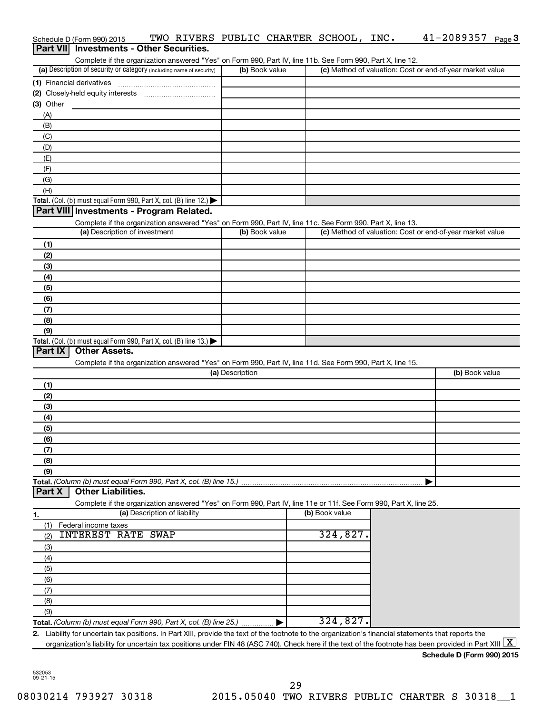|                  | Schedule D (Form 990) 2015                                                                                        |                              |                 |                | TWO RIVERS PUBLIC CHARTER SCHOOL, INC. | $41 - 2089357$ Page 3                                                                                                                                    |
|------------------|-------------------------------------------------------------------------------------------------------------------|------------------------------|-----------------|----------------|----------------------------------------|----------------------------------------------------------------------------------------------------------------------------------------------------------|
| <b>Part VIII</b> | <b>Investments - Other Securities.</b>                                                                            |                              |                 |                |                                        |                                                                                                                                                          |
|                  | Complete if the organization answered "Yes" on Form 990, Part IV, line 11b. See Form 990, Part X, line 12.        |                              |                 |                |                                        |                                                                                                                                                          |
|                  | (a) Description of security or category (including name of security)                                              |                              |                 | (b) Book value |                                        | (c) Method of valuation: Cost or end-of-year market value                                                                                                |
|                  | (1) Financial derivatives                                                                                         |                              |                 |                |                                        |                                                                                                                                                          |
|                  |                                                                                                                   |                              |                 |                |                                        |                                                                                                                                                          |
| $(3)$ Other      |                                                                                                                   |                              |                 |                |                                        |                                                                                                                                                          |
| (A)              |                                                                                                                   |                              |                 |                |                                        |                                                                                                                                                          |
| (B)              |                                                                                                                   |                              |                 |                |                                        |                                                                                                                                                          |
| (C)              |                                                                                                                   |                              |                 |                |                                        |                                                                                                                                                          |
| (D)              |                                                                                                                   |                              |                 |                |                                        |                                                                                                                                                          |
| (E)              |                                                                                                                   |                              |                 |                |                                        |                                                                                                                                                          |
| (F)<br>(G)       |                                                                                                                   |                              |                 |                |                                        |                                                                                                                                                          |
| (H)              |                                                                                                                   |                              |                 |                |                                        |                                                                                                                                                          |
|                  | Total. (Col. (b) must equal Form 990, Part X, col. (B) line 12.)                                                  |                              |                 |                |                                        |                                                                                                                                                          |
|                  | Part VIII Investments - Program Related.                                                                          |                              |                 |                |                                        |                                                                                                                                                          |
|                  | Complete if the organization answered "Yes" on Form 990, Part IV, line 11c. See Form 990, Part X, line 13.        |                              |                 |                |                                        |                                                                                                                                                          |
|                  | (a) Description of investment                                                                                     |                              |                 | (b) Book value |                                        | (c) Method of valuation: Cost or end-of-year market value                                                                                                |
| (1)              |                                                                                                                   |                              |                 |                |                                        |                                                                                                                                                          |
| (2)              |                                                                                                                   |                              |                 |                |                                        |                                                                                                                                                          |
| (3)              |                                                                                                                   |                              |                 |                |                                        |                                                                                                                                                          |
| (4)              |                                                                                                                   |                              |                 |                |                                        |                                                                                                                                                          |
| (5)              |                                                                                                                   |                              |                 |                |                                        |                                                                                                                                                          |
| (6)              |                                                                                                                   |                              |                 |                |                                        |                                                                                                                                                          |
| (7)              |                                                                                                                   |                              |                 |                |                                        |                                                                                                                                                          |
| (8)              |                                                                                                                   |                              |                 |                |                                        |                                                                                                                                                          |
| (9)              |                                                                                                                   |                              |                 |                |                                        |                                                                                                                                                          |
|                  | Total. (Col. (b) must equal Form 990, Part X, col. (B) line 13.)                                                  |                              |                 |                |                                        |                                                                                                                                                          |
| Part IX          | <b>Other Assets.</b>                                                                                              |                              |                 |                |                                        |                                                                                                                                                          |
|                  | Complete if the organization answered "Yes" on Form 990, Part IV, line 11d. See Form 990, Part X, line 15.        |                              |                 |                |                                        |                                                                                                                                                          |
|                  |                                                                                                                   |                              | (a) Description |                |                                        | (b) Book value                                                                                                                                           |
| (1)              |                                                                                                                   |                              |                 |                |                                        |                                                                                                                                                          |
| (2)              |                                                                                                                   |                              |                 |                |                                        |                                                                                                                                                          |
| (3)              |                                                                                                                   |                              |                 |                |                                        |                                                                                                                                                          |
| (4)              |                                                                                                                   |                              |                 |                |                                        |                                                                                                                                                          |
| (5)              |                                                                                                                   |                              |                 |                |                                        |                                                                                                                                                          |
| (6)              |                                                                                                                   |                              |                 |                |                                        |                                                                                                                                                          |
| (7)              |                                                                                                                   |                              |                 |                |                                        |                                                                                                                                                          |
| (8)              |                                                                                                                   |                              |                 |                |                                        |                                                                                                                                                          |
| (9)              |                                                                                                                   |                              |                 |                |                                        |                                                                                                                                                          |
|                  | Total. (Column (b) must equal Form 990, Part X, col. (B) line 15.)                                                |                              |                 |                |                                        |                                                                                                                                                          |
| Part X           | <b>Other Liabilities.</b>                                                                                         |                              |                 |                |                                        |                                                                                                                                                          |
|                  | Complete if the organization answered "Yes" on Form 990, Part IV, line 11e or 11f. See Form 990, Part X, line 25. | (a) Description of liability |                 |                | (b) Book value                         |                                                                                                                                                          |
| <u>1.</u>        |                                                                                                                   |                              |                 |                |                                        |                                                                                                                                                          |
| (1)              | Federal income taxes<br><b>INTEREST RATE SWAP</b>                                                                 |                              |                 |                | 324,827.                               |                                                                                                                                                          |
| (2)              |                                                                                                                   |                              |                 |                |                                        |                                                                                                                                                          |
| (3)              |                                                                                                                   |                              |                 |                |                                        |                                                                                                                                                          |
| (4)              |                                                                                                                   |                              |                 |                |                                        |                                                                                                                                                          |
| (5)              |                                                                                                                   |                              |                 |                |                                        |                                                                                                                                                          |
| (6)              |                                                                                                                   |                              |                 |                |                                        |                                                                                                                                                          |
| (7)              |                                                                                                                   |                              |                 |                |                                        |                                                                                                                                                          |
| (8)              |                                                                                                                   |                              |                 |                |                                        |                                                                                                                                                          |
| (9)              | Total. (Column (b) must equal Form 990, Part X, col. (B) line 25.)                                                |                              |                 |                | 324,827.                               |                                                                                                                                                          |
|                  |                                                                                                                   |                              |                 |                |                                        | 2. Liability for uncertain tax positions. In Part XIII, provide the text of the footnote to the organization's financial statements that reports the     |
|                  |                                                                                                                   |                              |                 |                |                                        | organization's liability for uncertain tax positions under FIN 48 (ASC 740). Check here if the text of the footnote has been provided in Part XIII $ X $ |
|                  |                                                                                                                   |                              |                 |                |                                        | Schedule D (Form 990) 2015                                                                                                                               |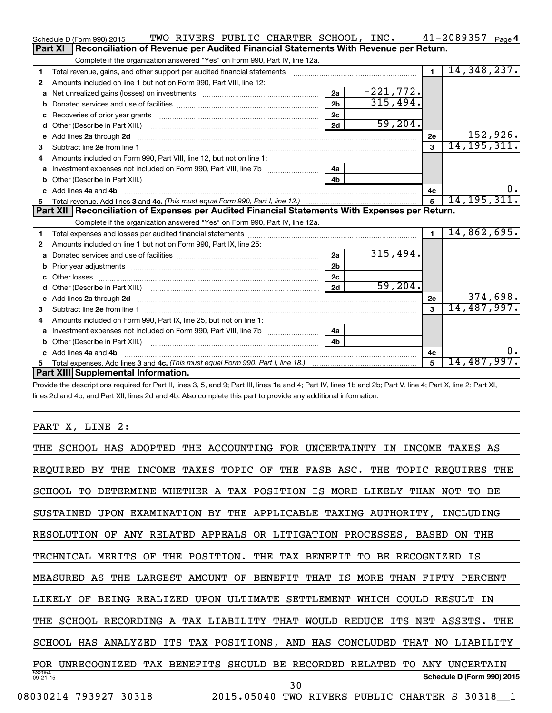|    | Schedule D (Form 990) 2015                                                                                                                                                                                                                                                   |  |  |                | TWO RIVERS PUBLIC CHARTER SCHOOL, INC. |                | $41 - 2089357$ Page 4 |          |
|----|------------------------------------------------------------------------------------------------------------------------------------------------------------------------------------------------------------------------------------------------------------------------------|--|--|----------------|----------------------------------------|----------------|-----------------------|----------|
|    | Reconciliation of Revenue per Audited Financial Statements With Revenue per Return.<br><b>Part XI</b>                                                                                                                                                                        |  |  |                |                                        |                |                       |          |
|    | Complete if the organization answered "Yes" on Form 990, Part IV, line 12a.                                                                                                                                                                                                  |  |  |                |                                        |                |                       |          |
| 1  | Total revenue, gains, and other support per audited financial statements [111] [11] Total revenue, gains, and other support per audited financial statements                                                                                                                 |  |  |                |                                        | $\blacksquare$ | 14,348,237.           |          |
| 2  | Amounts included on line 1 but not on Form 990, Part VIII, line 12:                                                                                                                                                                                                          |  |  |                |                                        |                |                       |          |
| a  |                                                                                                                                                                                                                                                                              |  |  | 2a             | $-221,772.$                            |                |                       |          |
|    |                                                                                                                                                                                                                                                                              |  |  | 2 <sub>b</sub> | 315,494.                               |                |                       |          |
| c  |                                                                                                                                                                                                                                                                              |  |  | 2c             |                                        |                |                       |          |
| d  |                                                                                                                                                                                                                                                                              |  |  | 2d             | 59,204.                                |                |                       |          |
| е  | Add lines 2a through 2d <b>continuum continuum contract and all the contract of the contract of the contract of the contract of the contract of the contract of the contract of the contract of the contract of the contract of </b>                                         |  |  |                |                                        | 2e             |                       | 152,926. |
| 3  |                                                                                                                                                                                                                                                                              |  |  |                |                                        | 3              | 14, 195, 311.         |          |
| 4  | Amounts included on Form 990. Part VIII. line 12, but not on line 1:                                                                                                                                                                                                         |  |  |                |                                        |                |                       |          |
|    | Investment expenses not included on Form 990, Part VIII, line 7b                                                                                                                                                                                                             |  |  | 4a             |                                        |                |                       |          |
|    |                                                                                                                                                                                                                                                                              |  |  | 4 <sub>h</sub> |                                        |                |                       |          |
|    | c Add lines 4a and 4b                                                                                                                                                                                                                                                        |  |  |                |                                        | 4с             |                       | $0$ .    |
| 5. |                                                                                                                                                                                                                                                                              |  |  |                |                                        | 5              | 14, 195, 311.         |          |
|    |                                                                                                                                                                                                                                                                              |  |  |                |                                        |                |                       |          |
|    | Part XII   Reconciliation of Expenses per Audited Financial Statements With Expenses per Return.                                                                                                                                                                             |  |  |                |                                        |                |                       |          |
|    | Complete if the organization answered "Yes" on Form 990, Part IV, line 12a.                                                                                                                                                                                                  |  |  |                |                                        |                |                       |          |
| 1. |                                                                                                                                                                                                                                                                              |  |  |                |                                        | $\mathbf{1}$   | 14,862,695.           |          |
| 2  | Amounts included on line 1 but not on Form 990, Part IX, line 25:                                                                                                                                                                                                            |  |  |                |                                        |                |                       |          |
| a  |                                                                                                                                                                                                                                                                              |  |  | 2a             | 315,494.                               |                |                       |          |
|    | b Prior year adjustments [111] manufactured and prior year adjustments [11] manufactured and prior year adjustments                                                                                                                                                          |  |  | 2 <sub>b</sub> |                                        |                |                       |          |
| c  |                                                                                                                                                                                                                                                                              |  |  | 2 <sub>c</sub> |                                        |                |                       |          |
| d  |                                                                                                                                                                                                                                                                              |  |  | 2d             | 59,204.                                |                |                       |          |
|    | e Add lines 2a through 2d <b>[10]</b> [10] <b>All and Provide 20</b> [10] <b>All and Provide 20</b> [10] <b>All and Provide 20</b> [10] <b>All and Provide 20</b> [10] <b>All and Provide 20</b> [10] <b>All and Provide 20</b> [10] <b>All and Provide 20</b> [10] <b>A</b> |  |  |                |                                        | 2e             |                       | 374,698. |
| 3  |                                                                                                                                                                                                                                                                              |  |  |                |                                        | $\mathbf{a}$   | 14,487,997.           |          |
| 4  | Amounts included on Form 990, Part IX, line 25, but not on line 1:                                                                                                                                                                                                           |  |  |                |                                        |                |                       |          |
|    |                                                                                                                                                                                                                                                                              |  |  | 4a             |                                        |                |                       |          |
| b  | Other (Describe in Part XIII.) <b>Construction Contract Construction</b> Chemistry Chemistry Chemistry Chemistry Chemistry                                                                                                                                                   |  |  | 4h             |                                        |                |                       |          |
|    | c Add lines 4a and 4b                                                                                                                                                                                                                                                        |  |  |                |                                        | 4с             |                       | 0.       |
|    | Part XIII Supplemental Information.                                                                                                                                                                                                                                          |  |  |                |                                        | 5              | <u>14,487,997.</u>    |          |

Provide the descriptions required for Part II, lines 3, 5, and 9; Part III, lines 1a and 4; Part IV, lines 1b and 2b; Part V, line 4; Part X, line 2; Part XI, lines 2d and 4b; and Part XII, lines 2d and 4b. Also complete this part to provide any additional information.

# PART X, LINE 2:

| ADOPTED<br>THE ACCOUNTING FOR UNCERTAINTY IN<br><b>INCOME</b><br>THE SCHOOL HAS<br>TAXES<br>AS |
|------------------------------------------------------------------------------------------------|
| INCOME TAXES TOPIC OF THE FASB ASC. THE TOPIC REQUIRES THE<br>REOUIRED<br>BY<br>THE            |
| DETERMINE WHETHER A TAX POSITION IS MORE LIKELY THAN<br>SCHOOL<br>BE<br>TО<br>NOT<br>TO.       |
| UPON EXAMINATION BY THE APPLICABLE TAXING AUTHORITY, INCLUDING<br>SUSTAINED                    |
| ANY RELATED APPEALS OR LITIGATION PROCESSES, BASED ON THE<br>RESOLUTION OF                     |
| THE POSITION. THE TAX BENEFIT TO<br>TECHNICAL<br>MERITS OF<br>BE RECOGNIZED<br>ΙS              |
| LARGEST AMOUNT OF<br>MEASURED AS<br>BENEFIT<br>THAT IS MORE<br>THAN<br>FIFTY<br>THE<br>PERCENT |
| LIKELY OF<br>BEING REALIZED UPON ULTIMATE SETTLEMENT<br>WHICH COULD RESULT IN                  |
| THE SCHOOL RECORDING A TAX LIABILITY THAT WOULD REDUCE<br>ITS NET ASSETS.<br>THE               |
| SCHOOL HAS ANALYZED ITS TAX POSITIONS, AND HAS CONCLUDED<br>THAT NO LIABILITY                  |
| UNRECOGNIZED TAX BENEFITS SHOULD<br>BE RECORDED RELATED<br>ANY UNCERTAIN<br>TO.<br>FOR         |
| 532054<br>Schedule D (Form 990) 2015<br>$09 - 21 - 15$<br>30                                   |
| 2015.05040<br>08030214 793927 30318<br>TWO RIVERS PUBLIC CHARTER S 30318 1                     |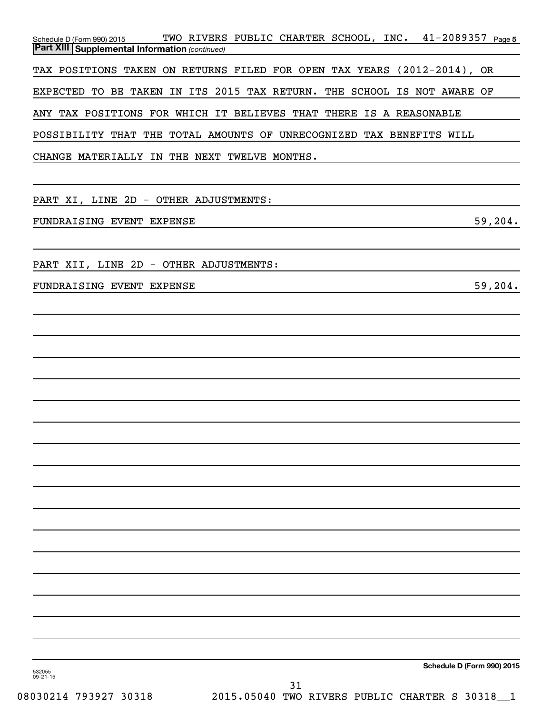| TWO RIVERS PUBLIC CHARTER SCHOOL, INC. 41-2089357 Page 5<br>Schedule D (Form 990) 2015 |
|----------------------------------------------------------------------------------------|
| <b>Part XIII   Supplemental Information (continued)</b>                                |
| TAX POSITIONS TAKEN ON RETURNS FILED FOR OPEN TAX YEARS (2012-2014), OR                |
| EXPECTED TO BE TAKEN IN ITS 2015 TAX RETURN. THE SCHOOL IS NOT AWARE OF                |
| ANY TAX POSITIONS FOR WHICH IT BELIEVES THAT THERE IS A REASONABLE                     |
| POSSIBILITY THAT THE TOTAL AMOUNTS OF UNRECOGNIZED TAX BENEFITS WILL                   |
| CHANGE MATERIALLY IN THE NEXT TWELVE MONTHS.                                           |
|                                                                                        |
| PART XI, LINE 2D - OTHER ADJUSTMENTS:                                                  |
| 59,204.<br>FUNDRAISING EVENT EXPENSE                                                   |
|                                                                                        |
| PART XII, LINE 2D - OTHER ADJUSTMENTS:                                                 |
| 59,204.<br>FUNDRAISING EVENT EXPENSE                                                   |
|                                                                                        |
|                                                                                        |
|                                                                                        |

532055 09-21-15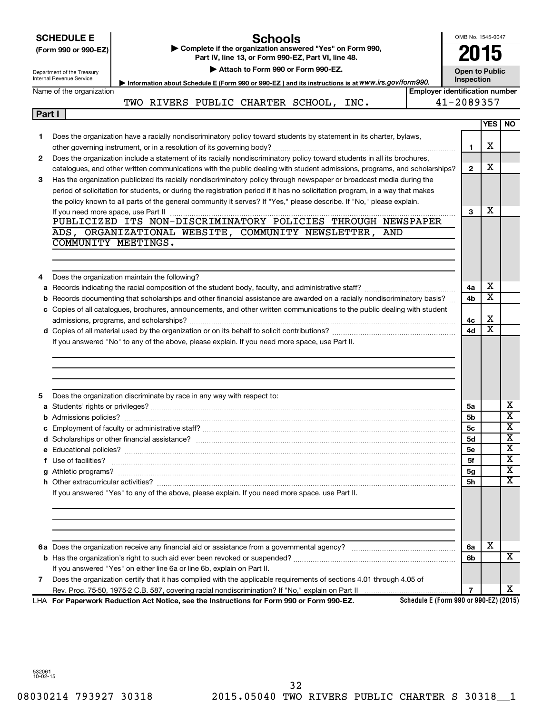|        |                                                        |                                                                                                                                                                                                                                    |                                       | OMB No. 1545-0047     |                              |                       |  |  |  |  |  |
|--------|--------------------------------------------------------|------------------------------------------------------------------------------------------------------------------------------------------------------------------------------------------------------------------------------------|---------------------------------------|-----------------------|------------------------------|-----------------------|--|--|--|--|--|
|        | <b>SCHEDULE E</b>                                      | <b>Schools</b>                                                                                                                                                                                                                     |                                       |                       |                              |                       |  |  |  |  |  |
|        | (Form 990 or 990-EZ)                                   | Complete if the organization answered "Yes" on Form 990,<br>Part IV, line 13, or Form 990-EZ, Part VI, line 48.                                                                                                                    |                                       |                       |                              |                       |  |  |  |  |  |
|        |                                                        | Attach to Form 990 or Form 990-EZ.                                                                                                                                                                                                 |                                       | <b>Open to Public</b> |                              |                       |  |  |  |  |  |
|        | Department of the Treasury<br>Internal Revenue Service | Inspection<br>Information about Schedule E (Form 990 or 990-EZ) and its instructions is at www.irs.gov/form990.                                                                                                                    |                                       |                       |                              |                       |  |  |  |  |  |
|        | Name of the organization                               |                                                                                                                                                                                                                                    | <b>Employer identification number</b> |                       |                              |                       |  |  |  |  |  |
|        |                                                        | TWO RIVERS PUBLIC CHARTER SCHOOL, INC.                                                                                                                                                                                             |                                       | 41-2089357            |                              |                       |  |  |  |  |  |
| Part I |                                                        |                                                                                                                                                                                                                                    |                                       |                       |                              |                       |  |  |  |  |  |
|        |                                                        |                                                                                                                                                                                                                                    |                                       |                       | YES                          | NO.                   |  |  |  |  |  |
| 1.     |                                                        | Does the organization have a racially nondiscriminatory policy toward students by statement in its charter, bylaws,                                                                                                                |                                       |                       |                              |                       |  |  |  |  |  |
|        |                                                        |                                                                                                                                                                                                                                    |                                       | $\mathbf{1}$          | х                            |                       |  |  |  |  |  |
| 2      |                                                        | Does the organization include a statement of its racially nondiscriminatory policy toward students in all its brochures,                                                                                                           |                                       |                       |                              |                       |  |  |  |  |  |
|        |                                                        | catalogues, and other written communications with the public dealing with student admissions, programs, and scholarships?                                                                                                          |                                       | $\mathbf{2}$          | х                            |                       |  |  |  |  |  |
| 3      |                                                        | Has the organization publicized its racially nondiscriminatory policy through newspaper or broadcast media during the                                                                                                              |                                       |                       |                              |                       |  |  |  |  |  |
|        |                                                        | period of solicitation for students, or during the registration period if it has no solicitation program, in a way that makes                                                                                                      |                                       |                       |                              |                       |  |  |  |  |  |
|        |                                                        | the policy known to all parts of the general community it serves? If "Yes," please describe. If "No," please explain.                                                                                                              |                                       |                       |                              |                       |  |  |  |  |  |
|        | If you need more space, use Part II                    |                                                                                                                                                                                                                                    |                                       | 3                     | х                            |                       |  |  |  |  |  |
|        |                                                        |                                                                                                                                                                                                                                    |                                       |                       |                              |                       |  |  |  |  |  |
|        |                                                        | ADS, ORGANIZATIONAL WEBSITE, COMMUNITY NEWSLETTER, AND                                                                                                                                                                             |                                       |                       |                              |                       |  |  |  |  |  |
|        |                                                        | COMMUNITY MEETINGS.                                                                                                                                                                                                                |                                       |                       |                              |                       |  |  |  |  |  |
|        |                                                        |                                                                                                                                                                                                                                    |                                       |                       |                              |                       |  |  |  |  |  |
|        |                                                        |                                                                                                                                                                                                                                    |                                       |                       |                              |                       |  |  |  |  |  |
|        |                                                        | Does the organization maintain the following?                                                                                                                                                                                      |                                       |                       |                              |                       |  |  |  |  |  |
| а      |                                                        |                                                                                                                                                                                                                                    |                                       | 4a                    | х                            |                       |  |  |  |  |  |
| b      |                                                        | Records documenting that scholarships and other financial assistance are awarded on a racially nondiscriminatory basis?                                                                                                            |                                       | 4b                    | $\overline{\texttt{x}}$      |                       |  |  |  |  |  |
|        |                                                        | c Copies of all catalogues, brochures, announcements, and other written communications to the public dealing with student                                                                                                          |                                       |                       |                              |                       |  |  |  |  |  |
|        |                                                        |                                                                                                                                                                                                                                    |                                       | 4с                    | X<br>$\overline{\textbf{x}}$ |                       |  |  |  |  |  |
|        |                                                        |                                                                                                                                                                                                                                    |                                       | 4d                    |                              |                       |  |  |  |  |  |
|        |                                                        | If you answered "No" to any of the above, please explain. If you need more space, use Part II.                                                                                                                                     |                                       |                       |                              |                       |  |  |  |  |  |
|        |                                                        |                                                                                                                                                                                                                                    |                                       |                       |                              |                       |  |  |  |  |  |
|        |                                                        |                                                                                                                                                                                                                                    |                                       |                       |                              |                       |  |  |  |  |  |
|        |                                                        |                                                                                                                                                                                                                                    |                                       |                       |                              |                       |  |  |  |  |  |
|        |                                                        | Does the organization discriminate by race in any way with respect to:                                                                                                                                                             |                                       |                       |                              |                       |  |  |  |  |  |
|        |                                                        |                                                                                                                                                                                                                                    |                                       | 5a                    |                              | х                     |  |  |  |  |  |
|        | <b>b</b> Admissions policies?                          |                                                                                                                                                                                                                                    |                                       | 5b                    |                              | $\overline{\text{x}}$ |  |  |  |  |  |
|        |                                                        |                                                                                                                                                                                                                                    |                                       | 5c                    |                              | х                     |  |  |  |  |  |
|        |                                                        |                                                                                                                                                                                                                                    |                                       | 5d                    |                              | х                     |  |  |  |  |  |
|        |                                                        |                                                                                                                                                                                                                                    |                                       | 5e                    |                              | X                     |  |  |  |  |  |
|        |                                                        | f Use of facilities? <b>www.communities.</b> We can be a series of the contract of the contract of the contract of the contract of the contract of the contract of the contract of the contract of the contract of the contract of |                                       | 5f                    |                              | х                     |  |  |  |  |  |
|        |                                                        |                                                                                                                                                                                                                                    |                                       | 5g                    |                              | х                     |  |  |  |  |  |
|        |                                                        |                                                                                                                                                                                                                                    |                                       | 5h                    |                              | х                     |  |  |  |  |  |
|        |                                                        | If you answered "Yes" to any of the above, please explain. If you need more space, use Part II.                                                                                                                                    |                                       |                       |                              |                       |  |  |  |  |  |
|        |                                                        |                                                                                                                                                                                                                                    |                                       |                       |                              |                       |  |  |  |  |  |
|        |                                                        |                                                                                                                                                                                                                                    |                                       |                       |                              |                       |  |  |  |  |  |
|        |                                                        |                                                                                                                                                                                                                                    |                                       |                       |                              |                       |  |  |  |  |  |
|        |                                                        |                                                                                                                                                                                                                                    |                                       |                       |                              |                       |  |  |  |  |  |
|        |                                                        |                                                                                                                                                                                                                                    |                                       | 6a                    | X                            |                       |  |  |  |  |  |
|        |                                                        |                                                                                                                                                                                                                                    |                                       | 6b                    |                              | X                     |  |  |  |  |  |
|        |                                                        | If you answered "Yes" on either line 6a or line 6b, explain on Part II.                                                                                                                                                            |                                       |                       |                              |                       |  |  |  |  |  |
| 7      |                                                        | Does the organization certify that it has complied with the applicable requirements of sections 4.01 through 4.05 of                                                                                                               |                                       |                       |                              |                       |  |  |  |  |  |
|        |                                                        |                                                                                                                                                                                                                                    |                                       | 7                     |                              | х                     |  |  |  |  |  |

**For Paperwork Reduction Act Notice, see the Instructions for Form 990 or Form 990-EZ.** LHA

**Schedule E (Form 990 or 990-EZ) (2015)**

532061 10-02-15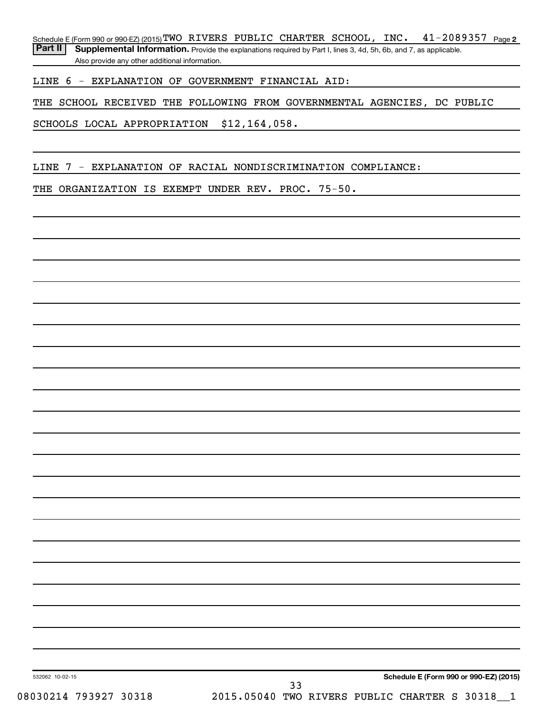Schedule E (Form 990 or 990-EZ) (2015) **TWO** RIVERS PUBLIC CHARTER SCHOOL, INC. 41-2089357 <sub>Page 2</sub>

Part II | Supplemental Information. Provide the explanations required by Part I, lines 3, 4d, 5h, 6b, and 7, as applicable. Also provide any other additional information.

LINE 6 - EXPLANATION OF GOVERNMENT FINANCIAL AID:

THE SCHOOL RECEIVED THE FOLLOWING FROM GOVERNMENTAL AGENCIES, DC PUBLIC

SCHOOLS LOCAL APPROPRIATION \$12,164,058.

LINE 7 - EXPLANATION OF RACIAL NONDISCRIMINATION COMPLIANCE:

THE ORGANIZATION IS EXEMPT UNDER REV. PROC. 75-50.

**Schedule E (Form 990 or 990-EZ) (2015)**

532062 10-02-15

33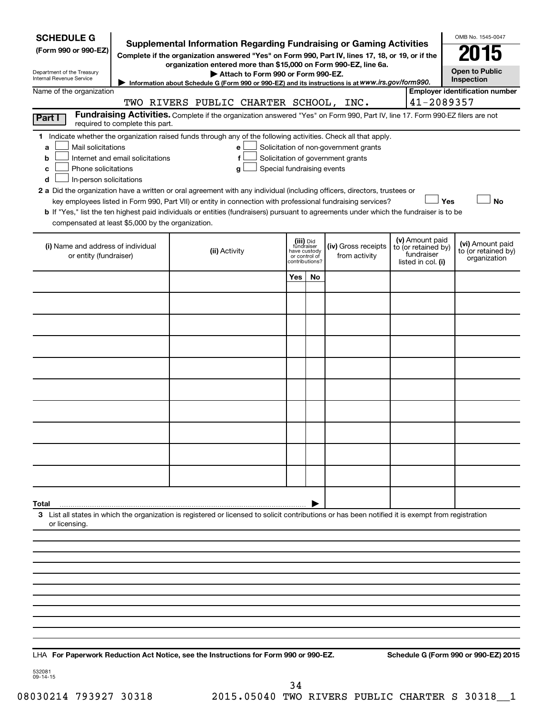| <b>SCHEDULE G</b><br>(Form 990 or 990-EZ)<br>Department of the Treasury<br>Internal Revenue Service |                                  | <b>Supplemental Information Regarding Fundraising or Gaming Activities</b><br>Complete if the organization answered "Yes" on Form 990, Part IV, lines 17, 18, or 19, or if the<br>organization entered more than \$15,000 on Form 990-EZ, line 6a.<br>Attach to Form 990 or Form 990-EZ.<br>Information about Schedule G (Form 990 or 990-EZ) and its instructions is at WWW.irs.gov/form990. |     |                                                                            |                                                                            |                                                                            | OMB No. 1545-0047<br><b>Open to Public</b><br>Inspection |
|-----------------------------------------------------------------------------------------------------|----------------------------------|-----------------------------------------------------------------------------------------------------------------------------------------------------------------------------------------------------------------------------------------------------------------------------------------------------------------------------------------------------------------------------------------------|-----|----------------------------------------------------------------------------|----------------------------------------------------------------------------|----------------------------------------------------------------------------|----------------------------------------------------------|
| Name of the organization                                                                            |                                  |                                                                                                                                                                                                                                                                                                                                                                                               |     |                                                                            |                                                                            |                                                                            | <b>Employer identification number</b>                    |
|                                                                                                     |                                  | TWO RIVERS PUBLIC CHARTER SCHOOL, INC.                                                                                                                                                                                                                                                                                                                                                        |     |                                                                            |                                                                            | 41-2089357                                                                 |                                                          |
| Part I                                                                                              | required to complete this part.  | Fundraising Activities. Complete if the organization answered "Yes" on Form 990, Part IV, line 17. Form 990-EZ filers are not                                                                                                                                                                                                                                                                 |     |                                                                            |                                                                            |                                                                            |                                                          |
| Mail solicitations<br>a<br>b<br>Phone solicitations<br>c<br>In-person solicitations<br>d            | Internet and email solicitations | 1 Indicate whether the organization raised funds through any of the following activities. Check all that apply.<br>е<br>f<br>Special fundraising events<br>g<br>2 a Did the organization have a written or oral agreement with any individual (including officers, directors, trustees or                                                                                                     |     |                                                                            | Solicitation of non-government grants<br>Solicitation of government grants |                                                                            |                                                          |
|                                                                                                     |                                  | key employees listed in Form 990, Part VII) or entity in connection with professional fundraising services?                                                                                                                                                                                                                                                                                   |     |                                                                            |                                                                            | Yes                                                                        | <b>No</b>                                                |
| compensated at least \$5,000 by the organization.                                                   |                                  | <b>b</b> If "Yes," list the ten highest paid individuals or entities (fundraisers) pursuant to agreements under which the fundraiser is to be                                                                                                                                                                                                                                                 |     |                                                                            |                                                                            |                                                                            |                                                          |
|                                                                                                     |                                  |                                                                                                                                                                                                                                                                                                                                                                                               |     |                                                                            |                                                                            |                                                                            |                                                          |
| (i) Name and address of individual<br>or entity (fundraiser)                                        |                                  | (ii) Activity                                                                                                                                                                                                                                                                                                                                                                                 |     | (iii) Did<br>fundraiser<br>have custody<br>or control of<br>contributions? | (iv) Gross receipts<br>from activity                                       | (v) Amount paid<br>to (or retained by)<br>fundraiser<br>listed in col. (i) | (vi) Amount paid<br>to (or retained by)<br>organization  |
|                                                                                                     |                                  |                                                                                                                                                                                                                                                                                                                                                                                               | Yes | No                                                                         |                                                                            |                                                                            |                                                          |
|                                                                                                     |                                  |                                                                                                                                                                                                                                                                                                                                                                                               |     |                                                                            |                                                                            |                                                                            |                                                          |
|                                                                                                     |                                  |                                                                                                                                                                                                                                                                                                                                                                                               |     |                                                                            |                                                                            |                                                                            |                                                          |
|                                                                                                     |                                  |                                                                                                                                                                                                                                                                                                                                                                                               |     |                                                                            |                                                                            |                                                                            |                                                          |
|                                                                                                     |                                  |                                                                                                                                                                                                                                                                                                                                                                                               |     |                                                                            |                                                                            |                                                                            |                                                          |
|                                                                                                     |                                  |                                                                                                                                                                                                                                                                                                                                                                                               |     |                                                                            |                                                                            |                                                                            |                                                          |
|                                                                                                     |                                  |                                                                                                                                                                                                                                                                                                                                                                                               |     |                                                                            |                                                                            |                                                                            |                                                          |
|                                                                                                     |                                  |                                                                                                                                                                                                                                                                                                                                                                                               |     |                                                                            |                                                                            |                                                                            |                                                          |
|                                                                                                     |                                  |                                                                                                                                                                                                                                                                                                                                                                                               |     |                                                                            |                                                                            |                                                                            |                                                          |
|                                                                                                     |                                  |                                                                                                                                                                                                                                                                                                                                                                                               |     |                                                                            |                                                                            |                                                                            |                                                          |
| Total                                                                                               |                                  |                                                                                                                                                                                                                                                                                                                                                                                               |     |                                                                            |                                                                            |                                                                            |                                                          |
| or licensing.                                                                                       |                                  | 3 List all states in which the organization is registered or licensed to solicit contributions or has been notified it is exempt from registration                                                                                                                                                                                                                                            |     |                                                                            |                                                                            |                                                                            |                                                          |
|                                                                                                     |                                  |                                                                                                                                                                                                                                                                                                                                                                                               |     |                                                                            |                                                                            |                                                                            |                                                          |
|                                                                                                     |                                  |                                                                                                                                                                                                                                                                                                                                                                                               |     |                                                                            |                                                                            |                                                                            |                                                          |
|                                                                                                     |                                  |                                                                                                                                                                                                                                                                                                                                                                                               |     |                                                                            |                                                                            |                                                                            |                                                          |
|                                                                                                     |                                  |                                                                                                                                                                                                                                                                                                                                                                                               |     |                                                                            |                                                                            |                                                                            |                                                          |
|                                                                                                     |                                  |                                                                                                                                                                                                                                                                                                                                                                                               |     |                                                                            |                                                                            |                                                                            |                                                          |
|                                                                                                     |                                  |                                                                                                                                                                                                                                                                                                                                                                                               |     |                                                                            |                                                                            |                                                                            |                                                          |
|                                                                                                     |                                  |                                                                                                                                                                                                                                                                                                                                                                                               |     |                                                                            |                                                                            |                                                                            |                                                          |
|                                                                                                     |                                  |                                                                                                                                                                                                                                                                                                                                                                                               |     |                                                                            |                                                                            |                                                                            |                                                          |
|                                                                                                     |                                  |                                                                                                                                                                                                                                                                                                                                                                                               |     |                                                                            |                                                                            |                                                                            |                                                          |

**For Paperwork Reduction Act Notice, see the Instructions for Form 990 or 990-EZ. Schedule G (Form 990 or 990-EZ) 2015** LHA

532081 09-14-15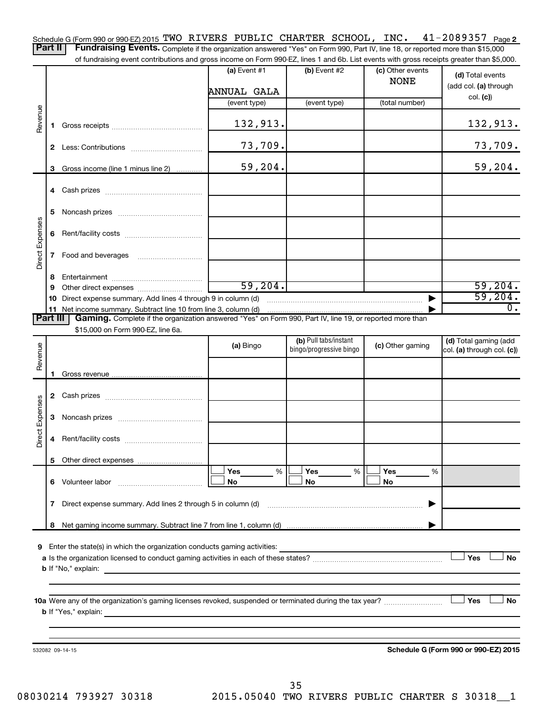41-2089357 Page 2 Schedule G (Form 990 or 990-EZ) 2015 TWO RIVERS PUBLIC CHARTER SCHOOL, INC.  $41$  -  $2089357$  Page Part II | Fundraising Events. Complete if the organization answered "Yes" on Form 990, Part IV, line 18, or reported more than \$15,000

of fundraising event contributions and gross income on Form 990-EZ, lines 1 and 6b. List events with gross receipts greater than \$5,000.

|                 |    |                                                                                                                                               | (a) Event #1<br>ANNUAL GALA | (b) Event #2            | (c) Other events<br><b>NONE</b> | (d) Total events<br>(add col. (a) through<br>col. (c) |
|-----------------|----|-----------------------------------------------------------------------------------------------------------------------------------------------|-----------------------------|-------------------------|---------------------------------|-------------------------------------------------------|
|                 |    |                                                                                                                                               | (event type)                | (event type)            | (total number)                  |                                                       |
| Revenue         | 1. |                                                                                                                                               | 132,913.                    |                         |                                 | 132, 913.                                             |
|                 |    |                                                                                                                                               | 73,709.                     |                         |                                 | 73,709.                                               |
|                 | 3  | Gross income (line 1 minus line 2)                                                                                                            | 59,204.                     |                         |                                 | 59, 204.                                              |
|                 | 4  |                                                                                                                                               |                             |                         |                                 |                                                       |
|                 | 5  |                                                                                                                                               |                             |                         |                                 |                                                       |
|                 | 6  |                                                                                                                                               |                             |                         |                                 |                                                       |
| Direct Expenses | 7  |                                                                                                                                               |                             |                         |                                 |                                                       |
|                 | 8  |                                                                                                                                               |                             |                         |                                 |                                                       |
|                 | 9  |                                                                                                                                               | 59, 204.                    |                         |                                 | 59,204.                                               |
|                 | 10 | Direct expense summary. Add lines 4 through 9 in column (d)                                                                                   |                             |                         | $\blacktriangleright$           | 59,204.                                               |
|                 |    | 11 Net income summary. Subtract line 10 from line 3, column (d)                                                                               |                             |                         |                                 | $\overline{0}$ .                                      |
| <b>Part III</b> |    | Gaming. Complete if the organization answered "Yes" on Form 990, Part IV, line 19, or reported more than<br>\$15,000 on Form 990-EZ, line 6a. |                             |                         |                                 |                                                       |
|                 |    |                                                                                                                                               |                             | (b) Pull tabs/instant   |                                 | (d) Total gaming (add                                 |
| Revenue         |    |                                                                                                                                               | (a) Bingo                   | bingo/progressive bingo | (c) Other gaming                | col. (a) through col. (c))                            |
|                 |    |                                                                                                                                               |                             |                         |                                 |                                                       |
|                 |    |                                                                                                                                               |                             |                         |                                 |                                                       |
| Direct Expenses | 3  |                                                                                                                                               |                             |                         |                                 |                                                       |
|                 | 4  |                                                                                                                                               |                             |                         |                                 |                                                       |
|                 |    |                                                                                                                                               |                             |                         |                                 |                                                       |
|                 |    | 6 Volunteer labor                                                                                                                             | Yes<br>%<br>No              | Yes<br>%<br>No          | Yes<br>%<br>No                  |                                                       |
|                 | 7  | Direct expense summary. Add lines 2 through 5 in column (d)                                                                                   |                             |                         |                                 |                                                       |
|                 | 8  |                                                                                                                                               |                             |                         |                                 |                                                       |
| 9               |    | Enter the state(s) in which the organization conducts gaming activities:<br><b>b</b> If "No," explain:                                        |                             |                         |                                 | Yes<br><b>No</b>                                      |
|                 |    |                                                                                                                                               |                             |                         |                                 | Yes<br><b>No</b>                                      |
|                 |    | 532082 09-14-15                                                                                                                               |                             |                         |                                 | Schedule G (Form 990 or 990-EZ) 2015                  |

08030214 793927 30318 2015.05040 TWO RIVERS PUBLIC CHARTER S 30318\_1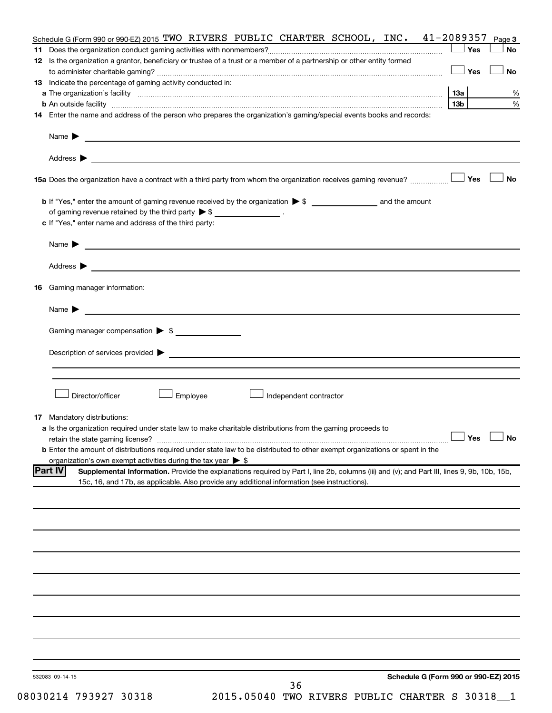| Schedule G (Form 990 or 990-EZ) 2015 TWO RIVERS PUBLIC CHARTER SCHOOL, INC. 41-2089357                                                                        |                      | Page 3    |
|---------------------------------------------------------------------------------------------------------------------------------------------------------------|----------------------|-----------|
|                                                                                                                                                               | ∣ Yes                | <b>No</b> |
| 12 Is the organization a grantor, beneficiary or trustee of a trust or a member of a partnership or other entity formed                                       |                      |           |
|                                                                                                                                                               | 」Yes                 | <b>No</b> |
| <b>13</b> Indicate the percentage of gaming activity conducted in:                                                                                            |                      |           |
|                                                                                                                                                               |                      | %         |
|                                                                                                                                                               | 13 <sub>b</sub>      | %         |
| 14 Enter the name and address of the person who prepares the organization's gaming/special events books and records:                                          |                      |           |
|                                                                                                                                                               |                      |           |
| Address ><br><u>and the contract of the contract of the contract of the contract of the contract of the contract of the contract of</u>                       |                      |           |
|                                                                                                                                                               |                      | <b>No</b> |
|                                                                                                                                                               |                      |           |
|                                                                                                                                                               |                      |           |
| of gaming revenue retained by the third party $\triangleright$ \$ _________________.                                                                          |                      |           |
| c If "Yes," enter name and address of the third party:                                                                                                        |                      |           |
| Name $\blacktriangleright$ $\lrcorner$                                                                                                                        |                      |           |
| Address $\blacktriangleright$<br><u> 1989 - Johann Stein, marwolaethau a bhann an t-Amhainn an t-Amhainn an t-Amhainn an t-Amhainn an t-Amhainn an</u>        |                      |           |
| 16 Gaming manager information:                                                                                                                                |                      |           |
|                                                                                                                                                               |                      |           |
| <u> 1989 - Johann Barbara, martin da basar a shekara 1989 - An tsaran a shekara 1989 - An tsara 1989 - An tsara</u><br>Name $\blacktriangleright$             |                      |           |
| Gaming manager compensation > \$                                                                                                                              |                      |           |
|                                                                                                                                                               |                      |           |
|                                                                                                                                                               |                      |           |
|                                                                                                                                                               |                      |           |
|                                                                                                                                                               |                      |           |
| Director/officer<br>Employee<br>Independent contractor                                                                                                        |                      |           |
| <b>17</b> Mandatory distributions:                                                                                                                            |                      |           |
| a Is the organization required under state law to make charitable distributions from the gaming proceeds to                                                   |                      |           |
|                                                                                                                                                               | $\Box$ Yes $\Box$ No |           |
| <b>b</b> Enter the amount of distributions required under state law to be distributed to other exempt organizations or spent in the                           |                      |           |
| organization's own exempt activities during the tax year $\triangleright$ \$                                                                                  |                      |           |
| <b>Part IV</b><br>Supplemental Information. Provide the explanations required by Part I, line 2b, columns (iii) and (v); and Part III, lines 9, 9b, 10b, 15b, |                      |           |
| 15c, 16, and 17b, as applicable. Also provide any additional information (see instructions).                                                                  |                      |           |
|                                                                                                                                                               |                      |           |
|                                                                                                                                                               |                      |           |
|                                                                                                                                                               |                      |           |
|                                                                                                                                                               |                      |           |
|                                                                                                                                                               |                      |           |
|                                                                                                                                                               |                      |           |
|                                                                                                                                                               |                      |           |
|                                                                                                                                                               |                      |           |
|                                                                                                                                                               |                      |           |
|                                                                                                                                                               |                      |           |
|                                                                                                                                                               |                      |           |
|                                                                                                                                                               |                      |           |
|                                                                                                                                                               |                      |           |
| Schedule G (Form 990 or 990-EZ) 2015<br>532083 09-14-15<br>36                                                                                                 |                      |           |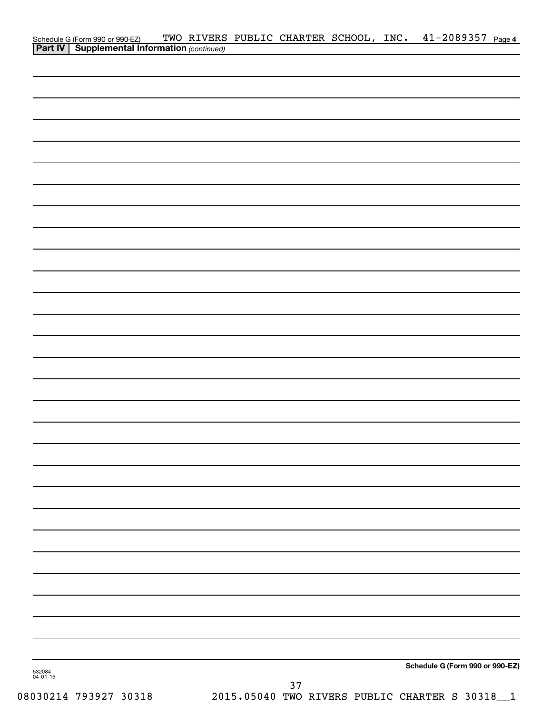|                    | Schedule G (Form 990 or 990-EZ) TWO RIVERS<br><b>Part IV   Supplemental Information</b> (continued) |  |      |  | TWO RIVERS PUBLIC CHARTER SCHOOL, INC. 41-2089357 Page 4 |  |
|--------------------|-----------------------------------------------------------------------------------------------------|--|------|--|----------------------------------------------------------|--|
|                    |                                                                                                     |  |      |  |                                                          |  |
|                    |                                                                                                     |  |      |  |                                                          |  |
|                    |                                                                                                     |  |      |  |                                                          |  |
|                    |                                                                                                     |  |      |  |                                                          |  |
|                    |                                                                                                     |  |      |  |                                                          |  |
|                    |                                                                                                     |  |      |  |                                                          |  |
|                    |                                                                                                     |  |      |  |                                                          |  |
|                    |                                                                                                     |  |      |  |                                                          |  |
|                    |                                                                                                     |  |      |  |                                                          |  |
|                    |                                                                                                     |  |      |  |                                                          |  |
|                    |                                                                                                     |  |      |  |                                                          |  |
|                    |                                                                                                     |  |      |  |                                                          |  |
|                    |                                                                                                     |  |      |  |                                                          |  |
|                    |                                                                                                     |  |      |  |                                                          |  |
|                    |                                                                                                     |  |      |  |                                                          |  |
|                    |                                                                                                     |  |      |  |                                                          |  |
|                    |                                                                                                     |  |      |  |                                                          |  |
|                    |                                                                                                     |  |      |  |                                                          |  |
|                    |                                                                                                     |  |      |  |                                                          |  |
|                    |                                                                                                     |  |      |  |                                                          |  |
|                    |                                                                                                     |  |      |  |                                                          |  |
|                    |                                                                                                     |  |      |  |                                                          |  |
|                    |                                                                                                     |  |      |  |                                                          |  |
|                    |                                                                                                     |  |      |  |                                                          |  |
|                    |                                                                                                     |  |      |  |                                                          |  |
|                    |                                                                                                     |  |      |  |                                                          |  |
|                    |                                                                                                     |  |      |  |                                                          |  |
|                    |                                                                                                     |  |      |  |                                                          |  |
|                    |                                                                                                     |  |      |  |                                                          |  |
|                    |                                                                                                     |  |      |  |                                                          |  |
|                    |                                                                                                     |  |      |  |                                                          |  |
|                    |                                                                                                     |  |      |  |                                                          |  |
|                    |                                                                                                     |  |      |  |                                                          |  |
|                    |                                                                                                     |  |      |  |                                                          |  |
|                    |                                                                                                     |  |      |  |                                                          |  |
|                    |                                                                                                     |  |      |  |                                                          |  |
| 532084<br>04-01-15 |                                                                                                     |  |      |  | Schedule G (Form 990 or 990-EZ)                          |  |
|                    |                                                                                                     |  | $37$ |  |                                                          |  |

08030214 793927 30318 2015.05040 TWO RIVERS PUBLIC CHARTER S 30318\_\_1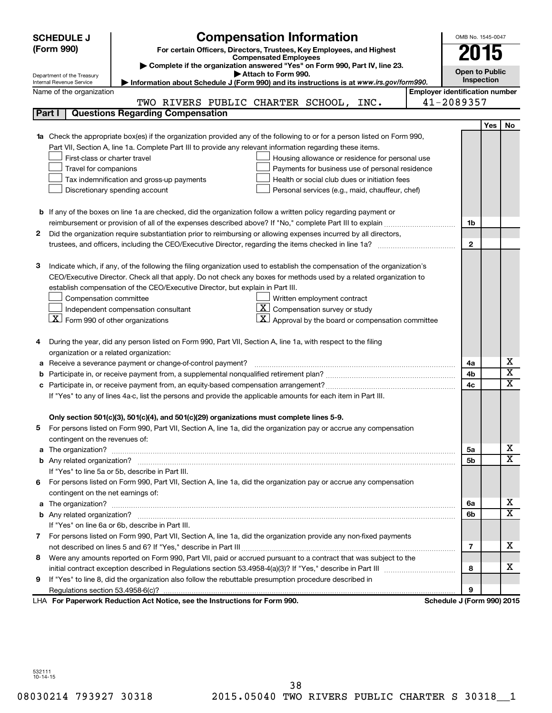|        | <b>Compensation Information</b><br>OMB No. 1545-0047<br><b>SCHEDULE J</b> |                                                                                                                             |                                       |                            |     |                         |  |  |
|--------|---------------------------------------------------------------------------|-----------------------------------------------------------------------------------------------------------------------------|---------------------------------------|----------------------------|-----|-------------------------|--|--|
|        | (Form 990)                                                                | For certain Officers, Directors, Trustees, Key Employees, and Highest                                                       |                                       |                            |     |                         |  |  |
|        |                                                                           | <b>Compensated Employees</b>                                                                                                |                                       | 2015                       |     |                         |  |  |
|        |                                                                           | Complete if the organization answered "Yes" on Form 990, Part IV, line 23.<br>Attach to Form 990.                           |                                       | <b>Open to Public</b>      |     |                         |  |  |
|        | Department of the Treasury<br>Internal Revenue Service                    | Information about Schedule J (Form 990) and its instructions is at www.irs.gov/form990.                                     |                                       | <b>Inspection</b>          |     |                         |  |  |
|        | Name of the organization                                                  |                                                                                                                             | <b>Employer identification number</b> |                            |     |                         |  |  |
|        |                                                                           | TWO RIVERS PUBLIC CHARTER SCHOOL, INC.                                                                                      |                                       | 41-2089357                 |     |                         |  |  |
|        | Part I                                                                    | <b>Questions Regarding Compensation</b>                                                                                     |                                       |                            |     |                         |  |  |
|        |                                                                           |                                                                                                                             |                                       |                            | Yes | <b>No</b>               |  |  |
|        |                                                                           | Check the appropriate box(es) if the organization provided any of the following to or for a person listed on Form 990,      |                                       |                            |     |                         |  |  |
|        |                                                                           | Part VII, Section A, line 1a. Complete Part III to provide any relevant information regarding these items.                  |                                       |                            |     |                         |  |  |
|        | First-class or charter travel                                             | Housing allowance or residence for personal use                                                                             |                                       |                            |     |                         |  |  |
|        | Travel for companions                                                     | Payments for business use of personal residence                                                                             |                                       |                            |     |                         |  |  |
|        |                                                                           | Health or social club dues or initiation fees<br>Tax indemnification and gross-up payments                                  |                                       |                            |     |                         |  |  |
|        |                                                                           | Discretionary spending account<br>Personal services (e.g., maid, chauffeur, chef)                                           |                                       |                            |     |                         |  |  |
|        |                                                                           |                                                                                                                             |                                       |                            |     |                         |  |  |
|        |                                                                           | <b>b</b> If any of the boxes on line 1a are checked, did the organization follow a written policy regarding payment or      |                                       |                            |     |                         |  |  |
|        |                                                                           |                                                                                                                             |                                       | 1b                         |     |                         |  |  |
| 2      |                                                                           | Did the organization require substantiation prior to reimbursing or allowing expenses incurred by all directors,            |                                       |                            |     |                         |  |  |
|        |                                                                           |                                                                                                                             |                                       | $\mathbf{2}$               |     |                         |  |  |
|        |                                                                           |                                                                                                                             |                                       |                            |     |                         |  |  |
| з      |                                                                           | Indicate which, if any, of the following the filing organization used to establish the compensation of the organization's   |                                       |                            |     |                         |  |  |
|        |                                                                           | CEO/Executive Director. Check all that apply. Do not check any boxes for methods used by a related organization to          |                                       |                            |     |                         |  |  |
|        |                                                                           | establish compensation of the CEO/Executive Director, but explain in Part III.                                              |                                       |                            |     |                         |  |  |
|        | Compensation committee                                                    | Written employment contract<br>$ \mathbf{X} $ Compensation survey or study                                                  |                                       |                            |     |                         |  |  |
|        | $X$ Form 990 of other organizations                                       | Independent compensation consultant                                                                                         |                                       |                            |     |                         |  |  |
|        |                                                                           | $\mathbf{X}$ Approval by the board or compensation committee                                                                |                                       |                            |     |                         |  |  |
|        |                                                                           |                                                                                                                             |                                       |                            |     |                         |  |  |
|        |                                                                           | During the year, did any person listed on Form 990, Part VII, Section A, line 1a, with respect to the filing                |                                       |                            |     |                         |  |  |
|        | organization or a related organization:                                   |                                                                                                                             |                                       |                            |     | х                       |  |  |
| а<br>b |                                                                           | Receive a severance payment or change-of-control payment?                                                                   |                                       | 4a<br>4b                   |     | $\overline{\mathbf{X}}$ |  |  |
|        |                                                                           |                                                                                                                             |                                       | 4c                         |     | X                       |  |  |
|        |                                                                           | If "Yes" to any of lines 4a-c, list the persons and provide the applicable amounts for each item in Part III.               |                                       |                            |     |                         |  |  |
|        |                                                                           |                                                                                                                             |                                       |                            |     |                         |  |  |
|        |                                                                           | Only section 501(c)(3), 501(c)(4), and 501(c)(29) organizations must complete lines 5-9.                                    |                                       |                            |     |                         |  |  |
|        |                                                                           | For persons listed on Form 990, Part VII, Section A, line 1a, did the organization pay or accrue any compensation           |                                       |                            |     |                         |  |  |
|        | contingent on the revenues of:                                            |                                                                                                                             |                                       |                            |     |                         |  |  |
| a      |                                                                           | The organization? <b>With the organization</b> ? <b>With the organization with the organization? With the organization?</b> |                                       | 5а                         |     | x                       |  |  |
|        |                                                                           |                                                                                                                             |                                       | 5b                         |     | $\overline{\texttt{x}}$ |  |  |
|        |                                                                           | If "Yes" to line 5a or 5b, describe in Part III.                                                                            |                                       |                            |     |                         |  |  |
| 6.     |                                                                           | For persons listed on Form 990, Part VII, Section A, line 1a, did the organization pay or accrue any compensation           |                                       |                            |     |                         |  |  |
|        | contingent on the net earnings of:                                        |                                                                                                                             |                                       |                            |     |                         |  |  |
| a      |                                                                           |                                                                                                                             |                                       | 6a                         |     | x                       |  |  |
|        |                                                                           |                                                                                                                             |                                       | 6b                         |     | $\overline{\texttt{x}}$ |  |  |
|        |                                                                           | If "Yes" on line 6a or 6b, describe in Part III.                                                                            |                                       |                            |     |                         |  |  |
|        |                                                                           | 7 For persons listed on Form 990, Part VII, Section A, line 1a, did the organization provide any non-fixed payments         |                                       |                            |     |                         |  |  |
|        |                                                                           |                                                                                                                             |                                       | 7                          |     | x                       |  |  |
| 8      |                                                                           | Were any amounts reported on Form 990, Part VII, paid or accrued pursuant to a contract that was subject to the             |                                       |                            |     |                         |  |  |
|        |                                                                           |                                                                                                                             |                                       | 8                          |     | x                       |  |  |
| 9      |                                                                           | If "Yes" to line 8, did the organization also follow the rebuttable presumption procedure described in                      |                                       |                            |     |                         |  |  |
|        |                                                                           |                                                                                                                             |                                       | 9                          |     |                         |  |  |
|        |                                                                           | LHA For Paperwork Reduction Act Notice, see the Instructions for Form 990.                                                  |                                       | Schedule J (Form 990) 2015 |     |                         |  |  |

532111 10-14-15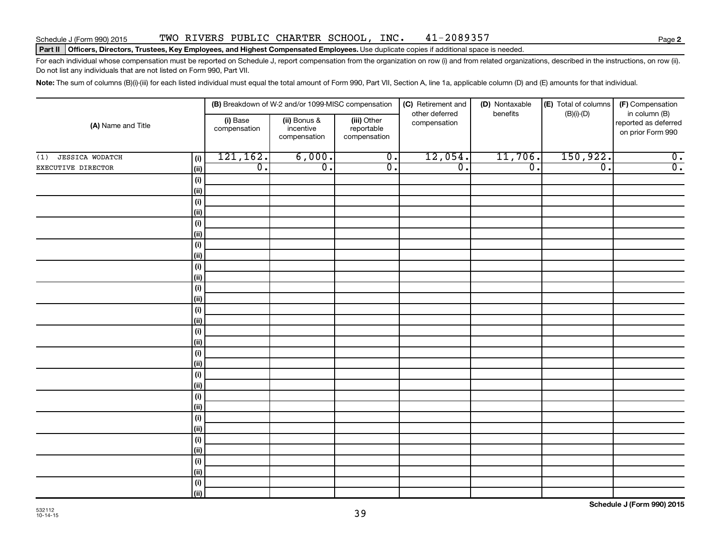#### Schedule J (Form 990) 2015 TWO RIVERS PUBLIC CHARTER SCHOOL, INC. 41-2089357 Page

#### Part II | Officers, Directors, Trustees, Key Employees, and Highest Compensated Employees. Use duplicate copies if additional space is needed.

For each individual whose compensation must be reported on Schedule J, report compensation from the organization on row (i) and from related organizations, described in the instructions, on row (ii). Do not list any individuals that are not listed on Form 990, Part VII.

Note: The sum of columns (B)(i)-(iii) for each listed individual must equal the total amount of Form 990, Part VII, Section A, line 1a, applicable column (D) and (E) amounts for that individual.

| (A) Name and Title            |                     |                          | (B) Breakdown of W-2 and/or 1099-MISC compensation |                                           | (C) Retirement and             | (D) Nontaxable   | (E) Total of columns | (F) Compensation                                           |  |
|-------------------------------|---------------------|--------------------------|----------------------------------------------------|-------------------------------------------|--------------------------------|------------------|----------------------|------------------------------------------------------------|--|
|                               |                     | (i) Base<br>compensation | (ii) Bonus &<br>incentive<br>compensation          | (iii) Other<br>reportable<br>compensation | other deferred<br>compensation | benefits         | $(B)(i)-(D)$         | in column (B)<br>reported as deferred<br>on prior Form 990 |  |
| <b>JESSICA WODATCH</b><br>(1) | (i)                 | 121,162.                 | 6,000.                                             | $\overline{\mathbf{0}}$ .                 | 12,054.                        | 11,706.          | 150,922.             | $\overline{0}$ .                                           |  |
| EXECUTIVE DIRECTOR            | (i)                 | $\overline{0}$ .         | $\overline{0}$ .                                   | $\overline{0}$ .                          | $\overline{0}$ .               | $\overline{0}$ . | $\overline{0}$ .     | $\overline{0}$ .                                           |  |
|                               | (i)                 |                          |                                                    |                                           |                                |                  |                      |                                                            |  |
|                               | $\vert$ (ii)        |                          |                                                    |                                           |                                |                  |                      |                                                            |  |
|                               | (i)                 |                          |                                                    |                                           |                                |                  |                      |                                                            |  |
|                               | (ii)                |                          |                                                    |                                           |                                |                  |                      |                                                            |  |
|                               | (i)                 |                          |                                                    |                                           |                                |                  |                      |                                                            |  |
|                               | (ii)                |                          |                                                    |                                           |                                |                  |                      |                                                            |  |
|                               | (i)<br>(ii)         |                          |                                                    |                                           |                                |                  |                      |                                                            |  |
|                               | (i)                 |                          |                                                    |                                           |                                |                  |                      |                                                            |  |
|                               | (ii)                |                          |                                                    |                                           |                                |                  |                      |                                                            |  |
|                               | (i)                 |                          |                                                    |                                           |                                |                  |                      |                                                            |  |
|                               | (ii)                |                          |                                                    |                                           |                                |                  |                      |                                                            |  |
|                               | (i)                 |                          |                                                    |                                           |                                |                  |                      |                                                            |  |
|                               | (ii)                |                          |                                                    |                                           |                                |                  |                      |                                                            |  |
|                               | (i)                 |                          |                                                    |                                           |                                |                  |                      |                                                            |  |
|                               | (ii)                |                          |                                                    |                                           |                                |                  |                      |                                                            |  |
|                               | (i)                 |                          |                                                    |                                           |                                |                  |                      |                                                            |  |
|                               | $\vert$ (ii)<br>(i) |                          |                                                    |                                           |                                |                  |                      |                                                            |  |
|                               | $\vert$ (ii)        |                          |                                                    |                                           |                                |                  |                      |                                                            |  |
|                               | (i)                 |                          |                                                    |                                           |                                |                  |                      |                                                            |  |
|                               | $\vert$ (ii)        |                          |                                                    |                                           |                                |                  |                      |                                                            |  |
|                               | (i)                 |                          |                                                    |                                           |                                |                  |                      |                                                            |  |
|                               | $\vert$ (ii)        |                          |                                                    |                                           |                                |                  |                      |                                                            |  |
|                               | (i)                 |                          |                                                    |                                           |                                |                  |                      |                                                            |  |
|                               | $\vert$ (ii)        |                          |                                                    |                                           |                                |                  |                      |                                                            |  |
|                               | (i)                 |                          |                                                    |                                           |                                |                  |                      |                                                            |  |
|                               | $\vert$ (ii)        |                          |                                                    |                                           |                                |                  |                      |                                                            |  |
|                               | (i)                 |                          |                                                    |                                           |                                |                  |                      |                                                            |  |
|                               | (i)                 |                          |                                                    |                                           |                                |                  |                      |                                                            |  |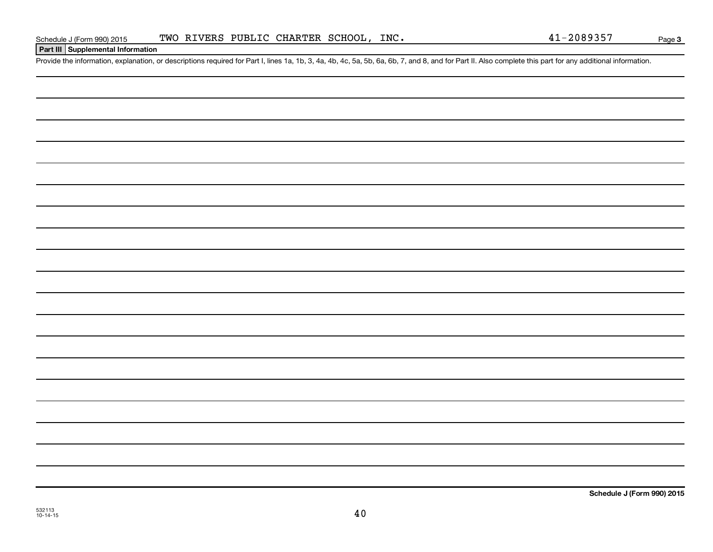**Part III Supplemental Information**

Provide the information, explanation, or descriptions required for Part I, lines 1a, 1b, 3, 4a, 4b, 4c, 5a, 5b, 6a, 6b, 7, and 8, and for Part II. Also complete this part for any additional information.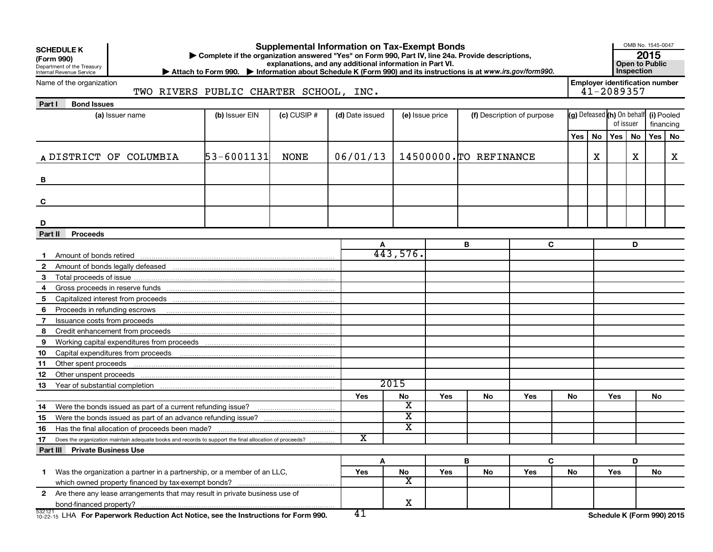|                       | <b>Supplemental Information on Tax-Exempt Bonds</b><br><b>SCHEDULE K</b><br>Complete if the organization answered "Yes" on Form 990, Part IV, line 24a. Provide descriptions,<br>(Form 990)<br>explanations, and any additional information in Part VI.<br>Department of the Treasury<br>Internal Revenue Service<br>> Attach to Form 990. > Information about Schedule K (Form 990) and its instructions is at www.irs.gov/form990. |                                                                                                        |                |               |                 |                         |                 |                        |                            |    |                                       |                                                     | OMB No. 1545-0047<br>2015<br><b>Open to Public</b><br>Inspection |           |   |
|-----------------------|--------------------------------------------------------------------------------------------------------------------------------------------------------------------------------------------------------------------------------------------------------------------------------------------------------------------------------------------------------------------------------------------------------------------------------------|--------------------------------------------------------------------------------------------------------|----------------|---------------|-----------------|-------------------------|-----------------|------------------------|----------------------------|----|---------------------------------------|-----------------------------------------------------|------------------------------------------------------------------|-----------|---|
|                       | Name of the organization<br>TWO RIVERS PUBLIC CHARTER SCHOOL, INC.                                                                                                                                                                                                                                                                                                                                                                   |                                                                                                        |                |               |                 |                         |                 |                        |                            |    |                                       | <b>Employer identification number</b><br>41-2089357 |                                                                  |           |   |
| Part I                | <b>Bond Issues</b>                                                                                                                                                                                                                                                                                                                                                                                                                   |                                                                                                        |                |               |                 |                         |                 |                        |                            |    |                                       |                                                     |                                                                  |           |   |
|                       |                                                                                                                                                                                                                                                                                                                                                                                                                                      | (a) Issuer name                                                                                        | (b) Issuer EIN | $(c)$ CUSIP # | (d) Date issued |                         | (e) Issue price |                        | (f) Description of purpose |    | (g) Defeased (h) On behalf (i) Pooled | of issuer                                           |                                                                  | financing |   |
|                       |                                                                                                                                                                                                                                                                                                                                                                                                                                      |                                                                                                        |                |               |                 |                         |                 |                        |                            |    | Yes   No                              | Yes                                                 | No                                                               | Yes   No  |   |
|                       |                                                                                                                                                                                                                                                                                                                                                                                                                                      | A DISTRICT OF COLUMBIA                                                                                 | 53-6001131     | NONE          | 06/01/13        |                         |                 | 14500000. TO REFINANCE |                            |    | x                                     |                                                     | x                                                                |           | x |
| в                     |                                                                                                                                                                                                                                                                                                                                                                                                                                      |                                                                                                        |                |               |                 |                         |                 |                        |                            |    |                                       |                                                     |                                                                  |           |   |
| C                     |                                                                                                                                                                                                                                                                                                                                                                                                                                      |                                                                                                        |                |               |                 |                         |                 |                        |                            |    |                                       |                                                     |                                                                  |           |   |
| D                     |                                                                                                                                                                                                                                                                                                                                                                                                                                      |                                                                                                        |                |               |                 |                         |                 |                        |                            |    |                                       |                                                     |                                                                  |           |   |
| Part II               | <b>Proceeds</b>                                                                                                                                                                                                                                                                                                                                                                                                                      |                                                                                                        |                |               |                 |                         |                 |                        |                            |    |                                       |                                                     |                                                                  |           |   |
|                       |                                                                                                                                                                                                                                                                                                                                                                                                                                      | Amount of bonds retired <b>construction</b> and construction of the construction of bonds retired      |                |               | A               | 443,576.                |                 | В                      | C                          |    |                                       |                                                     | D                                                                |           |   |
| $\mathbf{2}^{\prime}$ |                                                                                                                                                                                                                                                                                                                                                                                                                                      |                                                                                                        |                |               |                 |                         |                 |                        |                            |    |                                       |                                                     |                                                                  |           |   |
| 3                     |                                                                                                                                                                                                                                                                                                                                                                                                                                      |                                                                                                        |                |               |                 |                         |                 |                        |                            |    |                                       |                                                     |                                                                  |           |   |
| 4                     |                                                                                                                                                                                                                                                                                                                                                                                                                                      |                                                                                                        |                |               |                 |                         |                 |                        |                            |    |                                       |                                                     |                                                                  |           |   |
| 5                     |                                                                                                                                                                                                                                                                                                                                                                                                                                      |                                                                                                        |                |               |                 |                         |                 |                        |                            |    |                                       |                                                     |                                                                  |           |   |
| 6                     |                                                                                                                                                                                                                                                                                                                                                                                                                                      | Proceeds in refunding escrows <b>contained and the container and all proceeds</b> in refunding escrows |                |               |                 |                         |                 |                        |                            |    |                                       |                                                     |                                                                  |           |   |
| 7                     |                                                                                                                                                                                                                                                                                                                                                                                                                                      |                                                                                                        |                |               |                 |                         |                 |                        |                            |    |                                       |                                                     |                                                                  |           |   |
| 8                     |                                                                                                                                                                                                                                                                                                                                                                                                                                      |                                                                                                        |                |               |                 |                         |                 |                        |                            |    |                                       |                                                     |                                                                  |           |   |
| 9                     |                                                                                                                                                                                                                                                                                                                                                                                                                                      |                                                                                                        |                |               |                 |                         |                 |                        |                            |    |                                       |                                                     |                                                                  |           |   |
| 10                    |                                                                                                                                                                                                                                                                                                                                                                                                                                      |                                                                                                        |                |               |                 |                         |                 |                        |                            |    |                                       |                                                     |                                                                  |           |   |
| 11                    | Other spent proceeds                                                                                                                                                                                                                                                                                                                                                                                                                 |                                                                                                        |                |               |                 |                         |                 |                        |                            |    |                                       |                                                     |                                                                  |           |   |
| 12                    |                                                                                                                                                                                                                                                                                                                                                                                                                                      |                                                                                                        |                |               |                 |                         |                 |                        |                            |    |                                       |                                                     |                                                                  |           |   |
| 13                    |                                                                                                                                                                                                                                                                                                                                                                                                                                      |                                                                                                        |                |               |                 | 2015                    |                 |                        |                            |    |                                       |                                                     |                                                                  |           |   |
|                       |                                                                                                                                                                                                                                                                                                                                                                                                                                      |                                                                                                        |                |               | Yes             | No<br>х                 | Yes             | No.                    | Yes                        | No |                                       | Yes                                                 |                                                                  | No        |   |
| 14                    |                                                                                                                                                                                                                                                                                                                                                                                                                                      |                                                                                                        |                |               |                 | $\overline{\textbf{x}}$ |                 |                        |                            |    |                                       |                                                     |                                                                  |           |   |
| 15                    |                                                                                                                                                                                                                                                                                                                                                                                                                                      |                                                                                                        |                |               |                 | $\overline{\textbf{x}}$ |                 |                        |                            |    |                                       |                                                     |                                                                  |           |   |
| 16<br>17              |                                                                                                                                                                                                                                                                                                                                                                                                                                      |                                                                                                        |                |               | $\mathbf x$     |                         |                 |                        |                            |    |                                       |                                                     |                                                                  |           |   |
|                       | Part III Private Business Use                                                                                                                                                                                                                                                                                                                                                                                                        | Does the organization maintain adequate books and records to support the final allocation of proceeds? |                |               |                 |                         |                 |                        |                            |    |                                       |                                                     |                                                                  |           |   |
|                       |                                                                                                                                                                                                                                                                                                                                                                                                                                      |                                                                                                        |                |               | Α               |                         |                 | B                      | C                          |    |                                       |                                                     | D                                                                |           |   |
| 1                     |                                                                                                                                                                                                                                                                                                                                                                                                                                      | Was the organization a partner in a partnership, or a member of an LLC,                                |                |               | Yes             | No                      | Yes             | No                     | Yes                        | No |                                       | Yes                                                 |                                                                  | No        |   |
|                       |                                                                                                                                                                                                                                                                                                                                                                                                                                      |                                                                                                        |                |               |                 | $\overline{\text{x}}$   |                 |                        |                            |    |                                       |                                                     |                                                                  |           |   |
|                       |                                                                                                                                                                                                                                                                                                                                                                                                                                      | 2 Are there any lease arrangements that may result in private business use of                          |                |               |                 |                         |                 |                        |                            |    |                                       |                                                     |                                                                  |           |   |
|                       |                                                                                                                                                                                                                                                                                                                                                                                                                                      |                                                                                                        |                |               |                 | X                       |                 |                        |                            |    |                                       |                                                     |                                                                  |           |   |
| 532121                |                                                                                                                                                                                                                                                                                                                                                                                                                                      | $^{532121}_{10-22-15}$ LHA For Paperwork Reduction Act Notice, see the Instructions for Form 990.      |                |               | 41              |                         |                 |                        |                            |    |                                       | Schedule K (Form 990) 2015                          |                                                                  |           |   |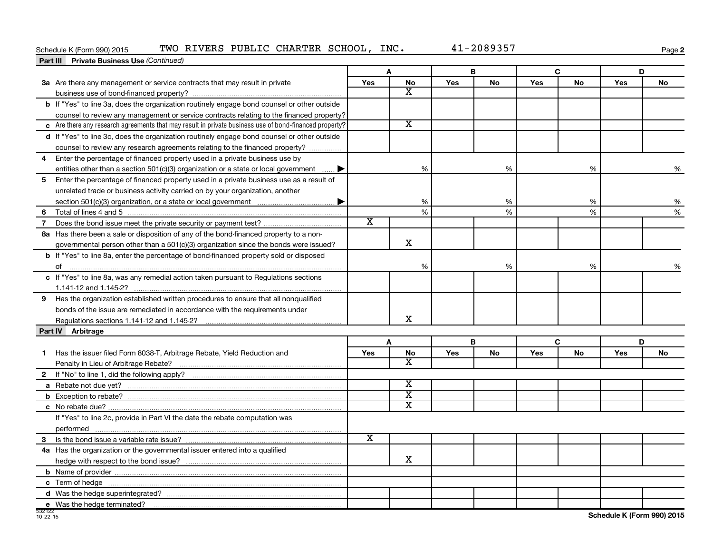### Schedule K (Form 990) 2015 TWO RIVERS PUBLIC CHARTER SCHOOL, INC.  $41-2089357$

**2**

| <b>Part III</b> Private Business Use (Continued)                                                       |                       |                         |     |    |     |           |            |    |
|--------------------------------------------------------------------------------------------------------|-----------------------|-------------------------|-----|----|-----|-----------|------------|----|
|                                                                                                        |                       | A                       |     | В  |     | C         |            | D  |
| 3a Are there any management or service contracts that may result in private                            | Yes                   | <b>No</b>               | Yes | No | Yes | <b>No</b> | Yes        | No |
|                                                                                                        |                       | $\overline{\mathbf{X}}$ |     |    |     |           |            |    |
| b If "Yes" to line 3a, does the organization routinely engage bond counsel or other outside            |                       |                         |     |    |     |           |            |    |
| counsel to review any management or service contracts relating to the financed property?               |                       |                         |     |    |     |           |            |    |
| c Are there any research agreements that may result in private business use of bond-financed property? |                       | $\overline{\texttt{x}}$ |     |    |     |           |            |    |
| d If "Yes" to line 3c, does the organization routinely engage bond counsel or other outside            |                       |                         |     |    |     |           |            |    |
| counsel to review any research agreements relating to the financed property?                           |                       |                         |     |    |     |           |            |    |
| Enter the percentage of financed property used in a private business use by<br>4                       |                       |                         |     |    |     |           |            |    |
| entities other than a section 501(c)(3) organization or a state or local government                    |                       | %                       |     | %  |     | %         |            | %  |
| 5<br>Enter the percentage of financed property used in a private business use as a result of           |                       |                         |     |    |     |           |            |    |
| unrelated trade or business activity carried on by your organization, another                          |                       |                         |     |    |     |           |            |    |
|                                                                                                        |                       | %                       |     | %  |     | %         |            | %  |
| 6                                                                                                      |                       | %                       |     | %  |     | %         |            | %  |
| $\overline{7}$                                                                                         | $\overline{\text{x}}$ |                         |     |    |     |           |            |    |
| 8a Has there been a sale or disposition of any of the bond-financed property to a non-                 |                       |                         |     |    |     |           |            |    |
| governmental person other than a $501(c)(3)$ organization since the bonds were issued?                 |                       | $\mathbf x$             |     |    |     |           |            |    |
| b If "Yes" to line 8a, enter the percentage of bond-financed property sold or disposed                 |                       |                         |     |    |     |           |            |    |
|                                                                                                        |                       | %                       |     | %  |     | %         |            | %  |
| c If "Yes" to line 8a, was any remedial action taken pursuant to Regulations sections                  |                       |                         |     |    |     |           |            |    |
|                                                                                                        |                       |                         |     |    |     |           |            |    |
| 9 Has the organization established written procedures to ensure that all nonqualified                  |                       |                         |     |    |     |           |            |    |
| bonds of the issue are remediated in accordance with the requirements under                            |                       |                         |     |    |     |           |            |    |
|                                                                                                        |                       | x                       |     |    |     |           |            |    |
| Part IV Arbitrage                                                                                      |                       |                         |     |    |     |           |            |    |
|                                                                                                        |                       | A                       |     | в  |     | C         |            | D  |
| Has the issuer filed Form 8038-T, Arbitrage Rebate, Yield Reduction and<br>1                           | <b>Yes</b>            | No                      | Yes | No | Yes | No        | <b>Yes</b> | No |
|                                                                                                        |                       | x                       |     |    |     |           |            |    |
|                                                                                                        |                       |                         |     |    |     |           |            |    |
|                                                                                                        |                       | $\overline{\textbf{x}}$ |     |    |     |           |            |    |
|                                                                                                        |                       | $\overline{\texttt{x}}$ |     |    |     |           |            |    |
|                                                                                                        |                       | $\overline{\texttt{x}}$ |     |    |     |           |            |    |
| If "Yes" to line 2c, provide in Part VI the date the rebate computation was                            |                       |                         |     |    |     |           |            |    |
|                                                                                                        |                       |                         |     |    |     |           |            |    |
|                                                                                                        | $\overline{\text{x}}$ |                         |     |    |     |           |            |    |
| 4a Has the organization or the governmental issuer entered into a qualified                            |                       |                         |     |    |     |           |            |    |
|                                                                                                        |                       | $\mathbf x$             |     |    |     |           |            |    |
|                                                                                                        |                       |                         |     |    |     |           |            |    |
|                                                                                                        |                       |                         |     |    |     |           |            |    |
|                                                                                                        |                       |                         |     |    |     |           |            |    |
| e Was the hedge terminated?                                                                            |                       |                         |     |    |     |           |            |    |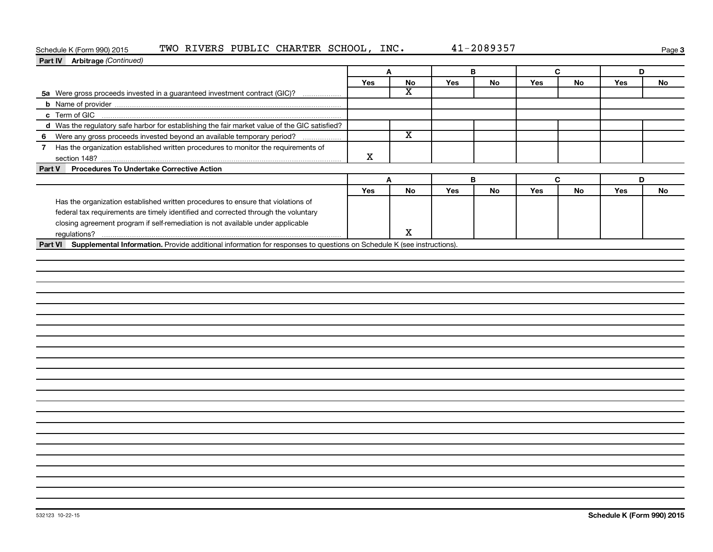### Schedule K (Form 990) 2015 TWO RIVERS PUBLIC CHARTER SCHOOL, INC.  $41-2089357$

|--|

| Part IV Arbitrage (Continued)                                                                        |             |                         |     |    |     |    |     |    |
|------------------------------------------------------------------------------------------------------|-------------|-------------------------|-----|----|-----|----|-----|----|
|                                                                                                      | A           |                         | B   |    | C   |    | D   |    |
|                                                                                                      | Yes         | No                      | Yes | No | Yes | No | Yes | No |
| 5a Were gross proceeds invested in a guaranteed investment contract (GIC)?                           |             | X                       |     |    |     |    |     |    |
|                                                                                                      |             |                         |     |    |     |    |     |    |
|                                                                                                      |             |                         |     |    |     |    |     |    |
| d Was the regulatory safe harbor for establishing the fair market value of the GIC satisfied?        |             |                         |     |    |     |    |     |    |
| Were any gross proceeds invested beyond an available temporary period?<br>6                          |             | $\overline{\texttt{x}}$ |     |    |     |    |     |    |
| Has the organization established written procedures to monitor the requirements of<br>$\overline{7}$ |             |                         |     |    |     |    |     |    |
|                                                                                                      | $\mathbf X$ |                         |     |    |     |    |     |    |
| Part V<br><b>Procedures To Undertake Corrective Action</b>                                           |             |                         |     |    |     |    |     |    |
|                                                                                                      |             | Α                       | В   |    |     | C  |     | D  |
|                                                                                                      | Yes         | No                      | Yes | No | Yes | No | Yes | No |
| Has the organization established written procedures to ensure that violations of                     |             |                         |     |    |     |    |     |    |
| federal tax requirements are timely identified and corrected through the voluntary                   |             |                         |     |    |     |    |     |    |
| closing agreement program if self-remediation is not available under applicable                      |             |                         |     |    |     |    |     |    |
|                                                                                                      |             | $\mathbf X$             |     |    |     |    |     |    |
|                                                                                                      |             |                         |     |    |     |    |     |    |
|                                                                                                      |             |                         |     |    |     |    |     |    |
|                                                                                                      |             |                         |     |    |     |    |     |    |
|                                                                                                      |             |                         |     |    |     |    |     |    |
|                                                                                                      |             |                         |     |    |     |    |     |    |
|                                                                                                      |             |                         |     |    |     |    |     |    |
|                                                                                                      |             |                         |     |    |     |    |     |    |
|                                                                                                      |             |                         |     |    |     |    |     |    |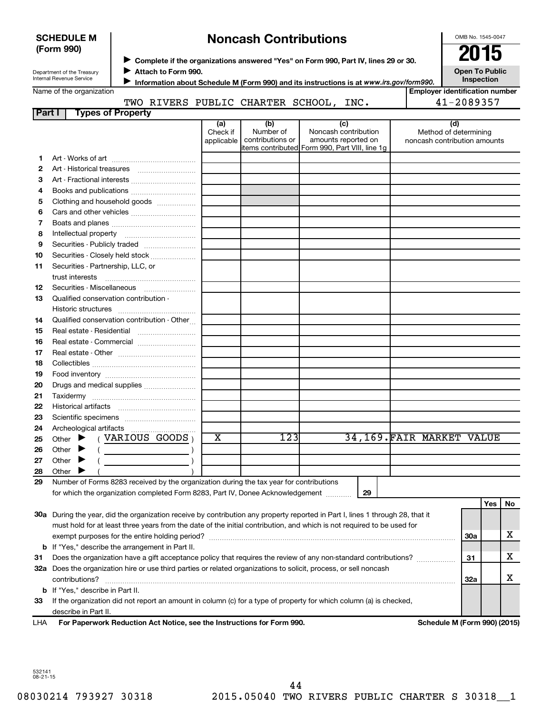| <b>SCHEDULE M</b> |  |
|-------------------|--|
| (Form 990)        |  |

# **Noncash Contributions**

OMB No. 1545-0047

**Open To Public Inspection**

| Department of the Treasury |
|----------------------------|
| Internal Revenue Service   |

◆ Complete if the organizations answered "Yes" on Form 990, Part IV, lines 29 or 30.<br>▶ Complete if the organizations answered "Yes" on Form 990, Part IV, lines 29 or 30.

**Attach to Form 990.** J

**Information about Schedule M (Form 990) and its instructions is at www.irs.gov/form990. Employer identification number**

#### Name of the organization **Part I Types of Property** TWO RIVERS PUBLIC CHARTER SCHOOL, INC. 41-2089357

| ганн | <u>i ypes or Froperty</u>                                                                                                      |                 |                  |                                                                       |    |                              |            |     |    |
|------|--------------------------------------------------------------------------------------------------------------------------------|-----------------|------------------|-----------------------------------------------------------------------|----|------------------------------|------------|-----|----|
|      |                                                                                                                                | (a)<br>Check if | (b)<br>Number of | (c)<br>Noncash contribution                                           |    | (d)<br>Method of determining |            |     |    |
|      |                                                                                                                                | applicable      | contributions or | amounts reported on<br>items contributed Form 990, Part VIII, line 1g |    | noncash contribution amounts |            |     |    |
| 1.   |                                                                                                                                |                 |                  |                                                                       |    |                              |            |     |    |
| 2    |                                                                                                                                |                 |                  |                                                                       |    |                              |            |     |    |
| 3    |                                                                                                                                |                 |                  |                                                                       |    |                              |            |     |    |
| 4    |                                                                                                                                |                 |                  |                                                                       |    |                              |            |     |    |
| 5    | Clothing and household goods                                                                                                   |                 |                  |                                                                       |    |                              |            |     |    |
| 6    |                                                                                                                                |                 |                  |                                                                       |    |                              |            |     |    |
| 7    |                                                                                                                                |                 |                  |                                                                       |    |                              |            |     |    |
| 8    |                                                                                                                                |                 |                  |                                                                       |    |                              |            |     |    |
| 9    |                                                                                                                                |                 |                  |                                                                       |    |                              |            |     |    |
| 10   | Securities - Closely held stock                                                                                                |                 |                  |                                                                       |    |                              |            |     |    |
| 11   | Securities - Partnership, LLC, or                                                                                              |                 |                  |                                                                       |    |                              |            |     |    |
|      | trust interests                                                                                                                |                 |                  |                                                                       |    |                              |            |     |    |
| 12   | Securities - Miscellaneous                                                                                                     |                 |                  |                                                                       |    |                              |            |     |    |
| 13   | Qualified conservation contribution -                                                                                          |                 |                  |                                                                       |    |                              |            |     |    |
|      |                                                                                                                                |                 |                  |                                                                       |    |                              |            |     |    |
| 14   | Qualified conservation contribution - Other                                                                                    |                 |                  |                                                                       |    |                              |            |     |    |
| 15   | Real estate - Residential                                                                                                      |                 |                  |                                                                       |    |                              |            |     |    |
| 16   | Real estate - Commercial                                                                                                       |                 |                  |                                                                       |    |                              |            |     |    |
| 17   |                                                                                                                                |                 |                  |                                                                       |    |                              |            |     |    |
| 18   |                                                                                                                                |                 |                  |                                                                       |    |                              |            |     |    |
| 19   |                                                                                                                                |                 |                  |                                                                       |    |                              |            |     |    |
| 20   | Drugs and medical supplies                                                                                                     |                 |                  |                                                                       |    |                              |            |     |    |
| 21   |                                                                                                                                |                 |                  |                                                                       |    |                              |            |     |    |
| 22   |                                                                                                                                |                 |                  |                                                                       |    |                              |            |     |    |
| 23   |                                                                                                                                |                 |                  |                                                                       |    |                              |            |     |    |
| 24   |                                                                                                                                |                 |                  |                                                                       |    |                              |            |     |    |
| 25   | (VARIOUS GOODS)<br>Other $\blacktriangleright$                                                                                 | X               | 123              |                                                                       |    | 34,169. FAIR MARKET VALUE    |            |     |    |
| 26   | Other $\blacktriangleright$                                                                                                    |                 |                  |                                                                       |    |                              |            |     |    |
| 27   | Other $\blacktriangleright$                                                                                                    |                 |                  |                                                                       |    |                              |            |     |    |
| 28   | Other                                                                                                                          |                 |                  |                                                                       |    |                              |            |     |    |
| 29   | Number of Forms 8283 received by the organization during the tax year for contributions                                        |                 |                  |                                                                       |    |                              |            |     |    |
|      | for which the organization completed Form 8283, Part IV, Donee Acknowledgement                                                 |                 |                  |                                                                       | 29 |                              |            |     |    |
|      |                                                                                                                                |                 |                  |                                                                       |    |                              |            | Yes | No |
|      | 30a During the year, did the organization receive by contribution any property reported in Part I, lines 1 through 28, that it |                 |                  |                                                                       |    |                              |            |     |    |
|      | must hold for at least three years from the date of the initial contribution, and which is not required to be used for         |                 |                  |                                                                       |    |                              |            |     |    |
|      |                                                                                                                                |                 |                  |                                                                       |    |                              | <b>30a</b> |     | х  |
| b    | If "Yes," describe the arrangement in Part II.                                                                                 |                 |                  |                                                                       |    |                              |            |     |    |
| 31   | Does the organization have a gift acceptance policy that requires the review of any non-standard contributions?                |                 |                  |                                                                       |    |                              | 31         |     | x  |
|      | 32a Does the organization hire or use third parties or related organizations to solicit, process, or sell noncash              |                 |                  |                                                                       |    |                              |            |     |    |
|      | contributions?                                                                                                                 |                 |                  |                                                                       |    |                              | 32a        |     | х  |
| b    | If "Yes," describe in Part II.                                                                                                 |                 |                  |                                                                       |    |                              |            |     |    |
| 33   | If the organization did not report an amount in column (c) for a type of property for which column (a) is checked,             |                 |                  |                                                                       |    |                              |            |     |    |
|      | describe in Part II.                                                                                                           |                 |                  |                                                                       |    |                              |            |     |    |
| LHA  | For Paperwork Reduction Act Notice, see the Instructions for Form 990.                                                         |                 |                  |                                                                       |    | Schedule M (Form 990) (2015) |            |     |    |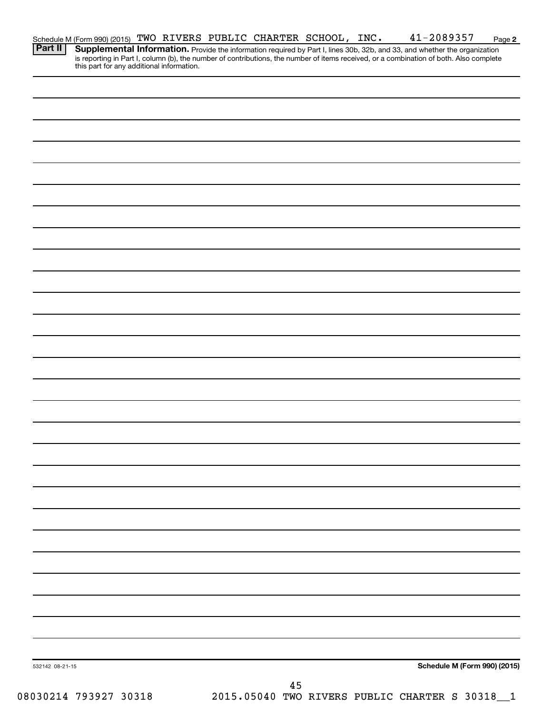|         | Schedule M (Form 990) (2015) TWO RIVERS PUBLIC CHARTER SCHOOL, INC. |  |  |  | 41-2089357                                                                                                                                                                                                                                                                                                     | Page 2 |
|---------|---------------------------------------------------------------------|--|--|--|----------------------------------------------------------------------------------------------------------------------------------------------------------------------------------------------------------------------------------------------------------------------------------------------------------------|--------|
| Part II |                                                                     |  |  |  | Supplemental Information. Provide the information required by Part I, lines 30b, 32b, and 33, and whether the organization<br>is reporting in Part I, column (b), the number of contributions, the number of items received, or a combination of both. Also complete this part for any additional information. |        |
|         |                                                                     |  |  |  |                                                                                                                                                                                                                                                                                                                |        |
|         |                                                                     |  |  |  |                                                                                                                                                                                                                                                                                                                |        |
|         |                                                                     |  |  |  |                                                                                                                                                                                                                                                                                                                |        |
|         |                                                                     |  |  |  |                                                                                                                                                                                                                                                                                                                |        |
|         |                                                                     |  |  |  |                                                                                                                                                                                                                                                                                                                |        |
|         |                                                                     |  |  |  |                                                                                                                                                                                                                                                                                                                |        |
|         |                                                                     |  |  |  |                                                                                                                                                                                                                                                                                                                |        |
|         |                                                                     |  |  |  |                                                                                                                                                                                                                                                                                                                |        |
|         |                                                                     |  |  |  |                                                                                                                                                                                                                                                                                                                |        |
|         |                                                                     |  |  |  |                                                                                                                                                                                                                                                                                                                |        |
|         |                                                                     |  |  |  |                                                                                                                                                                                                                                                                                                                |        |
|         |                                                                     |  |  |  |                                                                                                                                                                                                                                                                                                                |        |
|         |                                                                     |  |  |  |                                                                                                                                                                                                                                                                                                                |        |
|         |                                                                     |  |  |  |                                                                                                                                                                                                                                                                                                                |        |
|         |                                                                     |  |  |  |                                                                                                                                                                                                                                                                                                                |        |
|         |                                                                     |  |  |  |                                                                                                                                                                                                                                                                                                                |        |
|         |                                                                     |  |  |  |                                                                                                                                                                                                                                                                                                                |        |
|         |                                                                     |  |  |  |                                                                                                                                                                                                                                                                                                                |        |
|         |                                                                     |  |  |  |                                                                                                                                                                                                                                                                                                                |        |
|         |                                                                     |  |  |  |                                                                                                                                                                                                                                                                                                                |        |
|         |                                                                     |  |  |  |                                                                                                                                                                                                                                                                                                                |        |
|         |                                                                     |  |  |  |                                                                                                                                                                                                                                                                                                                |        |
|         |                                                                     |  |  |  |                                                                                                                                                                                                                                                                                                                |        |
|         |                                                                     |  |  |  |                                                                                                                                                                                                                                                                                                                |        |
|         |                                                                     |  |  |  |                                                                                                                                                                                                                                                                                                                |        |
|         |                                                                     |  |  |  |                                                                                                                                                                                                                                                                                                                |        |
|         |                                                                     |  |  |  |                                                                                                                                                                                                                                                                                                                |        |
|         |                                                                     |  |  |  |                                                                                                                                                                                                                                                                                                                |        |
|         |                                                                     |  |  |  |                                                                                                                                                                                                                                                                                                                |        |
|         |                                                                     |  |  |  |                                                                                                                                                                                                                                                                                                                |        |
|         |                                                                     |  |  |  |                                                                                                                                                                                                                                                                                                                |        |
|         |                                                                     |  |  |  |                                                                                                                                                                                                                                                                                                                |        |
|         |                                                                     |  |  |  |                                                                                                                                                                                                                                                                                                                |        |

08030214 793927 30318 2015.05040 TWO RIVERS PUBLIC CHARTER S 30318\_1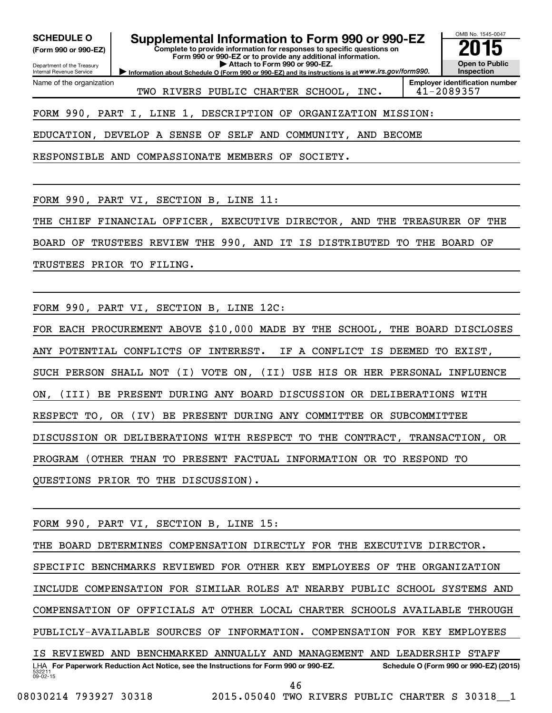**(Form 990 or 990-EZ)**

Department of the Treasury Internal Revenue Service

Name of the organization

**Complete to provide information for responses to specific questions on Form 990 or 990-EZ or to provide any additional information. | Attach to Form 990 or 990-EZ.** SCHEDULE O **Supplemental Information to Form 990 or 990-EZ 2015**<br>(Form 990 or 990-EZ) Complete to provide information for responses to specific questions on

**Information about Schedule O (Form 990 or 990-EZ) and its instructions is at WWW.irs.gov/form990.** 

OMB No. 1545-0047 **Open to Public Inspection**

TWO RIVERS PUBLIC CHARTER SCHOOL, INC. | 41-2089357

**Employer identification number**

FORM 990, PART I, LINE 1, DESCRIPTION OF ORGANIZATION MISSION:

EDUCATION, DEVELOP A SENSE OF SELF AND COMMUNITY, AND BECOME

RESPONSIBLE AND COMPASSIONATE MEMBERS OF SOCIETY.

FORM 990, PART VI, SECTION B, LINE 11:

THE CHIEF FINANCIAL OFFICER, EXECUTIVE DIRECTOR, AND THE TREASURER OF THE

BOARD OF TRUSTEES REVIEW THE 990, AND IT IS DISTRIBUTED TO THE BOARD OF

TRUSTEES PRIOR TO FILING.

FORM 990, PART VI, SECTION B, LINE 12C:

FOR EACH PROCUREMENT ABOVE \$10,000 MADE BY THE SCHOOL, THE BOARD DISCLOSES ANY POTENTIAL CONFLICTS OF INTEREST. IF A CONFLICT IS DEEMED TO EXIST, SUCH PERSON SHALL NOT (I) VOTE ON, (II) USE HIS OR HER PERSONAL INFLUENCE ON, (III) BE PRESENT DURING ANY BOARD DISCUSSION OR DELIBERATIONS WITH RESPECT TO, OR (IV) BE PRESENT DURING ANY COMMITTEE OR SUBCOMMITTEE DISCUSSION OR DELIBERATIONS WITH RESPECT TO THE CONTRACT, TRANSACTION, OR PROGRAM (OTHER THAN TO PRESENT FACTUAL INFORMATION OR TO RESPOND TO QUESTIONS PRIOR TO THE DISCUSSION).

FORM 990, PART VI, SECTION B, LINE 15:

532211  $09 - 02 - 15$ LHA For Paperwork Reduction Act Notice, see the Instructions for Form 990 or 990-EZ. Schedule O (Form 990 or 990-EZ) (2015) THE BOARD DETERMINES COMPENSATION DIRECTLY FOR THE EXECUTIVE DIRECTOR. SPECIFIC BENCHMARKS REVIEWED FOR OTHER KEY EMPLOYEES OF THE ORGANIZATION INCLUDE COMPENSATION FOR SIMILAR ROLES AT NEARBY PUBLIC SCHOOL SYSTEMS AND COMPENSATION OF OFFICIALS AT OTHER LOCAL CHARTER SCHOOLS AVAILABLE THROUGH PUBLICLY-AVAILABLE SOURCES OF INFORMATION. COMPENSATION FOR KEY EMPLOYEES IS REVIEWED AND BENCHMARKED ANNUALLY AND MANAGEMENT AND LEADERSHIP STAFF

46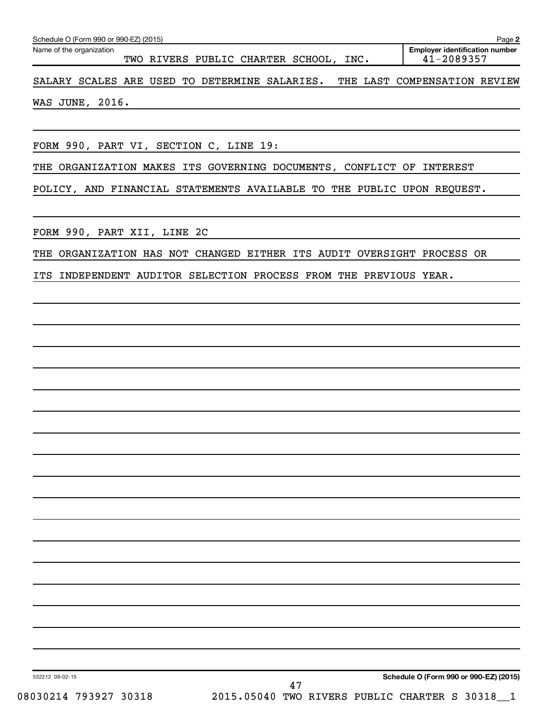| Schedule O (Form 990 or 990-EZ) (2015)                                     | Page 2                                              |
|----------------------------------------------------------------------------|-----------------------------------------------------|
| Name of the organization<br>TWO RIVERS PUBLIC CHARTER SCHOOL, INC.         | <b>Employer identification number</b><br>41-2089357 |
| SALARY SCALES ARE USED TO DETERMINE SALARIES. THE LAST COMPENSATION REVIEW |                                                     |
| <b>WAS JUNE, 2016.</b>                                                     |                                                     |
|                                                                            |                                                     |
| FORM 990, PART VI, SECTION C, LINE 19:                                     |                                                     |
| THE ORGANIZATION MAKES ITS GOVERNING DOCUMENTS, CONFLICT OF INTEREST       |                                                     |
| POLICY, AND FINANCIAL STATEMENTS AVAILABLE TO THE PUBLIC UPON REQUEST.     |                                                     |
|                                                                            |                                                     |
| FORM 990, PART XII, LINE 2C                                                |                                                     |
| THE ORGANIZATION HAS NOT CHANGED EITHER ITS AUDIT OVERSIGHT PROCESS OR     |                                                     |
| INDEPENDENT AUDITOR SELECTION PROCESS FROM THE PREVIOUS YEAR.<br>ITS       |                                                     |
|                                                                            |                                                     |
|                                                                            |                                                     |
|                                                                            |                                                     |
|                                                                            |                                                     |
|                                                                            |                                                     |
|                                                                            |                                                     |
|                                                                            |                                                     |
|                                                                            |                                                     |

**Schedule O (Form 990 or 990-EZ) (2015)**

532212 09-02-15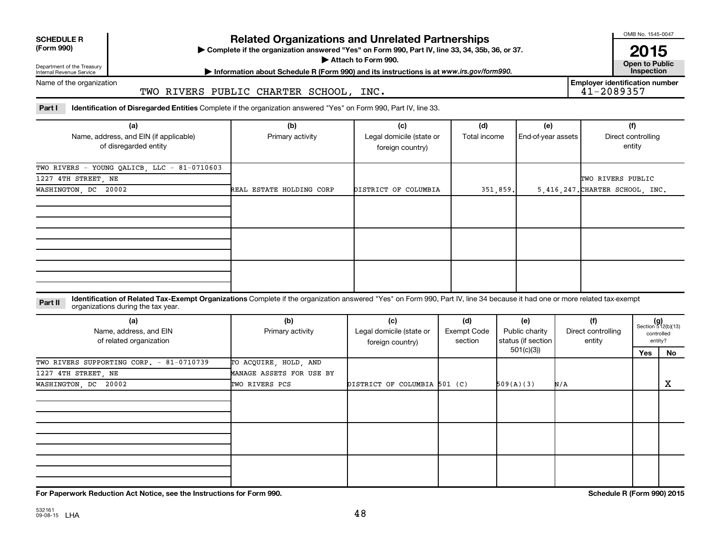| <b>SCHEDULE R</b> |  |
|-------------------|--|
|                   |  |

Department of the Treasury Internal Revenue Service

# **Related Organizations and Unrelated Partnerships**

**(Form 990) Complete if the organization answered "Yes" on Form 990, Part IV, line 33, 34, 35b, 36, or 37.** |

**Attach to Form 990. Contract to Public Contract of Public** 

**Most Information about Schedule R (Form 990) and its instructions is at www.irs.gov/form990.** This pection

Name of the organization

#### TWO RIVERS PUBLIC CHARTER SCHOOL, INC.

Part I ldentification of Disregarded Entities Complete if the organization answered "Yes" on Form 990, Part IV, line 33.

| (a)<br>Name, address, and EIN (if applicable)<br>of disregarded entity                     | (b)<br>Primary activity  | (c)<br>Legal domicile (state or<br>foreign country) | (d)<br>Total income | (e)<br>End-of-year assets | (f)<br>Direct controlling<br>entity                  |
|--------------------------------------------------------------------------------------------|--------------------------|-----------------------------------------------------|---------------------|---------------------------|------------------------------------------------------|
| TWO RIVERS - YOUNG QALICB, LLC - 81-0710603<br>1227 4TH STREET, NE<br>WASHINGTON, DC 20002 | REAL ESTATE HOLDING CORP | DISTRICT OF COLUMBIA                                | 351,859.            |                           | TWO RIVERS PUBLIC<br>5,416,247. CHARTER SCHOOL, INC. |
|                                                                                            |                          |                                                     |                     |                           |                                                      |
|                                                                                            |                          |                                                     |                     |                           |                                                      |
|                                                                                            |                          |                                                     |                     |                           |                                                      |

#### **Part II** Identification of Related Tax-Exempt Organizations Complete if the organization answered "Yes" on Form 990, Part IV, line 34 because it had one or more related tax-exempt<br>Complete it is a seriest of the two wears organizations during the tax year.

| (a)<br>Name, address, and EIN<br>of related organization | (b)<br>Primary activity  | (c)<br>Legal domicile (state or<br>foreign country) | (d)<br>Exempt Code<br>section | (e)<br>Public charity<br>status (if section | (f)<br>Direct controlling<br>entity |     | $(g)$<br>Section 512(b)(13)<br>controlled<br>entity? |
|----------------------------------------------------------|--------------------------|-----------------------------------------------------|-------------------------------|---------------------------------------------|-------------------------------------|-----|------------------------------------------------------|
|                                                          |                          |                                                     |                               | 501(c)(3))                                  |                                     | Yes | No                                                   |
| TWO RIVERS SUPPORTING CORP. - 81-0710739                 | TO ACQUIRE, HOLD, AND    |                                                     |                               |                                             |                                     |     |                                                      |
| 1227 4TH STREET, NE                                      | MANAGE ASSETS FOR USE BY |                                                     |                               |                                             |                                     |     |                                                      |
| WASHINGTON, DC 20002                                     | TWO RIVERS PCS           | DISTRICT OF COLUMBIA 501 (C)                        |                               | 509(A)(3)                                   | N/A                                 |     | X                                                    |
|                                                          |                          |                                                     |                               |                                             |                                     |     |                                                      |
|                                                          |                          |                                                     |                               |                                             |                                     |     |                                                      |
|                                                          |                          |                                                     |                               |                                             |                                     |     |                                                      |

**For Paperwork Reduction Act Notice, see the Instructions for Form 990. Schedule R (Form 990) 2015**

OMB No. 1545-0047

**2015**<br>Open to Public

**Employer identification number**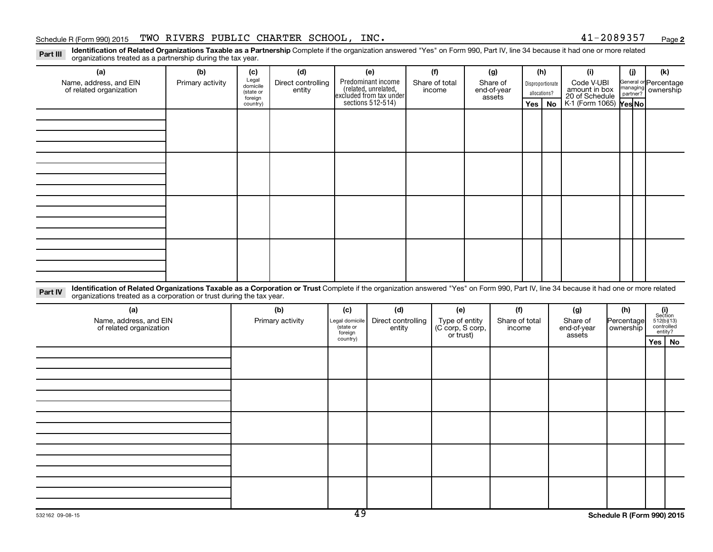**2**

Part III Identification of Related Organizations Taxable as a Partnership Complete if the organization answered "Yes" on Form 990, Part IV, line 34 because it had one or more related<br>Read to the organizations tracted as a organizations treated as a partnership during the tax year.

| (a)                                                                                                                                                                                                                                                                       | (b)              | (c)                            | (d)                          |                                        | (e)                                                                   | (f)                                | (g)                      | (h)                              |    | (i)                                           | (i)                     | (k)                                         |
|---------------------------------------------------------------------------------------------------------------------------------------------------------------------------------------------------------------------------------------------------------------------------|------------------|--------------------------------|------------------------------|----------------------------------------|-----------------------------------------------------------------------|------------------------------------|--------------------------|----------------------------------|----|-----------------------------------------------|-------------------------|---------------------------------------------|
| Name, address, and EIN<br>of related organization                                                                                                                                                                                                                         | Primary activity | Legal<br>domicile<br>(state or | Direct controlling<br>entity |                                        | Predominant income<br>(related, unrelated,<br>excluded from tax under | Share of total<br>income           | Share of<br>end-of-year  | Disproportionate<br>allocations? |    | Code V-UBI<br>amount in box<br>20 of Schedule |                         | General or Percentage<br>managing ownership |
|                                                                                                                                                                                                                                                                           |                  | foreign<br>country)            |                              |                                        | sections 512-514)                                                     |                                    | assets                   | Yes                              | No | K-1 (Form 1065) Yes No                        |                         |                                             |
|                                                                                                                                                                                                                                                                           |                  |                                |                              |                                        |                                                                       |                                    |                          |                                  |    |                                               |                         |                                             |
|                                                                                                                                                                                                                                                                           |                  |                                |                              |                                        |                                                                       |                                    |                          |                                  |    |                                               |                         |                                             |
|                                                                                                                                                                                                                                                                           |                  |                                |                              |                                        |                                                                       |                                    |                          |                                  |    |                                               |                         |                                             |
|                                                                                                                                                                                                                                                                           |                  |                                |                              |                                        |                                                                       |                                    |                          |                                  |    |                                               |                         |                                             |
|                                                                                                                                                                                                                                                                           |                  |                                |                              |                                        |                                                                       |                                    |                          |                                  |    |                                               |                         |                                             |
|                                                                                                                                                                                                                                                                           |                  |                                |                              |                                        |                                                                       |                                    |                          |                                  |    |                                               |                         |                                             |
|                                                                                                                                                                                                                                                                           |                  |                                |                              |                                        |                                                                       |                                    |                          |                                  |    |                                               |                         |                                             |
|                                                                                                                                                                                                                                                                           |                  |                                |                              |                                        |                                                                       |                                    |                          |                                  |    |                                               |                         |                                             |
|                                                                                                                                                                                                                                                                           |                  |                                |                              |                                        |                                                                       |                                    |                          |                                  |    |                                               |                         |                                             |
|                                                                                                                                                                                                                                                                           |                  |                                |                              |                                        |                                                                       |                                    |                          |                                  |    |                                               |                         |                                             |
|                                                                                                                                                                                                                                                                           |                  |                                |                              |                                        |                                                                       |                                    |                          |                                  |    |                                               |                         |                                             |
|                                                                                                                                                                                                                                                                           |                  |                                |                              |                                        |                                                                       |                                    |                          |                                  |    |                                               |                         |                                             |
|                                                                                                                                                                                                                                                                           |                  |                                |                              |                                        |                                                                       |                                    |                          |                                  |    |                                               |                         |                                             |
|                                                                                                                                                                                                                                                                           |                  |                                |                              |                                        |                                                                       |                                    |                          |                                  |    |                                               |                         |                                             |
|                                                                                                                                                                                                                                                                           |                  |                                |                              |                                        |                                                                       |                                    |                          |                                  |    |                                               |                         |                                             |
| Identification of Related Organizations Taxable as a Corporation or Trust Complete if the organization answered "Yes" on Form 990, Part IV, line 34 because it had one or more related<br>Part IV<br>organizations treated as a corporation or trust during the tax year. |                  |                                |                              |                                        |                                                                       |                                    |                          |                                  |    |                                               |                         |                                             |
| (a)                                                                                                                                                                                                                                                                       |                  |                                | (b)                          | (c)                                    | (d)                                                                   | (e)                                | (f)                      |                                  |    | (g)                                           | (h)                     | (i)<br>Section                              |
| Name, address, and EIN<br>of related organization                                                                                                                                                                                                                         |                  |                                | Primary activity             | Legal domicile<br>(state or<br>foreign | Direct controlling<br>entity                                          | Type of entity<br>(C corp, S corp, | Share of total<br>income |                                  |    | Share of<br>end-of-year                       | Percentage<br>ownership | 512(b)(13)<br>controlled<br>entity?         |
|                                                                                                                                                                                                                                                                           |                  |                                |                              | country)                               |                                                                       | or trust)                          |                          |                                  |    | assets                                        |                         | Yes   No                                    |

|  |  |  |  | . |
|--|--|--|--|---|
|  |  |  |  |   |
|  |  |  |  |   |
|  |  |  |  |   |
|  |  |  |  |   |
|  |  |  |  |   |
|  |  |  |  |   |
|  |  |  |  |   |
|  |  |  |  |   |
|  |  |  |  |   |
|  |  |  |  |   |
|  |  |  |  |   |
|  |  |  |  |   |
|  |  |  |  |   |
|  |  |  |  |   |
|  |  |  |  |   |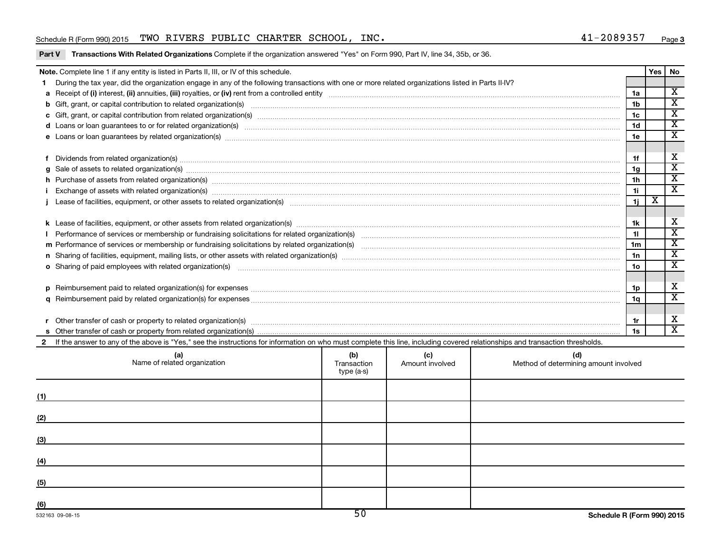#### Schedule R (Form 990) 2015 Page TWO RIVERS PUBLIC CHARTER SCHOOL, INC. 41-2089357

#### Part V Transactions With Related Organizations Complete if the organization answered "Yes" on Form 990, Part IV, line 34, 35b, or 36.

| Note. Complete line 1 if any entity is listed in Parts II, III, or IV of this schedule.                                                                                                                                                                                        |  |                                                                              |                 | Yes   No |                             |
|--------------------------------------------------------------------------------------------------------------------------------------------------------------------------------------------------------------------------------------------------------------------------------|--|------------------------------------------------------------------------------|-----------------|----------|-----------------------------|
| During the tax year, did the organization engage in any of the following transactions with one or more related organizations listed in Parts II-IV?                                                                                                                            |  |                                                                              |                 |          |                             |
|                                                                                                                                                                                                                                                                                |  |                                                                              | 1a              |          | $\overline{\mathbf{x}}$     |
|                                                                                                                                                                                                                                                                                |  |                                                                              | 1b              |          | $\overline{\textbf{x}}$     |
|                                                                                                                                                                                                                                                                                |  |                                                                              | 1 <sub>c</sub>  |          | $\overline{\mathbf{x}}$     |
|                                                                                                                                                                                                                                                                                |  |                                                                              | 1 <sub>d</sub>  |          | $\overline{\textbf{x}}$     |
| e Loans or loan guarantees by related organization(s) manufactured content to the content of the content of the content of the content of the content of the content of the content of the content of the content of the conte                                                 |  |                                                                              | 1e              |          | $\overline{\texttt{x}}$     |
|                                                                                                                                                                                                                                                                                |  |                                                                              |                 |          |                             |
|                                                                                                                                                                                                                                                                                |  |                                                                              | 1f              |          | х                           |
| $g$ Sale of assets to related organization(s) $\ldots$ $\ldots$ $\ldots$ $\ldots$ $\ldots$ $\ldots$ $\ldots$ $\ldots$ $\ldots$ $\ldots$ $\ldots$ $\ldots$ $\ldots$ $\ldots$ $\ldots$ $\ldots$ $\ldots$ $\ldots$ $\ldots$ $\ldots$ $\ldots$ $\ldots$ $\ldots$ $\ldots$ $\ldots$ |  |                                                                              | 1g              |          | $\overline{\texttt{x}}$     |
| h Purchase of assets from related organization(s) manufactured content to content the content of the content of the content of the content of the content of the content of the content of the content of the content of the c                                                 |  |                                                                              | 1 <sub>h</sub>  |          | $\overline{\texttt{x}}$     |
| Exchange of assets with related organization(s) manufactured and content to the content of the content of the content of the content of the content of the content of the content of the content of the content of the content                                                 |  |                                                                              | 1i              |          | $\mathbf{x}$                |
|                                                                                                                                                                                                                                                                                |  |                                                                              | 1j              | х        |                             |
|                                                                                                                                                                                                                                                                                |  |                                                                              |                 |          |                             |
|                                                                                                                                                                                                                                                                                |  |                                                                              | 1k              |          | х                           |
|                                                                                                                                                                                                                                                                                |  |                                                                              | 11              |          | $\overline{\texttt{x}}$     |
|                                                                                                                                                                                                                                                                                |  |                                                                              | 1 <sub>m</sub>  |          | $\overline{\texttt{x}}$     |
|                                                                                                                                                                                                                                                                                |  |                                                                              | 1n              |          | $\overline{\texttt{x}}$     |
| o Sharing of paid employees with related organization(s) material contents and content to the starting of paid employees with related organization(s)                                                                                                                          |  |                                                                              | 10 <sub>o</sub> |          | $\overline{\textbf{x}}$     |
|                                                                                                                                                                                                                                                                                |  |                                                                              |                 |          |                             |
|                                                                                                                                                                                                                                                                                |  |                                                                              | 1p              |          | X                           |
|                                                                                                                                                                                                                                                                                |  |                                                                              | 1α              |          | $\overline{\textnormal{x}}$ |
|                                                                                                                                                                                                                                                                                |  |                                                                              |                 |          |                             |
| Other transfer of cash or property to related organization(s) www.communities.com/www.communities/communities/                                                                                                                                                                 |  |                                                                              | 1r              |          | х                           |
|                                                                                                                                                                                                                                                                                |  |                                                                              | 1s              |          | $\overline{\mathbf{x}}$     |
| If the answer to any of the above is "Yes," see the instructions for information on who must complete this line, including covered relationships and transaction thresholds.                                                                                                   |  |                                                                              |                 |          |                             |
| (a)                                                                                                                                                                                                                                                                            |  | $\begin{array}{ c c c c }\n \hline\n (b) & (c) & (d) & \hline\n \end{array}$ |                 |          |                             |
|                                                                                                                                                                                                                                                                                |  |                                                                              |                 |          |                             |

|     | (a)<br>Name of related organization | (b)<br>Transaction<br>type (a-s) | (c)<br>Amount involved | (d)<br>Method of determining amount involved |
|-----|-------------------------------------|----------------------------------|------------------------|----------------------------------------------|
| (1) |                                     |                                  |                        |                                              |
| (2) |                                     |                                  |                        |                                              |
| (3) |                                     |                                  |                        |                                              |
| (4) |                                     |                                  |                        |                                              |
| (5) |                                     |                                  |                        |                                              |
| (6) |                                     | $E \cap$                         |                        |                                              |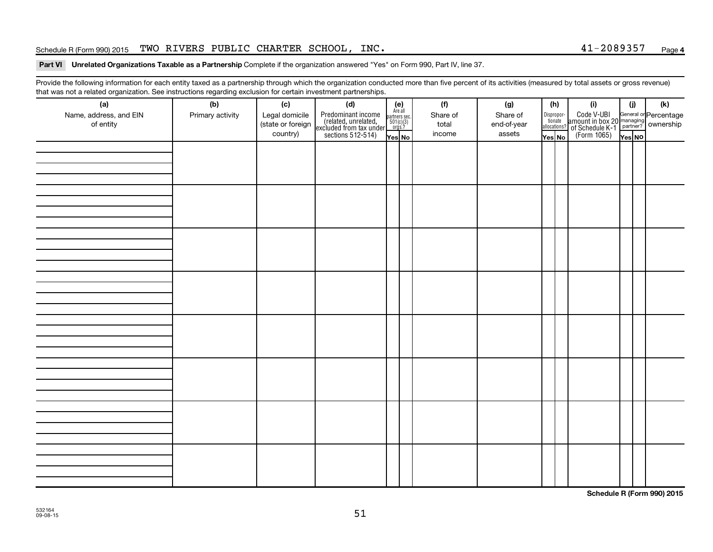#### Schedule R (Form 990) 2015 Page TWO RIVERS PUBLIC CHARTER SCHOOL, INC. 41-2089357

#### Part VI Unrelated Organizations Taxable as a Partnership Complete if the organization answered "Yes" on Form 990, Part IV, line 37.

Provide the following information for each entity taxed as a partnership through which the organization conducted more than five percent of its activities (measured by total assets or gross revenue) that was not a related organization. See instructions regarding exclusion for certain investment partnerships.

| ----------<br>(a)      | $\cdots$ y $\cdots$<br>(b) |                       | .<br><br>(d)                                                                               |                                                          | (f)      | (g)         |        | (h)                              | (i)                                                                                                 | (i)    | (k) |
|------------------------|----------------------------|-----------------------|--------------------------------------------------------------------------------------------|----------------------------------------------------------|----------|-------------|--------|----------------------------------|-----------------------------------------------------------------------------------------------------|--------|-----|
| Name, address, and EIN | Primary activity           | (c)<br>Legal domicile |                                                                                            | (e)<br>Are all<br>partners sec.<br>$501(c)(3)$<br>orgs.? | Share of | Share of    |        |                                  |                                                                                                     |        |     |
| of entity              |                            | (state or foreign     | Predominant income<br>(related, unrelated,<br>excluded from tax under<br>sections 512-514) |                                                          | total    | end-of-year |        | Disproportionate<br>allocations? | Code V-UBI<br>amount in box 20 managing<br>of Schedule K-1<br>(Form 1065)<br>$\sqrt{\text{res}}$ No |        |     |
|                        |                            | country)              |                                                                                            |                                                          | income   | assets      |        |                                  |                                                                                                     |        |     |
|                        |                            |                       |                                                                                            | Yes No                                                   |          |             | Yes No |                                  |                                                                                                     | Yes NO |     |
|                        |                            |                       |                                                                                            |                                                          |          |             |        |                                  |                                                                                                     |        |     |
|                        |                            |                       |                                                                                            |                                                          |          |             |        |                                  |                                                                                                     |        |     |
|                        |                            |                       |                                                                                            |                                                          |          |             |        |                                  |                                                                                                     |        |     |
|                        |                            |                       |                                                                                            |                                                          |          |             |        |                                  |                                                                                                     |        |     |
|                        |                            |                       |                                                                                            |                                                          |          |             |        |                                  |                                                                                                     |        |     |
|                        |                            |                       |                                                                                            |                                                          |          |             |        |                                  |                                                                                                     |        |     |
|                        |                            |                       |                                                                                            |                                                          |          |             |        |                                  |                                                                                                     |        |     |
|                        |                            |                       |                                                                                            |                                                          |          |             |        |                                  |                                                                                                     |        |     |
|                        |                            |                       |                                                                                            |                                                          |          |             |        |                                  |                                                                                                     |        |     |
|                        |                            |                       |                                                                                            |                                                          |          |             |        |                                  |                                                                                                     |        |     |
|                        |                            |                       |                                                                                            |                                                          |          |             |        |                                  |                                                                                                     |        |     |
|                        |                            |                       |                                                                                            |                                                          |          |             |        |                                  |                                                                                                     |        |     |
|                        |                            |                       |                                                                                            |                                                          |          |             |        |                                  |                                                                                                     |        |     |
|                        |                            |                       |                                                                                            |                                                          |          |             |        |                                  |                                                                                                     |        |     |
|                        |                            |                       |                                                                                            |                                                          |          |             |        |                                  |                                                                                                     |        |     |
|                        |                            |                       |                                                                                            |                                                          |          |             |        |                                  |                                                                                                     |        |     |
|                        |                            |                       |                                                                                            |                                                          |          |             |        |                                  |                                                                                                     |        |     |
|                        |                            |                       |                                                                                            |                                                          |          |             |        |                                  |                                                                                                     |        |     |
|                        |                            |                       |                                                                                            |                                                          |          |             |        |                                  |                                                                                                     |        |     |
|                        |                            |                       |                                                                                            |                                                          |          |             |        |                                  |                                                                                                     |        |     |
|                        |                            |                       |                                                                                            |                                                          |          |             |        |                                  |                                                                                                     |        |     |
|                        |                            |                       |                                                                                            |                                                          |          |             |        |                                  |                                                                                                     |        |     |
|                        |                            |                       |                                                                                            |                                                          |          |             |        |                                  |                                                                                                     |        |     |
|                        |                            |                       |                                                                                            |                                                          |          |             |        |                                  |                                                                                                     |        |     |
|                        |                            |                       |                                                                                            |                                                          |          |             |        |                                  |                                                                                                     |        |     |
|                        |                            |                       |                                                                                            |                                                          |          |             |        |                                  |                                                                                                     |        |     |
|                        |                            |                       |                                                                                            |                                                          |          |             |        |                                  |                                                                                                     |        |     |
|                        |                            |                       |                                                                                            |                                                          |          |             |        |                                  |                                                                                                     |        |     |
|                        |                            |                       |                                                                                            |                                                          |          |             |        |                                  |                                                                                                     |        |     |
|                        |                            |                       |                                                                                            |                                                          |          |             |        |                                  |                                                                                                     |        |     |
|                        |                            |                       |                                                                                            |                                                          |          |             |        |                                  |                                                                                                     |        |     |
|                        |                            |                       |                                                                                            |                                                          |          |             |        |                                  |                                                                                                     |        |     |
|                        |                            |                       |                                                                                            |                                                          |          |             |        |                                  |                                                                                                     |        |     |
|                        |                            |                       |                                                                                            |                                                          |          |             |        |                                  |                                                                                                     |        |     |
|                        |                            |                       |                                                                                            |                                                          |          |             |        |                                  |                                                                                                     |        |     |
|                        |                            |                       |                                                                                            |                                                          |          |             |        |                                  |                                                                                                     |        |     |

**Schedule R (Form 990) 2015**